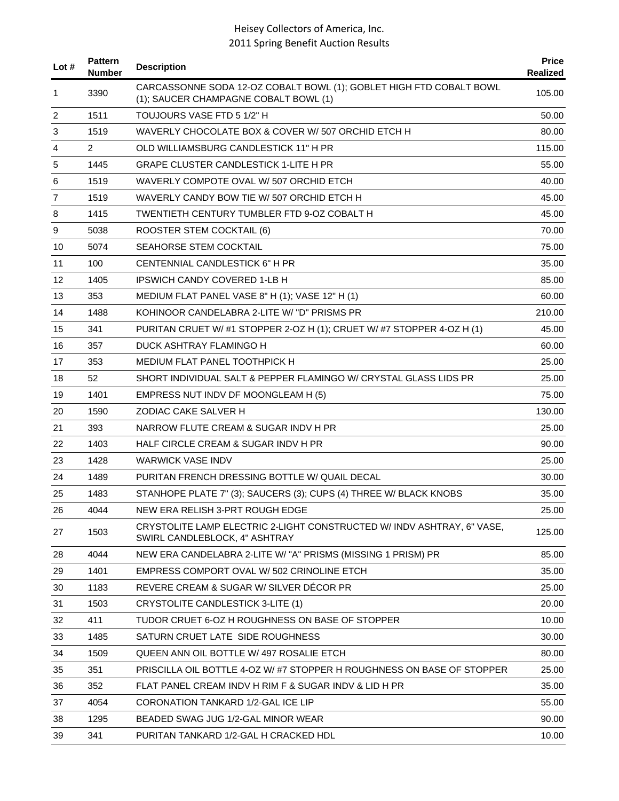| Lot # | <b>Pattern</b><br><b>Number</b> | <b>Description</b>                                                                                           | <b>Price</b><br>Realized |
|-------|---------------------------------|--------------------------------------------------------------------------------------------------------------|--------------------------|
| 1     | 3390                            | CARCASSONNE SODA 12-OZ COBALT BOWL (1); GOBLET HIGH FTD COBALT BOWL<br>(1); SAUCER CHAMPAGNE COBALT BOWL (1) | 105.00                   |
| 2     | 1511                            | TOUJOURS VASE FTD 5 1/2" H                                                                                   | 50.00                    |
| 3     | 1519                            | WAVERLY CHOCOLATE BOX & COVER W/507 ORCHID ETCH H                                                            | 80.00                    |
| 4     | 2                               | OLD WILLIAMSBURG CANDLESTICK 11" H PR                                                                        | 115.00                   |
| 5     | 1445                            | <b>GRAPE CLUSTER CANDLESTICK 1-LITE H PR</b>                                                                 | 55.00                    |
| 6     | 1519                            | WAVERLY COMPOTE OVAL W/507 ORCHID ETCH                                                                       | 40.00                    |
| 7     | 1519                            | WAVERLY CANDY BOW TIE W/507 ORCHID ETCH H                                                                    | 45.00                    |
| 8     | 1415                            | TWENTIETH CENTURY TUMBLER FTD 9-OZ COBALT H                                                                  | 45.00                    |
| 9     | 5038                            | ROOSTER STEM COCKTAIL (6)                                                                                    | 70.00                    |
| 10    | 5074                            | SEAHORSE STEM COCKTAIL                                                                                       | 75.00                    |
| 11    | 100                             | CENTENNIAL CANDLESTICK 6" H PR                                                                               | 35.00                    |
| 12    | 1405                            | <b>IPSWICH CANDY COVERED 1-LB H</b>                                                                          | 85.00                    |
| 13    | 353                             | MEDIUM FLAT PANEL VASE 8" H (1); VASE 12" H (1)                                                              | 60.00                    |
| 14    | 1488                            | KOHINOOR CANDELABRA 2-LITE W/ "D" PRISMS PR                                                                  | 210.00                   |
| 15    | 341                             | PURITAN CRUET W/#1 STOPPER 2-OZ H (1); CRUET W/ #7 STOPPER 4-OZ H (1)                                        | 45.00                    |
| 16    | 357                             | DUCK ASHTRAY FLAMINGO H                                                                                      | 60.00                    |
| 17    | 353                             | MEDIUM FLAT PANEL TOOTHPICK H                                                                                | 25.00                    |
| 18    | 52                              | SHORT INDIVIDUAL SALT & PEPPER FLAMINGO W/ CRYSTAL GLASS LIDS PR                                             | 25.00                    |
| 19    | 1401                            | EMPRESS NUT INDV DF MOONGLEAM H (5)                                                                          | 75.00                    |
| 20    | 1590                            | ZODIAC CAKE SALVER H                                                                                         | 130.00                   |
| 21    | 393                             | NARROW FLUTE CREAM & SUGAR INDV H PR                                                                         | 25.00                    |
| 22    | 1403                            | HALF CIRCLE CREAM & SUGAR INDV H PR                                                                          | 90.00                    |
| 23    | 1428                            | <b>WARWICK VASE INDV</b>                                                                                     | 25.00                    |
| 24    | 1489                            | PURITAN FRENCH DRESSING BOTTLE W/ QUAIL DECAL                                                                | 30.00                    |
| 25    | 1483                            | STANHOPE PLATE 7" (3); SAUCERS (3); CUPS (4) THREE W/ BLACK KNOBS                                            | 35.00                    |
| 26    | 4044                            | NEW ERA RELISH 3-PRT ROUGH EDGE                                                                              | 25.00                    |
| 27    | 1503                            | CRYSTOLITE LAMP ELECTRIC 2-LIGHT CONSTRUCTED W/ INDV ASHTRAY, 6" VASE,<br>SWIRL CANDLEBLOCK, 4" ASHTRAY      | 125.00                   |
| 28    | 4044                            | NEW ERA CANDELABRA 2-LITE W/ "A" PRISMS (MISSING 1 PRISM) PR                                                 | 85.00                    |
| 29    | 1401                            | EMPRESS COMPORT OVAL W/ 502 CRINOLINE ETCH                                                                   | 35.00                    |
| 30    | 1183                            | REVERE CREAM & SUGAR W/ SILVER DÉCOR PR                                                                      | 25.00                    |
| 31    | 1503                            | <b>CRYSTOLITE CANDLESTICK 3-LITE (1)</b>                                                                     | 20.00                    |
| 32    | 411                             | TUDOR CRUET 6-OZ H ROUGHNESS ON BASE OF STOPPER                                                              | 10.00                    |
| 33    | 1485                            | SATURN CRUET LATE SIDE ROUGHNESS                                                                             | 30.00                    |
| 34    | 1509                            | QUEEN ANN OIL BOTTLE W/ 497 ROSALIE ETCH                                                                     | 80.00                    |
| 35    | 351                             | PRISCILLA OIL BOTTLE 4-OZ W/#7 STOPPER H ROUGHNESS ON BASE OF STOPPER                                        | 25.00                    |
| 36    | 352                             | FLAT PANEL CREAM INDV H RIM F & SUGAR INDV & LID H PR                                                        | 35.00                    |
| 37    | 4054                            | CORONATION TANKARD 1/2-GAL ICE LIP                                                                           | 55.00                    |
| 38    | 1295                            | BEADED SWAG JUG 1/2-GAL MINOR WEAR                                                                           | 90.00                    |
| 39    | 341                             | PURITAN TANKARD 1/2-GAL H CRACKED HDL                                                                        | 10.00                    |
|       |                                 |                                                                                                              |                          |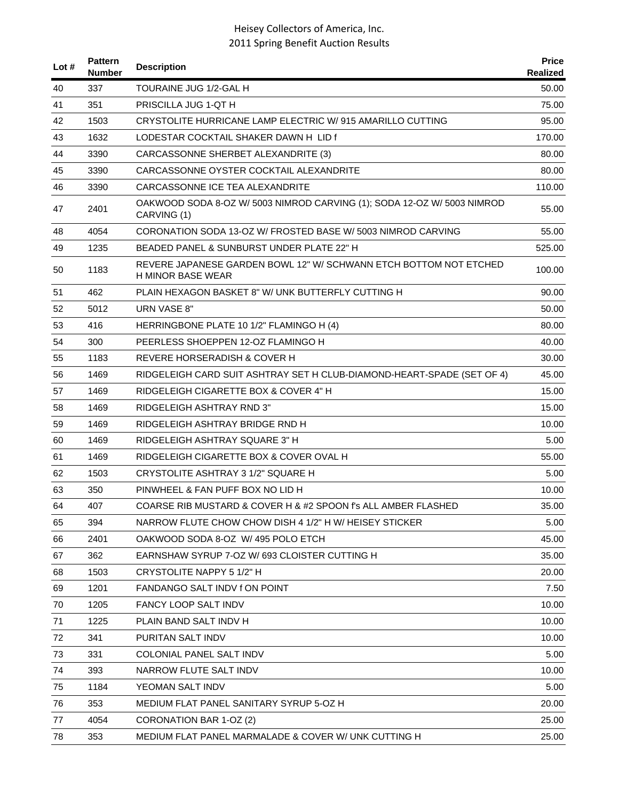| Lot $#$ | <b>Pattern</b><br><b>Number</b> | <b>Description</b>                                                                            | <b>Price</b><br>Realized |
|---------|---------------------------------|-----------------------------------------------------------------------------------------------|--------------------------|
| 40      | 337                             | TOURAINE JUG 1/2-GAL H                                                                        | 50.00                    |
| 41      | 351                             | PRISCILLA JUG 1-QT H                                                                          | 75.00                    |
| 42      | 1503                            | CRYSTOLITE HURRICANE LAMP ELECTRIC W/915 AMARILLO CUTTING                                     | 95.00                    |
| 43      | 1632                            | LODESTAR COCKTAIL SHAKER DAWN H LID f                                                         | 170.00                   |
| 44      | 3390                            | CARCASSONNE SHERBET ALEXANDRITE (3)                                                           | 80.00                    |
| 45      | 3390                            | CARCASSONNE OYSTER COCKTAIL ALEXANDRITE                                                       | 80.00                    |
| 46      | 3390                            | CARCASSONNE ICE TEA ALEXANDRITE                                                               | 110.00                   |
| 47      | 2401                            | OAKWOOD SODA 8-OZ W/ 5003 NIMROD CARVING (1); SODA 12-OZ W/ 5003 NIMROD<br>CARVING (1)        | 55.00                    |
| 48      | 4054                            | CORONATION SODA 13-OZ W/ FROSTED BASE W/ 5003 NIMROD CARVING                                  | 55.00                    |
| 49      | 1235                            | BEADED PANEL & SUNBURST UNDER PLATE 22" H                                                     | 525.00                   |
| 50      | 1183                            | REVERE JAPANESE GARDEN BOWL 12" W/ SCHWANN ETCH BOTTOM NOT ETCHED<br><b>H MINOR BASE WEAR</b> | 100.00                   |
| 51      | 462                             | PLAIN HEXAGON BASKET 8" W/ UNK BUTTERFLY CUTTING H                                            | 90.00                    |
| 52      | 5012                            | URN VASE 8"                                                                                   | 50.00                    |
| 53      | 416                             | HERRINGBONE PLATE 10 1/2" FLAMINGO H (4)                                                      | 80.00                    |
| 54      | 300                             | PEERLESS SHOEPPEN 12-OZ FLAMINGO H                                                            | 40.00                    |
| 55      | 1183                            | REVERE HORSERADISH & COVER H                                                                  | 30.00                    |
| 56      | 1469                            | RIDGELEIGH CARD SUIT ASHTRAY SET H CLUB-DIAMOND-HEART-SPADE (SET OF 4)                        | 45.00                    |
| 57      | 1469                            | RIDGELEIGH CIGARETTE BOX & COVER 4" H                                                         | 15.00                    |
| 58      | 1469                            | RIDGELEIGH ASHTRAY RND 3"                                                                     | 15.00                    |
| 59      | 1469                            | RIDGELEIGH ASHTRAY BRIDGE RND H                                                               | 10.00                    |
| 60      | 1469                            | RIDGELEIGH ASHTRAY SQUARE 3" H                                                                | 5.00                     |
| 61      | 1469                            | RIDGELEIGH CIGARETTE BOX & COVER OVAL H                                                       | 55.00                    |
| 62      | 1503                            | CRYSTOLITE ASHTRAY 3 1/2" SQUARE H                                                            | 5.00                     |
| 63      | 350                             | PINWHEEL & FAN PUFF BOX NO LID H                                                              | 10.00                    |
| 64      | 407                             | COARSE RIB MUSTARD & COVER H & #2 SPOON f's ALL AMBER FLASHED                                 | 35.00                    |
| 65      | 394                             | NARROW FLUTE CHOW CHOW DISH 4 1/2" H W/ HEISEY STICKER                                        | 5.00                     |
| 66      | 2401                            | OAKWOOD SODA 8-OZ W/495 POLO ETCH                                                             | 45.00                    |
| 67      | 362                             | EARNSHAW SYRUP 7-OZ W/ 693 CLOISTER CUTTING H                                                 | 35.00                    |
| 68      | 1503                            | CRYSTOLITE NAPPY 5 1/2" H                                                                     | 20.00                    |
| 69      | 1201                            | FANDANGO SALT INDV f ON POINT                                                                 | 7.50                     |
| 70      | 1205                            | FANCY LOOP SALT INDV                                                                          | 10.00                    |
| 71      | 1225                            | PLAIN BAND SALT INDV H                                                                        | 10.00                    |
| 72      | 341                             | PURITAN SALT INDV                                                                             | 10.00                    |
| 73      | 331                             | COLONIAL PANEL SALT INDV                                                                      | 5.00                     |
| 74      | 393                             | NARROW FLUTE SALT INDV                                                                        | 10.00                    |
| 75      | 1184                            | YEOMAN SALT INDV                                                                              | 5.00                     |
| 76      | 353                             | MEDIUM FLAT PANEL SANITARY SYRUP 5-OZ H                                                       | 20.00                    |
| 77      | 4054                            | CORONATION BAR 1-OZ (2)                                                                       | 25.00                    |
| 78      | 353                             | MEDIUM FLAT PANEL MARMALADE & COVER W/ UNK CUTTING H                                          | 25.00                    |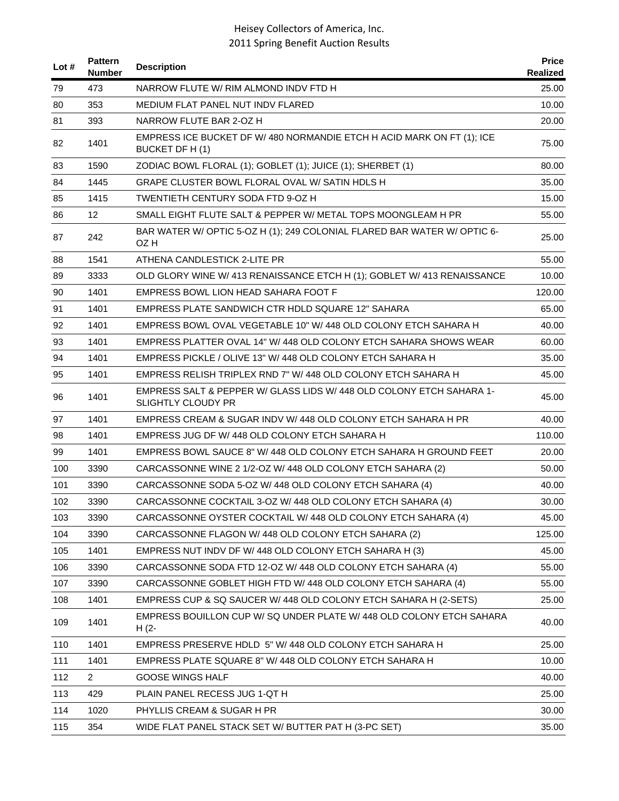| Lot $#$ | <b>Pattern</b><br>Number | <b>Description</b>                                                                                | <b>Price</b><br><b>Realized</b> |
|---------|--------------------------|---------------------------------------------------------------------------------------------------|---------------------------------|
| 79      | 473                      | NARROW FLUTE W/ RIM ALMOND INDV FTD H                                                             | 25.00                           |
| 80      | 353                      | MEDIUM FLAT PANEL NUT INDV FLARED                                                                 | 10.00                           |
| 81      | 393                      | NARROW FLUTE BAR 2-OZ H                                                                           | 20.00                           |
| 82      | 1401                     | EMPRESS ICE BUCKET DF W/ 480 NORMANDIE ETCH H ACID MARK ON FT (1); ICE<br>BUCKET DF H(1)          | 75.00                           |
| 83      | 1590                     | ZODIAC BOWL FLORAL (1); GOBLET (1); JUICE (1); SHERBET (1)                                        | 80.00                           |
| 84      | 1445                     | GRAPE CLUSTER BOWL FLORAL OVAL W/ SATIN HDLS H                                                    | 35.00                           |
| 85      | 1415                     | TWENTIETH CENTURY SODA FTD 9-OZ H                                                                 | 15.00                           |
| 86      | 12                       | SMALL EIGHT FLUTE SALT & PEPPER W/ METAL TOPS MOONGLEAM H PR                                      | 55.00                           |
| 87      | 242                      | BAR WATER W/ OPTIC 5-OZ H (1); 249 COLONIAL FLARED BAR WATER W/ OPTIC 6-<br>OZ H                  | 25.00                           |
| 88      | 1541                     | ATHENA CANDLESTICK 2-LITE PR                                                                      | 55.00                           |
| 89      | 3333                     | OLD GLORY WINE W/ 413 RENAISSANCE ETCH H (1); GOBLET W/ 413 RENAISSANCE                           | 10.00                           |
| 90      | 1401                     | EMPRESS BOWL LION HEAD SAHARA FOOT F                                                              | 120.00                          |
| 91      | 1401                     | <b>EMPRESS PLATE SANDWICH CTR HDLD SQUARE 12" SAHARA</b>                                          | 65.00                           |
| 92      | 1401                     | EMPRESS BOWL OVAL VEGETABLE 10" W/ 448 OLD COLONY ETCH SAHARA H                                   | 40.00                           |
| 93      | 1401                     | EMPRESS PLATTER OVAL 14" W/ 448 OLD COLONY ETCH SAHARA SHOWS WEAR                                 | 60.00                           |
| 94      | 1401                     | EMPRESS PICKLE / OLIVE 13" W/ 448 OLD COLONY ETCH SAHARA H                                        | 35.00                           |
| 95      | 1401                     | EMPRESS RELISH TRIPLEX RND 7" W/ 448 OLD COLONY ETCH SAHARA H                                     | 45.00                           |
| 96      | 1401                     | EMPRESS SALT & PEPPER W/ GLASS LIDS W/ 448 OLD COLONY ETCH SAHARA 1-<br><b>SLIGHTLY CLOUDY PR</b> | 45.00                           |
| 97      | 1401                     | EMPRESS CREAM & SUGAR INDV W/ 448 OLD COLONY ETCH SAHARA H PR                                     | 40.00                           |
| 98      | 1401                     | EMPRESS JUG DF W/ 448 OLD COLONY ETCH SAHARA H                                                    | 110.00                          |
| 99      | 1401                     | EMPRESS BOWL SAUCE 8" W/ 448 OLD COLONY ETCH SAHARA H GROUND FEET                                 | 20.00                           |
| 100     | 3390                     | CARCASSONNE WINE 2 1/2-OZ W/ 448 OLD COLONY ETCH SAHARA (2)                                       | 50.00                           |
| 101     | 3390                     | CARCASSONNE SODA 5-OZ W/ 448 OLD COLONY ETCH SAHARA (4)                                           | 40.00                           |
| 102     | 3390                     | CARCASSONNE COCKTAIL 3-OZ W/ 448 OLD COLONY ETCH SAHARA (4)                                       | 30.00                           |
| 103     | 3390                     | CARCASSONNE OYSTER COCKTAIL W/ 448 OLD COLONY ETCH SAHARA (4)                                     | 45.00                           |
| 104     | 3390                     | CARCASSONNE FLAGON W/ 448 OLD COLONY ETCH SAHARA (2)                                              | 125.00                          |
| 105     | 1401                     | EMPRESS NUT INDV DF W/ 448 OLD COLONY ETCH SAHARA H (3)                                           | 45.00                           |
| 106     | 3390                     | CARCASSONNE SODA FTD 12-OZ W/ 448 OLD COLONY ETCH SAHARA (4)                                      | 55.00                           |
| 107     | 3390                     | CARCASSONNE GOBLET HIGH FTD W/ 448 OLD COLONY ETCH SAHARA (4)                                     | 55.00                           |
| 108     | 1401                     | EMPRESS CUP & SQ SAUCER W/ 448 OLD COLONY ETCH SAHARA H (2-SETS)                                  | 25.00                           |
| 109     | 1401                     | EMPRESS BOUILLON CUP W/ SQ UNDER PLATE W/ 448 OLD COLONY ETCH SAHARA<br>$H(2 -$                   | 40.00                           |
| 110     | 1401                     | EMPRESS PRESERVE HDLD 5" W/ 448 OLD COLONY ETCH SAHARA H                                          | 25.00                           |
| 111     | 1401                     | EMPRESS PLATE SQUARE 8" W/ 448 OLD COLONY ETCH SAHARA H                                           | 10.00                           |
| 112     | $\overline{2}$           | <b>GOOSE WINGS HALF</b>                                                                           | 40.00                           |
| 113     | 429                      | PLAIN PANEL RECESS JUG 1-QT H                                                                     | 25.00                           |
| 114     | 1020                     | PHYLLIS CREAM & SUGAR H PR                                                                        | 30.00                           |
| 115     | 354                      | WIDE FLAT PANEL STACK SET W/ BUTTER PAT H (3-PC SET)                                              | 35.00                           |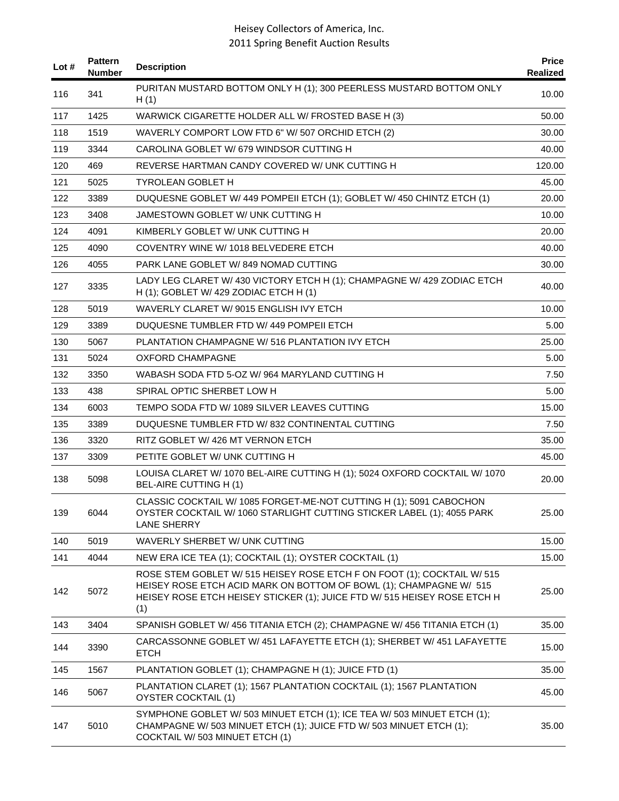| Lot # | <b>Pattern</b><br><b>Number</b> | <b>Description</b>                                                                                                                                                                                                               | <b>Price</b><br>Realized |
|-------|---------------------------------|----------------------------------------------------------------------------------------------------------------------------------------------------------------------------------------------------------------------------------|--------------------------|
| 116   | 341                             | PURITAN MUSTARD BOTTOM ONLY H (1); 300 PEERLESS MUSTARD BOTTOM ONLY<br>H(1)                                                                                                                                                      | 10.00                    |
| 117   | 1425                            | WARWICK CIGARETTE HOLDER ALL W/ FROSTED BASE H (3)                                                                                                                                                                               | 50.00                    |
| 118   | 1519                            | WAVERLY COMPORT LOW FTD 6" W/ 507 ORCHID ETCH (2)                                                                                                                                                                                | 30.00                    |
| 119   | 3344                            | CAROLINA GOBLET W/ 679 WINDSOR CUTTING H                                                                                                                                                                                         | 40.00                    |
| 120   | 469                             | REVERSE HARTMAN CANDY COVERED W/ UNK CUTTING H                                                                                                                                                                                   | 120.00                   |
| 121   | 5025                            | <b>TYROLEAN GOBLET H</b>                                                                                                                                                                                                         | 45.00                    |
| 122   | 3389                            | DUQUESNE GOBLET W/ 449 POMPEII ETCH (1); GOBLET W/ 450 CHINTZ ETCH (1)                                                                                                                                                           | 20.00                    |
| 123   | 3408                            | JAMESTOWN GOBLET W/ UNK CUTTING H                                                                                                                                                                                                | 10.00                    |
| 124   | 4091                            | KIMBERLY GOBLET W/ UNK CUTTING H                                                                                                                                                                                                 | 20.00                    |
| 125   | 4090                            | COVENTRY WINE W/ 1018 BELVEDERE ETCH                                                                                                                                                                                             | 40.00                    |
| 126   | 4055                            | PARK LANE GOBLET W/849 NOMAD CUTTING                                                                                                                                                                                             | 30.00                    |
| 127   | 3335                            | LADY LEG CLARET W/ 430 VICTORY ETCH H (1); CHAMPAGNE W/ 429 ZODIAC ETCH<br>H (1); GOBLET W/ 429 ZODIAC ETCH H (1)                                                                                                                | 40.00                    |
| 128   | 5019                            | WAVERLY CLARET W/9015 ENGLISH IVY ETCH                                                                                                                                                                                           | 10.00                    |
| 129   | 3389                            | DUQUESNE TUMBLER FTD W/449 POMPEII ETCH                                                                                                                                                                                          | 5.00                     |
| 130   | 5067                            | PLANTATION CHAMPAGNE W/516 PLANTATION IVY ETCH                                                                                                                                                                                   | 25.00                    |
| 131   | 5024                            | OXFORD CHAMPAGNE                                                                                                                                                                                                                 | 5.00                     |
| 132   | 3350                            | WABASH SODA FTD 5-OZ W/964 MARYLAND CUTTING H                                                                                                                                                                                    | 7.50                     |
| 133   | 438                             | SPIRAL OPTIC SHERBET LOW H                                                                                                                                                                                                       | 5.00                     |
| 134   | 6003                            | TEMPO SODA FTD W/ 1089 SILVER LEAVES CUTTING                                                                                                                                                                                     | 15.00                    |
| 135   | 3389                            | DUQUESNE TUMBLER FTD W/832 CONTINENTAL CUTTING                                                                                                                                                                                   | 7.50                     |
| 136   | 3320                            | RITZ GOBLET W/ 426 MT VERNON ETCH                                                                                                                                                                                                | 35.00                    |
| 137   | 3309                            | PETITE GOBLET W/ UNK CUTTING H                                                                                                                                                                                                   | 45.00                    |
| 138   | 5098                            | LOUISA CLARET W/ 1070 BEL-AIRE CUTTING H (1); 5024 OXFORD COCKTAIL W/ 1070<br>BEL-AIRE CUTTING H (1)                                                                                                                             | 20.00                    |
| 139   | 6044                            | CLASSIC COCKTAIL W/ 1085 FORGET-ME-NOT CUTTING H (1); 5091 CABOCHON<br>OYSTER COCKTAIL W/ 1060 STARLIGHT CUTTING STICKER LABEL (1); 4055 PARK<br><b>LANE SHERRY</b>                                                              | 25.00                    |
| 140   | 5019                            | WAVERLY SHERBET W/ UNK CUTTING                                                                                                                                                                                                   | 15.00                    |
| 141   | 4044                            | NEW ERA ICE TEA (1); COCKTAIL (1); OYSTER COCKTAIL (1)                                                                                                                                                                           | 15.00                    |
| 142   | 5072                            | ROSE STEM GOBLET W/ 515 HEISEY ROSE ETCH F ON FOOT (1); COCKTAIL W/ 515<br>HEISEY ROSE ETCH ACID MARK ON BOTTOM OF BOWL (1); CHAMPAGNE W/ 515<br>HEISEY ROSE ETCH HEISEY STICKER (1); JUICE FTD W/ 515 HEISEY ROSE ETCH H<br>(1) | 25.00                    |
| 143   | 3404                            | SPANISH GOBLET W/ 456 TITANIA ETCH (2); CHAMPAGNE W/ 456 TITANIA ETCH (1)                                                                                                                                                        | 35.00                    |
| 144   | 3390                            | CARCASSONNE GOBLET W/ 451 LAFAYETTE ETCH (1); SHERBET W/ 451 LAFAYETTE<br><b>ETCH</b>                                                                                                                                            | 15.00                    |
| 145   | 1567                            | PLANTATION GOBLET (1); CHAMPAGNE H (1); JUICE FTD (1)                                                                                                                                                                            | 35.00                    |
| 146   | 5067                            | PLANTATION CLARET (1); 1567 PLANTATION COCKTAIL (1); 1567 PLANTATION<br><b>OYSTER COCKTAIL (1)</b>                                                                                                                               | 45.00                    |
| 147   | 5010                            | SYMPHONE GOBLET W/ 503 MINUET ETCH (1); ICE TEA W/ 503 MINUET ETCH (1);<br>CHAMPAGNE W/ 503 MINUET ETCH (1); JUICE FTD W/ 503 MINUET ETCH (1);<br>COCKTAIL W/ 503 MINUET ETCH (1)                                                | 35.00                    |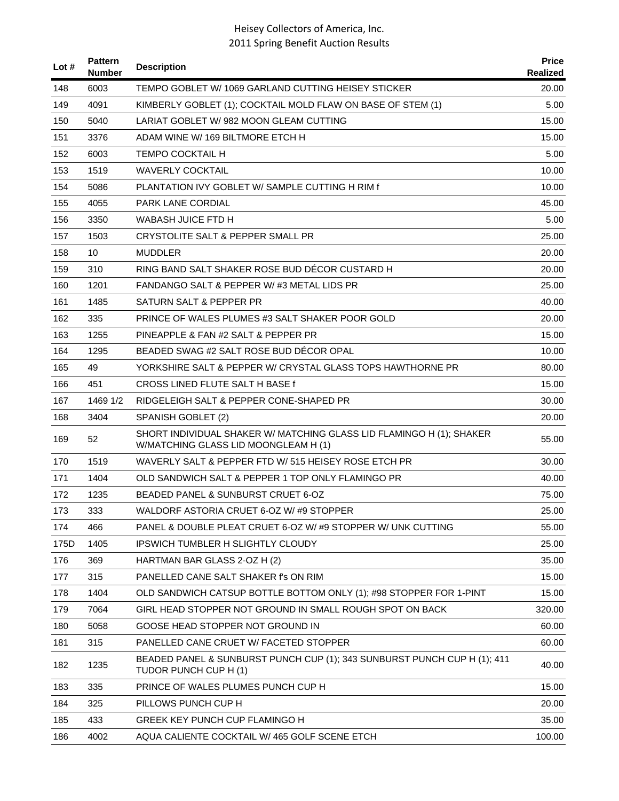| Lot # | <b>Pattern</b><br><b>Number</b> | <b>Description</b>                                                                                           | <b>Price</b><br>Realized |
|-------|---------------------------------|--------------------------------------------------------------------------------------------------------------|--------------------------|
| 148   | 6003                            | TEMPO GOBLET W/ 1069 GARLAND CUTTING HEISEY STICKER                                                          | 20.00                    |
| 149   | 4091                            | KIMBERLY GOBLET (1); COCKTAIL MOLD FLAW ON BASE OF STEM (1)                                                  | 5.00                     |
| 150   | 5040                            | LARIAT GOBLET W/982 MOON GLEAM CUTTING                                                                       | 15.00                    |
| 151   | 3376                            | ADAM WINE W/169 BILTMORE ETCH H                                                                              | 15.00                    |
| 152   | 6003                            | TEMPO COCKTAIL H                                                                                             | 5.00                     |
| 153   | 1519                            | <b>WAVERLY COCKTAIL</b>                                                                                      | 10.00                    |
| 154   | 5086                            | PLANTATION IVY GOBLET W/ SAMPLE CUTTING H RIM f                                                              | 10.00                    |
| 155   | 4055                            | <b>PARK LANE CORDIAL</b>                                                                                     | 45.00                    |
| 156   | 3350                            | WABASH JUICE FTD H                                                                                           | 5.00                     |
| 157   | 1503                            | CRYSTOLITE SALT & PEPPER SMALL PR                                                                            | 25.00                    |
| 158   | 10                              | <b>MUDDLER</b>                                                                                               | 20.00                    |
| 159   | 310                             | RING BAND SALT SHAKER ROSE BUD DÉCOR CUSTARD H                                                               | 20.00                    |
| 160   | 1201                            | FANDANGO SALT & PEPPER W/#3 METAL LIDS PR                                                                    | 25.00                    |
| 161   | 1485                            | SATURN SALT & PEPPER PR                                                                                      | 40.00                    |
| 162   | 335                             | <b>PRINCE OF WALES PLUMES #3 SALT SHAKER POOR GOLD</b>                                                       | 20.00                    |
| 163   | 1255                            | PINEAPPLE & FAN #2 SALT & PEPPER PR                                                                          | 15.00                    |
| 164   | 1295                            | BEADED SWAG #2 SALT ROSE BUD DECOR OPAL                                                                      | 10.00                    |
| 165   | 49                              | YORKSHIRE SALT & PEPPER W/ CRYSTAL GLASS TOPS HAWTHORNE PR                                                   | 80.00                    |
| 166   | 451                             | CROSS LINED FLUTE SALT H BASE f                                                                              | 15.00                    |
| 167   | 1469 1/2                        | RIDGELEIGH SALT & PEPPER CONE-SHAPED PR                                                                      | 30.00                    |
| 168   | 3404                            | SPANISH GOBLET (2)                                                                                           | 20.00                    |
| 169   | 52                              | SHORT INDIVIDUAL SHAKER W/ MATCHING GLASS LID FLAMINGO H (1); SHAKER<br>W/MATCHING GLASS LID MOONGLEAM H (1) | 55.00                    |
| 170   | 1519                            | WAVERLY SALT & PEPPER FTD W/515 HEISEY ROSE ETCH PR                                                          | 30.00                    |
| 171   | 1404                            | OLD SANDWICH SALT & PEPPER 1 TOP ONLY FLAMINGO PR                                                            | 40.00                    |
| 172   | 1235                            | BEADED PANEL & SUNBURST CRUET 6-OZ                                                                           | 75.00                    |
| 173   | 333                             | WALDORF ASTORIA CRUET 6-OZ W/ #9 STOPPER                                                                     | 25.00                    |
| 174   | 466                             | PANEL & DOUBLE PLEAT CRUET 6-OZ W/#9 STOPPER W/ UNK CUTTING                                                  | 55.00                    |
| 175D  | 1405                            | <b>IPSWICH TUMBLER H SLIGHTLY CLOUDY</b>                                                                     | 25.00                    |
| 176   | 369                             | HARTMAN BAR GLASS 2-OZ H (2)                                                                                 | 35.00                    |
| 177   | 315                             | PANELLED CANE SALT SHAKER I'S ON RIM                                                                         | 15.00                    |
| 178   | 1404                            | OLD SANDWICH CATSUP BOTTLE BOTTOM ONLY (1); #98 STOPPER FOR 1-PINT                                           | 15.00                    |
| 179   | 7064                            | GIRL HEAD STOPPER NOT GROUND IN SMALL ROUGH SPOT ON BACK                                                     | 320.00                   |
| 180   | 5058                            | GOOSE HEAD STOPPER NOT GROUND IN                                                                             | 60.00                    |
| 181   | 315                             | PANELLED CANE CRUET W/ FACETED STOPPER                                                                       | 60.00                    |
| 182   | 1235                            | BEADED PANEL & SUNBURST PUNCH CUP (1); 343 SUNBURST PUNCH CUP H (1); 411<br>TUDOR PUNCH CUP H (1)            | 40.00                    |
| 183   | 335                             | PRINCE OF WALES PLUMES PUNCH CUP H                                                                           | 15.00                    |
| 184   | 325                             | PILLOWS PUNCH CUP H                                                                                          | 20.00                    |
| 185   | 433                             | GREEK KEY PUNCH CUP FLAMINGO H                                                                               | 35.00                    |
| 186   | 4002                            | AQUA CALIENTE COCKTAIL W/ 465 GOLF SCENE ETCH                                                                | 100.00                   |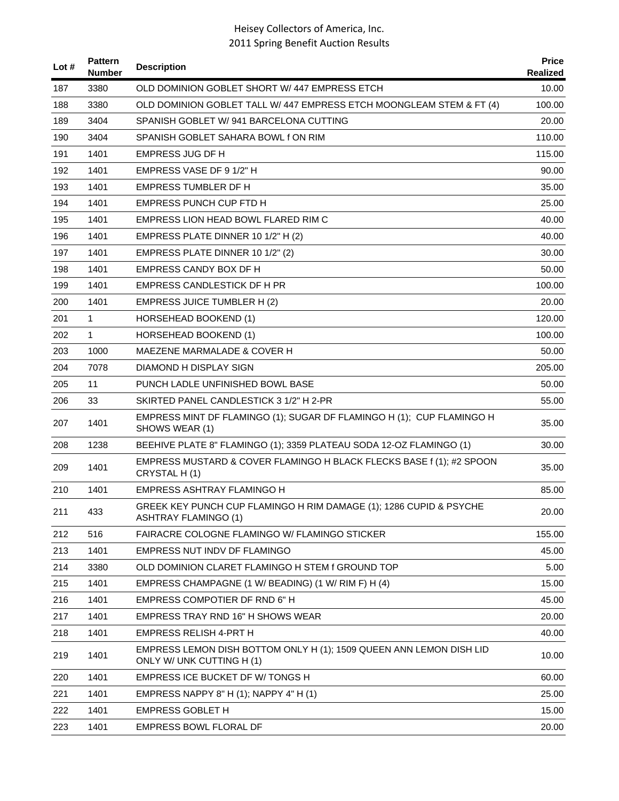| Lot # | <b>Pattern</b><br><b>Number</b> | <b>Description</b>                                                                                | <b>Price</b><br>Realized |
|-------|---------------------------------|---------------------------------------------------------------------------------------------------|--------------------------|
| 187   | 3380                            | OLD DOMINION GOBLET SHORT W/447 EMPRESS ETCH                                                      | 10.00                    |
| 188   | 3380                            | OLD DOMINION GOBLET TALL W/ 447 EMPRESS ETCH MOONGLEAM STEM & FT (4)                              | 100.00                   |
| 189   | 3404                            | SPANISH GOBLET W/941 BARCELONA CUTTING                                                            | 20.00                    |
| 190   | 3404                            | SPANISH GOBLET SAHARA BOWL fON RIM                                                                | 110.00                   |
| 191   | 1401                            | EMPRESS JUG DF H                                                                                  | 115.00                   |
| 192   | 1401                            | EMPRESS VASE DF 9 1/2" H                                                                          | 90.00                    |
| 193   | 1401                            | <b>EMPRESS TUMBLER DF H</b>                                                                       | 35.00                    |
| 194   | 1401                            | EMPRESS PUNCH CUP FTD H                                                                           | 25.00                    |
| 195   | 1401                            | EMPRESS LION HEAD BOWL FLARED RIM C                                                               | 40.00                    |
| 196   | 1401                            | EMPRESS PLATE DINNER 10 1/2" H (2)                                                                | 40.00                    |
| 197   | 1401                            | EMPRESS PLATE DINNER 10 1/2" (2)                                                                  | 30.00                    |
| 198   | 1401                            | <b>EMPRESS CANDY BOX DF H</b>                                                                     | 50.00                    |
| 199   | 1401                            | EMPRESS CANDLESTICK DF H PR                                                                       | 100.00                   |
| 200   | 1401                            | <b>EMPRESS JUICE TUMBLER H (2)</b>                                                                | 20.00                    |
| 201   | 1                               | HORSEHEAD BOOKEND (1)                                                                             | 120.00                   |
| 202   | 1                               | HORSEHEAD BOOKEND (1)                                                                             | 100.00                   |
| 203   | 1000                            | MAEZENE MARMALADE & COVER H                                                                       | 50.00                    |
| 204   | 7078                            | DIAMOND H DISPLAY SIGN                                                                            | 205.00                   |
| 205   | 11                              | PUNCH LADLE UNFINISHED BOWL BASE                                                                  | 50.00                    |
| 206   | 33                              | SKIRTED PANEL CANDLESTICK 3 1/2" H 2-PR                                                           | 55.00                    |
| 207   | 1401                            | EMPRESS MINT DF FLAMINGO (1); SUGAR DF FLAMINGO H (1); CUP FLAMINGO H<br>SHOWS WEAR (1)           | 35.00                    |
| 208   | 1238                            | BEEHIVE PLATE 8" FLAMINGO (1); 3359 PLATEAU SODA 12-OZ FLAMINGO (1)                               | 30.00                    |
| 209   | 1401                            | EMPRESS MUSTARD & COVER FLAMINGO H BLACK FLECKS BASE f (1); #2 SPOON<br>CRYSTAL H(1)              | 35.00                    |
| 210   | 1401                            | EMPRESS ASHTRAY FLAMINGO H                                                                        | 85.00                    |
| 211   | 433                             | GREEK KEY PUNCH CUP FLAMINGO H RIM DAMAGE (1); 1286 CUPID & PSYCHE<br><b>ASHTRAY FLAMINGO (1)</b> | 20.00                    |
| 212   | 516                             | FAIRACRE COLOGNE FLAMINGO W/ FLAMINGO STICKER                                                     | 155.00                   |
| 213   | 1401                            | EMPRESS NUT INDV DF FLAMINGO                                                                      | 45.00                    |
| 214   | 3380                            | OLD DOMINION CLARET FLAMINGO H STEM f GROUND TOP                                                  | 5.00                     |
| 215   | 1401                            | EMPRESS CHAMPAGNE (1 W/ BEADING) (1 W/ RIM F) H (4)                                               | 15.00                    |
| 216   | 1401                            | EMPRESS COMPOTIER DF RND 6" H                                                                     | 45.00                    |
| 217   | 1401                            | EMPRESS TRAY RND 16" H SHOWS WEAR                                                                 | 20.00                    |
| 218   | 1401                            | <b>EMPRESS RELISH 4-PRT H</b>                                                                     | 40.00                    |
| 219   | 1401                            | EMPRESS LEMON DISH BOTTOM ONLY H (1); 1509 QUEEN ANN LEMON DISH LID<br>ONLY W/ UNK CUTTING H (1)  | 10.00                    |
| 220   | 1401                            | EMPRESS ICE BUCKET DF W/ TONGS H                                                                  | 60.00                    |
| 221   | 1401                            | EMPRESS NAPPY 8" H (1); NAPPY 4" H (1)                                                            | 25.00                    |
| 222   | 1401                            | <b>EMPRESS GOBLET H</b>                                                                           | 15.00                    |
| 223   | 1401                            | EMPRESS BOWL FLORAL DF                                                                            | 20.00                    |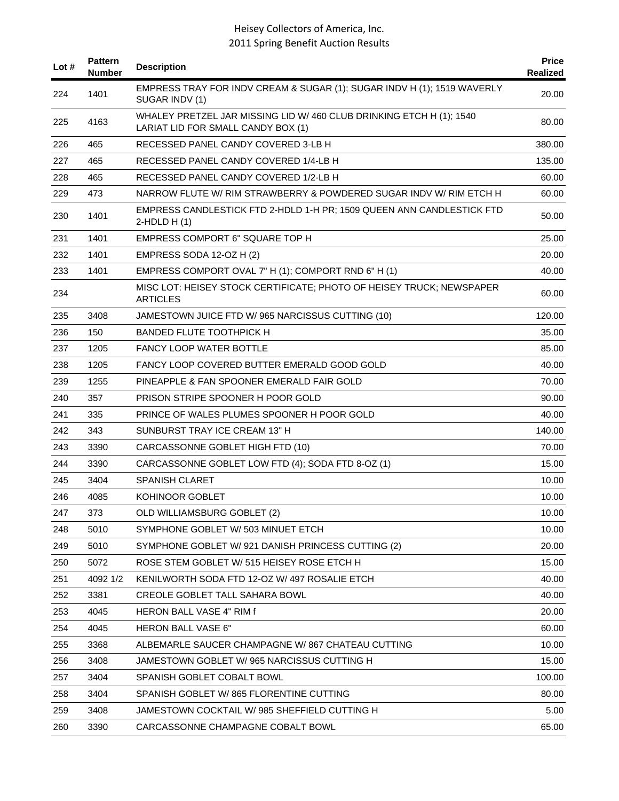| Lot $#$ | <b>Pattern</b><br><b>Number</b> | <b>Description</b>                                                                                         | <b>Price</b><br>Realized |
|---------|---------------------------------|------------------------------------------------------------------------------------------------------------|--------------------------|
| 224     | 1401                            | EMPRESS TRAY FOR INDV CREAM & SUGAR (1); SUGAR INDV H (1); 1519 WAVERLY<br>SUGAR INDV (1)                  | 20.00                    |
| 225     | 4163                            | WHALEY PRETZEL JAR MISSING LID W/ 460 CLUB DRINKING ETCH H (1); 1540<br>LARIAT LID FOR SMALL CANDY BOX (1) | 80.00                    |
| 226     | 465                             | RECESSED PANEL CANDY COVERED 3-LB H                                                                        | 380.00                   |
| 227     | 465                             | RECESSED PANEL CANDY COVERED 1/4-LB H                                                                      | 135.00                   |
| 228     | 465                             | RECESSED PANEL CANDY COVERED 1/2-LB H                                                                      | 60.00                    |
| 229     | 473                             | NARROW FLUTE W/ RIM STRAWBERRY & POWDERED SUGAR INDV W/ RIM ETCH H                                         | 60.00                    |
| 230     | 1401                            | EMPRESS CANDLESTICK FTD 2-HDLD 1-H PR; 1509 QUEEN ANN CANDLESTICK FTD<br>$2-HDLD H(1)$                     | 50.00                    |
| 231     | 1401                            | EMPRESS COMPORT 6" SQUARE TOP H                                                                            | 25.00                    |
| 232     | 1401                            | EMPRESS SODA 12-OZ H (2)                                                                                   | 20.00                    |
| 233     | 1401                            | EMPRESS COMPORT OVAL 7" H (1); COMPORT RND 6" H (1)                                                        | 40.00                    |
| 234     |                                 | MISC LOT: HEISEY STOCK CERTIFICATE; PHOTO OF HEISEY TRUCK; NEWSPAPER<br><b>ARTICLES</b>                    | 60.00                    |
| 235     | 3408                            | JAMESTOWN JUICE FTD W/ 965 NARCISSUS CUTTING (10)                                                          | 120.00                   |
| 236     | 150                             | <b>BANDED FLUTE TOOTHPICK H</b>                                                                            | 35.00                    |
| 237     | 1205                            | <b>FANCY LOOP WATER BOTTLE</b>                                                                             | 85.00                    |
| 238     | 1205                            | FANCY LOOP COVERED BUTTER EMERALD GOOD GOLD                                                                | 40.00                    |
| 239     | 1255                            | PINEAPPLE & FAN SPOONER EMERALD FAIR GOLD                                                                  | 70.00                    |
| 240     | 357                             | PRISON STRIPE SPOONER H POOR GOLD                                                                          | 90.00                    |
| 241     | 335                             | PRINCE OF WALES PLUMES SPOONER H POOR GOLD                                                                 | 40.00                    |
| 242     | 343                             | SUNBURST TRAY ICE CREAM 13" H                                                                              | 140.00                   |
| 243     | 3390                            | CARCASSONNE GOBLET HIGH FTD (10)                                                                           | 70.00                    |
| 244     | 3390                            | CARCASSONNE GOBLET LOW FTD (4); SODA FTD 8-OZ (1)                                                          | 15.00                    |
| 245     | 3404                            | <b>SPANISH CLARET</b>                                                                                      | 10.00                    |
| 246     | 4085                            | <b>KOHINOOR GOBLET</b>                                                                                     | 10.00                    |
| 247     | 373                             | OLD WILLIAMSBURG GOBLET (2)                                                                                | 10.00                    |
| 248     | 5010                            | SYMPHONE GOBLET W/ 503 MINUET ETCH                                                                         | 10.00                    |
| 249     | 5010                            | SYMPHONE GOBLET W/ 921 DANISH PRINCESS CUTTING (2)                                                         | 20.00                    |
| 250     | 5072                            | ROSE STEM GOBLET W/ 515 HEISEY ROSE ETCH H                                                                 | 15.00                    |
| 251     | 4092 1/2                        | KENILWORTH SODA FTD 12-OZ W/ 497 ROSALIE ETCH                                                              | 40.00                    |
| 252     | 3381                            | <b>CREOLE GOBLET TALL SAHARA BOWL</b>                                                                      | 40.00                    |
| 253     | 4045                            | HERON BALL VASE 4" RIM f                                                                                   | 20.00                    |
| 254     | 4045                            | <b>HERON BALL VASE 6"</b>                                                                                  | 60.00                    |
| 255     | 3368                            | ALBEMARLE SAUCER CHAMPAGNE W/867 CHATEAU CUTTING                                                           | 10.00                    |
| 256     | 3408                            | JAMESTOWN GOBLET W/965 NARCISSUS CUTTING H                                                                 | 15.00                    |
| 257     | 3404                            | SPANISH GOBLET COBALT BOWL                                                                                 | 100.00                   |
| 258     | 3404                            | SPANISH GOBLET W/865 FLORENTINE CUTTING                                                                    | 80.00                    |
| 259     | 3408                            | JAMESTOWN COCKTAIL W/985 SHEFFIELD CUTTING H                                                               | 5.00                     |
| 260     | 3390                            | CARCASSONNE CHAMPAGNE COBALT BOWL                                                                          | 65.00                    |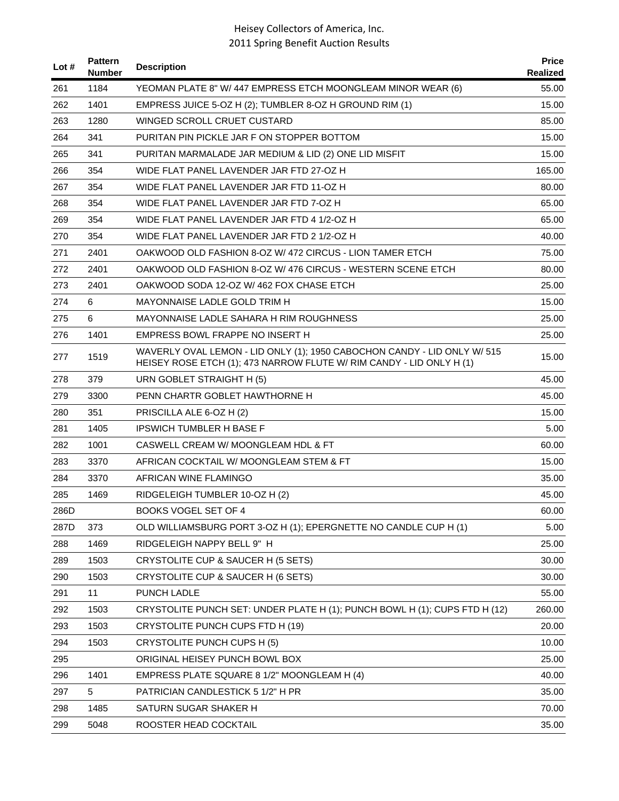| Lot # | <b>Pattern</b><br><b>Number</b> | <b>Description</b>                                                                                                                               | <b>Price</b><br>Realized |
|-------|---------------------------------|--------------------------------------------------------------------------------------------------------------------------------------------------|--------------------------|
| 261   | 1184                            | YEOMAN PLATE 8" W/ 447 EMPRESS ETCH MOONGLEAM MINOR WEAR (6)                                                                                     | 55.00                    |
| 262   | 1401                            | EMPRESS JUICE 5-OZ H (2); TUMBLER 8-OZ H GROUND RIM (1)                                                                                          | 15.00                    |
| 263   | 1280                            | WINGED SCROLL CRUET CUSTARD                                                                                                                      | 85.00                    |
| 264   | 341                             | PURITAN PIN PICKLE JAR F ON STOPPER BOTTOM                                                                                                       | 15.00                    |
| 265   | 341                             | PURITAN MARMALADE JAR MEDIUM & LID (2) ONE LID MISFIT                                                                                            | 15.00                    |
| 266   | 354                             | WIDE FLAT PANEL LAVENDER JAR FTD 27-OZ H                                                                                                         | 165.00                   |
| 267   | 354                             | WIDE FLAT PANEL LAVENDER JAR FTD 11-OZ H                                                                                                         | 80.00                    |
| 268   | 354                             | WIDE FLAT PANEL LAVENDER JAR FTD 7-OZ H                                                                                                          | 65.00                    |
| 269   | 354                             | WIDE FLAT PANEL LAVENDER JAR FTD 4 1/2-OZ H                                                                                                      | 65.00                    |
| 270   | 354                             | WIDE FLAT PANEL LAVENDER JAR FTD 2 1/2-OZ H                                                                                                      | 40.00                    |
| 271   | 2401                            | OAKWOOD OLD FASHION 8-OZ W/ 472 CIRCUS - LION TAMER ETCH                                                                                         | 75.00                    |
| 272   | 2401                            | OAKWOOD OLD FASHION 8-OZ W/ 476 CIRCUS - WESTERN SCENE ETCH                                                                                      | 80.00                    |
| 273   | 2401                            | OAKWOOD SODA 12-OZ W/ 462 FOX CHASE ETCH                                                                                                         | 25.00                    |
| 274   | 6                               | MAYONNAISE LADLE GOLD TRIM H                                                                                                                     | 15.00                    |
| 275   | 6                               | MAYONNAISE LADLE SAHARA H RIM ROUGHNESS                                                                                                          | 25.00                    |
| 276   | 1401                            | EMPRESS BOWL FRAPPE NO INSERT H                                                                                                                  | 25.00                    |
| 277   | 1519                            | WAVERLY OVAL LEMON - LID ONLY (1); 1950 CABOCHON CANDY - LID ONLY W/ 515<br>HEISEY ROSE ETCH (1); 473 NARROW FLUTE W/ RIM CANDY - LID ONLY H (1) | 15.00                    |
| 278   | 379                             | URN GOBLET STRAIGHT H (5)                                                                                                                        | 45.00                    |
| 279   | 3300                            | PENN CHARTR GOBLET HAWTHORNE H                                                                                                                   | 45.00                    |
| 280   | 351                             | PRISCILLA ALE 6-OZ H (2)                                                                                                                         | 15.00                    |
| 281   | 1405                            | <b>IPSWICH TUMBLER H BASE F</b>                                                                                                                  | 5.00                     |
| 282   | 1001                            | CASWELL CREAM W/ MOONGLEAM HDL & FT                                                                                                              | 60.00                    |
| 283   | 3370                            | AFRICAN COCKTAIL W/ MOONGLEAM STEM & FT                                                                                                          | 15.00                    |
| 284   | 3370                            | AFRICAN WINE FLAMINGO                                                                                                                            | 35.00                    |
| 285   | 1469                            | RIDGELEIGH TUMBLER 10-OZ H (2)                                                                                                                   | 45.00                    |
| 286D  |                                 | <b>BOOKS VOGEL SET OF 4</b>                                                                                                                      | 60.00                    |
| 287D  | 373                             | OLD WILLIAMSBURG PORT 3-OZ H (1); EPERGNETTE NO CANDLE CUP H (1)                                                                                 | 5.00                     |
| 288   | 1469                            | RIDGELEIGH NAPPY BELL 9" H                                                                                                                       | 25.00                    |
| 289   | 1503                            | CRYSTOLITE CUP & SAUCER H (5 SETS)                                                                                                               | 30.00                    |
| 290   | 1503                            | CRYSTOLITE CUP & SAUCER H (6 SETS)                                                                                                               | 30.00                    |
| 291   | 11                              | PUNCH LADLE                                                                                                                                      | 55.00                    |
| 292   | 1503                            | CRYSTOLITE PUNCH SET: UNDER PLATE H (1); PUNCH BOWL H (1); CUPS FTD H (12)                                                                       | 260.00                   |
| 293   | 1503                            | CRYSTOLITE PUNCH CUPS FTD H (19)                                                                                                                 | 20.00                    |
| 294   | 1503                            | CRYSTOLITE PUNCH CUPS H (5)                                                                                                                      | 10.00                    |
| 295   |                                 | ORIGINAL HEISEY PUNCH BOWL BOX                                                                                                                   | 25.00                    |
| 296   | 1401                            | EMPRESS PLATE SQUARE 8 1/2" MOONGLEAM H (4)                                                                                                      | 40.00                    |
| 297   | 5                               | PATRICIAN CANDLESTICK 5 1/2" H PR                                                                                                                | 35.00                    |
| 298   | 1485                            | SATURN SUGAR SHAKER H                                                                                                                            | 70.00                    |
| 299   | 5048                            | ROOSTER HEAD COCKTAIL                                                                                                                            | 35.00                    |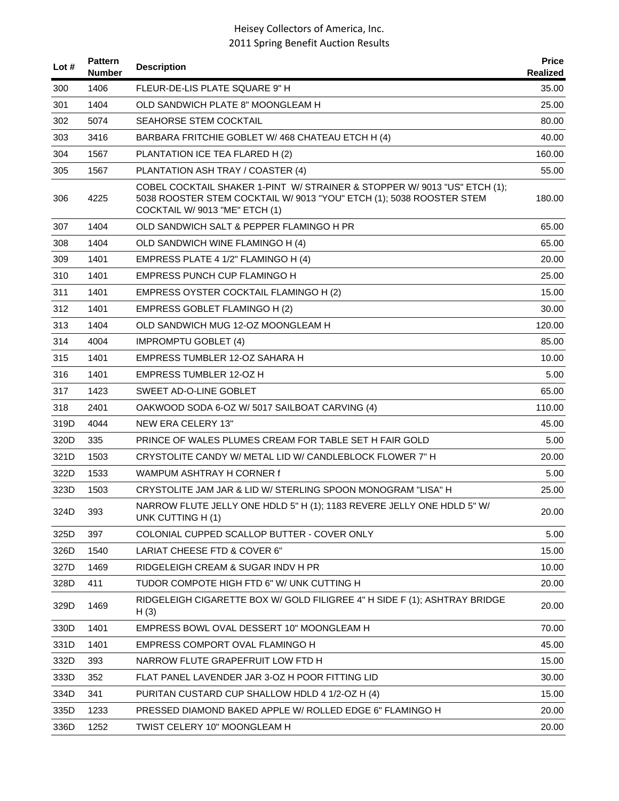| Lot $#$ | <b>Pattern</b><br>Number | <b>Description</b>                                                                                                                                                                  | <b>Price</b><br>Realized |
|---------|--------------------------|-------------------------------------------------------------------------------------------------------------------------------------------------------------------------------------|--------------------------|
| 300     | 1406                     | FLEUR-DE-LIS PLATE SQUARE 9" H                                                                                                                                                      | 35.00                    |
| 301     | 1404                     | OLD SANDWICH PLATE 8" MOONGLEAM H                                                                                                                                                   | 25.00                    |
| 302     | 5074                     | SEAHORSE STEM COCKTAIL                                                                                                                                                              | 80.00                    |
| 303     | 3416                     | BARBARA FRITCHIE GOBLET W/ 468 CHATEAU ETCH H (4)                                                                                                                                   | 40.00                    |
| 304     | 1567                     | PLANTATION ICE TEA FLARED H (2)                                                                                                                                                     | 160.00                   |
| 305     | 1567                     | PLANTATION ASH TRAY / COASTER (4)                                                                                                                                                   | 55.00                    |
| 306     | 4225                     | COBEL COCKTAIL SHAKER 1-PINT W/ STRAINER & STOPPER W/ 9013 "US" ETCH (1);<br>5038 ROOSTER STEM COCKTAIL W/ 9013 "YOU" ETCH (1); 5038 ROOSTER STEM<br>COCKTAIL W/ 9013 "ME" ETCH (1) | 180.00                   |
| 307     | 1404                     | OLD SANDWICH SALT & PEPPER FLAMINGO H PR                                                                                                                                            | 65.00                    |
| 308     | 1404                     | OLD SANDWICH WINE FLAMINGO H (4)                                                                                                                                                    | 65.00                    |
| 309     | 1401                     | EMPRESS PLATE 4 1/2" FLAMINGO H (4)                                                                                                                                                 | 20.00                    |
| 310     | 1401                     | EMPRESS PUNCH CUP FLAMINGO H                                                                                                                                                        | 25.00                    |
| 311     | 1401                     | EMPRESS OYSTER COCKTAIL FLAMINGO H (2)                                                                                                                                              | 15.00                    |
| 312     | 1401                     | EMPRESS GOBLET FLAMINGO H (2)                                                                                                                                                       | 30.00                    |
| 313     | 1404                     | OLD SANDWICH MUG 12-OZ MOONGLEAM H                                                                                                                                                  | 120.00                   |
| 314     | 4004                     | <b>IMPROMPTU GOBLET (4)</b>                                                                                                                                                         | 85.00                    |
| 315     | 1401                     | EMPRESS TUMBLER 12-OZ SAHARA H                                                                                                                                                      | 10.00                    |
| 316     | 1401                     | <b>EMPRESS TUMBLER 12-OZ H</b>                                                                                                                                                      | 5.00                     |
| 317     | 1423                     | SWEET AD-O-LINE GOBLET                                                                                                                                                              | 65.00                    |
| 318     | 2401                     | OAKWOOD SODA 6-OZ W/ 5017 SAILBOAT CARVING (4)                                                                                                                                      | 110.00                   |
| 319D    | 4044                     | <b>NEW ERA CELERY 13"</b>                                                                                                                                                           | 45.00                    |
| 320D    | 335                      | PRINCE OF WALES PLUMES CREAM FOR TABLE SET H FAIR GOLD                                                                                                                              | 5.00                     |
| 321D    | 1503                     | CRYSTOLITE CANDY W/ METAL LID W/ CANDLEBLOCK FLOWER 7" H                                                                                                                            | 20.00                    |
| 322D    | 1533                     | WAMPUM ASHTRAY H CORNER f                                                                                                                                                           | 5.00                     |
| 323D    | 1503                     | CRYSTOLITE JAM JAR & LID W/ STERLING SPOON MONOGRAM "LISA" H                                                                                                                        | 25.00                    |
| 324D    | 393                      | NARROW FLUTE JELLY ONE HDLD 5" H (1); 1183 REVERE JELLY ONE HDLD 5" W/<br>UNK CUTTING H (1)                                                                                         | 20.00                    |
| 325D    | 397                      | COLONIAL CUPPED SCALLOP BUTTER - COVER ONLY                                                                                                                                         | 5.00                     |
| 326D    | 1540                     | LARIAT CHEESE FTD & COVER 6"                                                                                                                                                        | 15.00                    |
| 327D    | 1469                     | RIDGELEIGH CREAM & SUGAR INDV H PR                                                                                                                                                  | 10.00                    |
| 328D    | 411                      | TUDOR COMPOTE HIGH FTD 6" W/ UNK CUTTING H                                                                                                                                          | 20.00                    |
| 329D    | 1469                     | RIDGELEIGH CIGARETTE BOX W/ GOLD FILIGREE 4" H SIDE F (1); ASHTRAY BRIDGE<br>H(3)                                                                                                   | 20.00                    |
| 330D    | 1401                     | EMPRESS BOWL OVAL DESSERT 10" MOONGLEAM H                                                                                                                                           | 70.00                    |
| 331D    | 1401                     | EMPRESS COMPORT OVAL FLAMINGO H                                                                                                                                                     | 45.00                    |
| 332D    | 393                      | NARROW FLUTE GRAPEFRUIT LOW FTD H                                                                                                                                                   | 15.00                    |
| 333D    | 352                      | FLAT PANEL LAVENDER JAR 3-OZ H POOR FITTING LID                                                                                                                                     | 30.00                    |
| 334D    | 341                      | PURITAN CUSTARD CUP SHALLOW HDLD 4 1/2-OZ H (4)                                                                                                                                     | 15.00                    |
| 335D    | 1233                     | PRESSED DIAMOND BAKED APPLE W/ ROLLED EDGE 6" FLAMINGO H                                                                                                                            | 20.00                    |
| 336D    | 1252                     | TWIST CELERY 10" MOONGLEAM H                                                                                                                                                        | 20.00                    |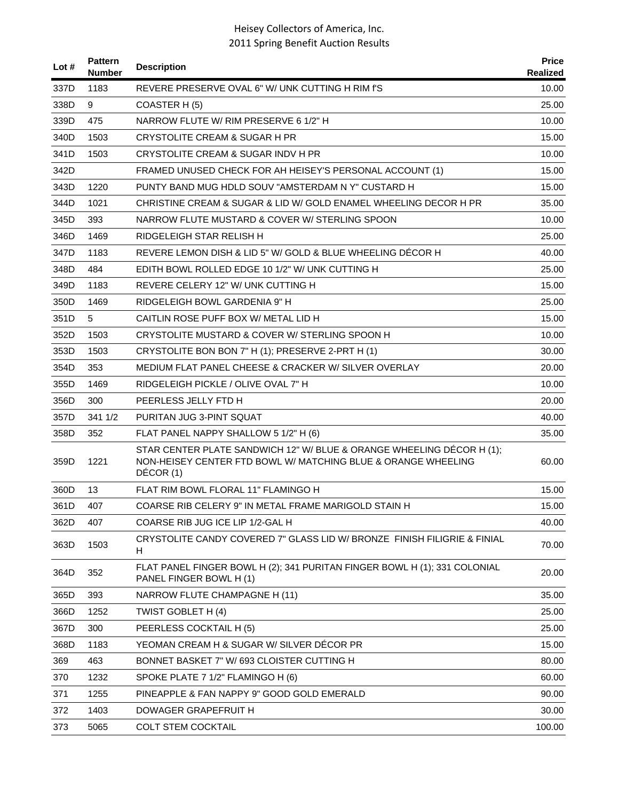| Lot # | <b>Pattern</b><br>Number | <b>Description</b>                                                                                                                                  | <b>Price</b><br>Realized |
|-------|--------------------------|-----------------------------------------------------------------------------------------------------------------------------------------------------|--------------------------|
| 337D  | 1183                     | REVERE PRESERVE OVAL 6" W/ UNK CUTTING H RIM f'S                                                                                                    | 10.00                    |
| 338D  | 9                        | COASTER H(5)                                                                                                                                        | 25.00                    |
| 339D  | 475                      | NARROW FLUTE W/ RIM PRESERVE 6 1/2" H                                                                                                               | 10.00                    |
| 340D  | 1503                     | CRYSTOLITE CREAM & SUGAR H PR                                                                                                                       | 15.00                    |
| 341D  | 1503                     | CRYSTOLITE CREAM & SUGAR INDV H PR                                                                                                                  | 10.00                    |
| 342D  |                          | FRAMED UNUSED CHECK FOR AH HEISEY'S PERSONAL ACCOUNT (1)                                                                                            | 15.00                    |
| 343D  | 1220                     | PUNTY BAND MUG HDLD SOUV "AMSTERDAM N Y" CUSTARD H                                                                                                  | 15.00                    |
| 344D  | 1021                     | CHRISTINE CREAM & SUGAR & LID W/ GOLD ENAMEL WHEELING DECOR H PR                                                                                    | 35.00                    |
| 345D  | 393                      | NARROW FLUTE MUSTARD & COVER W/ STERLING SPOON                                                                                                      | 10.00                    |
| 346D  | 1469                     | RIDGELEIGH STAR RELISH H                                                                                                                            | 25.00                    |
| 347D  | 1183                     | REVERE LEMON DISH & LID 5" W/ GOLD & BLUE WHEELING DECOR H                                                                                          | 40.00                    |
| 348D  | 484                      | EDITH BOWL ROLLED EDGE 10 1/2" W/ UNK CUTTING H                                                                                                     | 25.00                    |
| 349D  | 1183                     | REVERE CELERY 12" W/ UNK CUTTING H                                                                                                                  | 15.00                    |
| 350D  | 1469                     | RIDGELEIGH BOWL GARDENIA 9" H                                                                                                                       | 25.00                    |
| 351D  | 5                        | CAITLIN ROSE PUFF BOX W/ METAL LID H                                                                                                                | 15.00                    |
| 352D  | 1503                     | CRYSTOLITE MUSTARD & COVER W/ STERLING SPOON H                                                                                                      | 10.00                    |
| 353D  | 1503                     | CRYSTOLITE BON BON 7" H (1); PRESERVE 2-PRT H (1)                                                                                                   | 30.00                    |
| 354D  | 353                      | MEDIUM FLAT PANEL CHEESE & CRACKER W/ SILVER OVERLAY                                                                                                | 20.00                    |
| 355D  | 1469                     | RIDGELEIGH PICKLE / OLIVE OVAL 7" H                                                                                                                 | 10.00                    |
| 356D  | 300                      | PEERLESS JELLY FTD H                                                                                                                                | 20.00                    |
| 357D  | 341 1/2                  | PURITAN JUG 3-PINT SQUAT                                                                                                                            | 40.00                    |
| 358D  | 352                      | FLAT PANEL NAPPY SHALLOW 5 1/2" H (6)                                                                                                               | 35.00                    |
| 359D  | 1221                     | STAR CENTER PLATE SANDWICH 12" W/ BLUE & ORANGE WHEELING DÉCOR H (1);<br>NON-HEISEY CENTER FTD BOWL W/ MATCHING BLUE & ORANGE WHEELING<br>DÉCOR (1) | 60.00                    |
| 360D  | 13                       | FLAT RIM BOWL FLORAL 11" FLAMINGO H                                                                                                                 | 15.00                    |
| 361D  | 407                      | COARSE RIB CELERY 9" IN METAL FRAME MARIGOLD STAIN H                                                                                                | 15.00                    |
| 362D  | 407                      | COARSE RIB JUG ICE LIP 1/2-GAL H                                                                                                                    | 40.00                    |
| 363D  | 1503                     | CRYSTOLITE CANDY COVERED 7" GLASS LID W/ BRONZE FINISH FILIGRIE & FINIAL<br>H.                                                                      | 70.00                    |
| 364D  | 352                      | FLAT PANEL FINGER BOWL H (2); 341 PURITAN FINGER BOWL H (1); 331 COLONIAL<br>PANEL FINGER BOWL H (1)                                                | 20.00                    |
| 365D  | 393                      | NARROW FLUTE CHAMPAGNE H (11)                                                                                                                       | 35.00                    |
| 366D  | 1252                     | TWIST GOBLET H (4)                                                                                                                                  | 25.00                    |
| 367D  | 300                      | PEERLESS COCKTAIL H (5)                                                                                                                             | 25.00                    |
| 368D  | 1183                     | YEOMAN CREAM H & SUGAR W/ SILVER DECOR PR                                                                                                           | 15.00                    |
| 369   | 463                      | BONNET BASKET 7" W/ 693 CLOISTER CUTTING H                                                                                                          | 80.00                    |
| 370   | 1232                     | SPOKE PLATE 7 1/2" FLAMINGO H (6)                                                                                                                   | 60.00                    |
| 371   | 1255                     | PINEAPPLE & FAN NAPPY 9" GOOD GOLD EMERALD                                                                                                          | 90.00                    |
| 372   | 1403                     | DOWAGER GRAPEFRUIT H                                                                                                                                | 30.00                    |
| 373   | 5065                     | <b>COLT STEM COCKTAIL</b>                                                                                                                           | 100.00                   |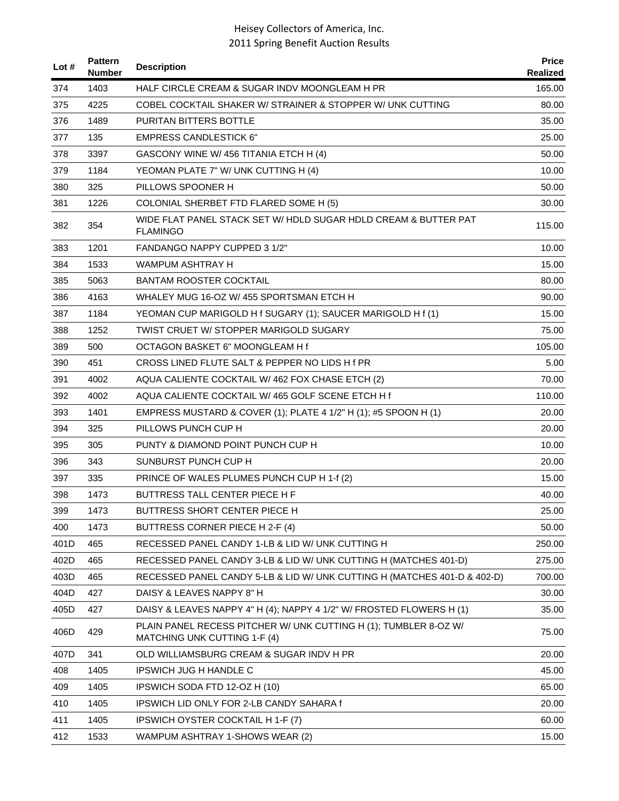| Lot # | <b>Pattern</b><br><b>Number</b> | <b>Description</b>                                                                               | <b>Price</b><br>Realized |
|-------|---------------------------------|--------------------------------------------------------------------------------------------------|--------------------------|
| 374   | 1403                            | HALF CIRCLE CREAM & SUGAR INDV MOONGLEAM H PR                                                    | 165.00                   |
| 375   | 4225                            | COBEL COCKTAIL SHAKER W/ STRAINER & STOPPER W/ UNK CUTTING                                       | 80.00                    |
| 376   | 1489                            | <b>PURITAN BITTERS BOTTLE</b>                                                                    | 35.00                    |
| 377   | 135                             | <b>EMPRESS CANDLESTICK 6"</b>                                                                    | 25.00                    |
| 378   | 3397                            | GASCONY WINE W/456 TITANIA ETCH H (4)                                                            | 50.00                    |
| 379   | 1184                            | YEOMAN PLATE 7" W/ UNK CUTTING H (4)                                                             | 10.00                    |
| 380   | 325                             | PILLOWS SPOONER H                                                                                | 50.00                    |
| 381   | 1226                            | COLONIAL SHERBET FTD FLARED SOME H (5)                                                           | 30.00                    |
| 382   | 354                             | WIDE FLAT PANEL STACK SET W/HDLD SUGAR HDLD CREAM & BUTTER PAT<br><b>FLAMINGO</b>                | 115.00                   |
| 383   | 1201                            | <b>FANDANGO NAPPY CUPPED 3 1/2"</b>                                                              | 10.00                    |
| 384   | 1533                            | <b>WAMPUM ASHTRAY H</b>                                                                          | 15.00                    |
| 385   | 5063                            | BANTAM ROOSTER COCKTAIL                                                                          | 80.00                    |
| 386   | 4163                            | WHALEY MUG 16-OZ W/455 SPORTSMAN ETCH H                                                          | 90.00                    |
| 387   | 1184                            | YEOMAN CUP MARIGOLD H f SUGARY (1); SAUCER MARIGOLD H f (1)                                      | 15.00                    |
| 388   | 1252                            | TWIST CRUET W/ STOPPER MARIGOLD SUGARY                                                           | 75.00                    |
| 389   | 500                             | OCTAGON BASKET 6" MOONGLEAM H f                                                                  | 105.00                   |
| 390   | 451                             | CROSS LINED FLUTE SALT & PEPPER NO LIDS H f PR                                                   | 5.00                     |
| 391   | 4002                            | AQUA CALIENTE COCKTAIL W/462 FOX CHASE ETCH (2)                                                  | 70.00                    |
| 392   | 4002                            | AQUA CALIENTE COCKTAIL W/465 GOLF SCENE ETCH H1                                                  | 110.00                   |
| 393   | 1401                            | EMPRESS MUSTARD & COVER (1); PLATE 4 1/2" H (1); #5 SPOON H (1)                                  | 20.00                    |
| 394   | 325                             | PILLOWS PUNCH CUP H                                                                              | 20.00                    |
| 395   | 305                             | PUNTY & DIAMOND POINT PUNCH CUP H                                                                | 10.00                    |
| 396   | 343                             | SUNBURST PUNCH CUP H                                                                             | 20.00                    |
| 397   | 335                             | PRINCE OF WALES PLUMES PUNCH CUP H 1-f (2)                                                       | 15.00                    |
| 398   | 1473                            | BUTTRESS TALL CENTER PIECE H F                                                                   | 40.00                    |
| 399   | 1473                            | BUTTRESS SHORT CENTER PIECE H                                                                    | 25.00                    |
| 400   | 1473                            | BUTTRESS CORNER PIECE H 2-F (4)                                                                  | 50.00                    |
| 401D  | 465                             | RECESSED PANEL CANDY 1-LB & LID W/ UNK CUTTING H                                                 | 250.00                   |
| 402D  | 465                             | RECESSED PANEL CANDY 3-LB & LID W/ UNK CUTTING H (MATCHES 401-D)                                 | 275.00                   |
| 403D  | 465                             | RECESSED PANEL CANDY 5-LB & LID W/ UNK CUTTING H (MATCHES 401-D & 402-D)                         | 700.00                   |
| 404D  | 427                             | DAISY & LEAVES NAPPY 8" H                                                                        | 30.00                    |
| 405D  | 427                             | DAISY & LEAVES NAPPY 4" H (4); NAPPY 4 1/2" W/ FROSTED FLOWERS H (1)                             | 35.00                    |
| 406D  | 429                             | PLAIN PANEL RECESS PITCHER W/ UNK CUTTING H (1); TUMBLER 8-OZ W/<br>MATCHING UNK CUTTING 1-F (4) | 75.00                    |
| 407D  | 341                             | OLD WILLIAMSBURG CREAM & SUGAR INDV H PR                                                         | 20.00                    |
| 408   | 1405                            | <b>IPSWICH JUG H HANDLE C</b>                                                                    | 45.00                    |
| 409   | 1405                            | IPSWICH SODA FTD 12-OZ H (10)                                                                    | 65.00                    |
| 410   | 1405                            | IPSWICH LID ONLY FOR 2-LB CANDY SAHARA f                                                         | 20.00                    |
| 411   | 1405                            | IPSWICH OYSTER COCKTAIL H 1-F (7)                                                                | 60.00                    |
| 412   | 1533                            | WAMPUM ASHTRAY 1-SHOWS WEAR (2)                                                                  | 15.00                    |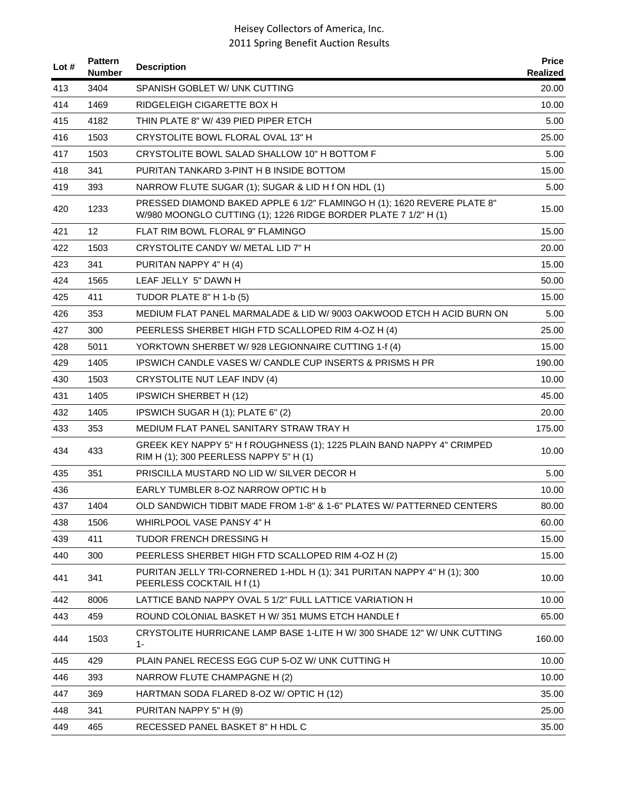| Lot # | <b>Pattern</b><br>Number | <b>Description</b>                                                                                                                         | <b>Price</b><br>Realized |
|-------|--------------------------|--------------------------------------------------------------------------------------------------------------------------------------------|--------------------------|
| 413   | 3404                     | SPANISH GOBLET W/ UNK CUTTING                                                                                                              | 20.00                    |
| 414   | 1469                     | RIDGELEIGH CIGARETTE BOX H                                                                                                                 | 10.00                    |
| 415   | 4182                     | THIN PLATE 8" W/ 439 PIED PIPER ETCH                                                                                                       | 5.00                     |
| 416   | 1503                     | CRYSTOLITE BOWL FLORAL OVAL 13" H                                                                                                          | 25.00                    |
| 417   | 1503                     | CRYSTOLITE BOWL SALAD SHALLOW 10" H BOTTOM F                                                                                               | 5.00                     |
| 418   | 341                      | PURITAN TANKARD 3-PINT H B INSIDE BOTTOM                                                                                                   | 15.00                    |
| 419   | 393                      | NARROW FLUTE SUGAR (1); SUGAR & LID H f ON HDL (1)                                                                                         | 5.00                     |
| 420   | 1233                     | PRESSED DIAMOND BAKED APPLE 6 1/2" FLAMINGO H (1); 1620 REVERE PLATE 8"<br>W/980 MOONGLO CUTTING (1); 1226 RIDGE BORDER PLATE 7 1/2" H (1) | 15.00                    |
| 421   | 12                       | FLAT RIM BOWL FLORAL 9" FLAMINGO                                                                                                           | 15.00                    |
| 422   | 1503                     | CRYSTOLITE CANDY W/ METAL LID 7" H                                                                                                         | 20.00                    |
| 423   | 341                      | PURITAN NAPPY 4" H (4)                                                                                                                     | 15.00                    |
| 424   | 1565                     | LEAF JELLY 5" DAWN H                                                                                                                       | 50.00                    |
| 425   | 411                      | TUDOR PLATE 8" H 1-b (5)                                                                                                                   | 15.00                    |
| 426   | 353                      | MEDIUM FLAT PANEL MARMALADE & LID W/ 9003 OAKWOOD ETCH H ACID BURN ON                                                                      | 5.00                     |
| 427   | 300                      | PEERLESS SHERBET HIGH FTD SCALLOPED RIM 4-OZ H (4)                                                                                         | 25.00                    |
| 428   | 5011                     | YORKTOWN SHERBET W/928 LEGIONNAIRE CUTTING 1-f (4)                                                                                         | 15.00                    |
| 429   | 1405                     | <b>IPSWICH CANDLE VASES W/ CANDLE CUP INSERTS &amp; PRISMS H PR</b>                                                                        | 190.00                   |
| 430   | 1503                     | CRYSTOLITE NUT LEAF INDV (4)                                                                                                               | 10.00                    |
| 431   | 1405                     | <b>IPSWICH SHERBET H (12)</b>                                                                                                              | 45.00                    |
| 432   | 1405                     | IPSWICH SUGAR H (1); PLATE 6" (2)                                                                                                          | 20.00                    |
| 433   | 353                      | MEDIUM FLAT PANEL SANITARY STRAW TRAY H                                                                                                    | 175.00                   |
| 434   | 433                      | GREEK KEY NAPPY 5" H f ROUGHNESS (1); 1225 PLAIN BAND NAPPY 4" CRIMPED<br>RIM H (1); 300 PEERLESS NAPPY 5" H (1)                           | 10.00                    |
| 435   | 351                      | PRISCILLA MUSTARD NO LID W/ SILVER DECOR H                                                                                                 | 5.00                     |
| 436   |                          | EARLY TUMBLER 8-OZ NARROW OPTIC H b                                                                                                        | 10.00                    |
| 437   | 1404                     | OLD SANDWICH TIDBIT MADE FROM 1-8" & 1-6" PLATES W/ PATTERNED CENTERS                                                                      | 80.00                    |
| 438   | 1506                     | WHIRLPOOL VASE PANSY 4" H                                                                                                                  | 60.00                    |
| 439   | 411                      | <b>TUDOR FRENCH DRESSING H</b>                                                                                                             | 15.00                    |
| 440   | 300                      | PEERLESS SHERBET HIGH FTD SCALLOPED RIM 4-OZ H (2)                                                                                         | 15.00                    |
| 441   | 341                      | PURITAN JELLY TRI-CORNERED 1-HDL H (1); 341 PURITAN NAPPY 4" H (1); 300<br>PEERLESS COCKTAIL H f (1)                                       | 10.00                    |
| 442   | 8006                     | LATTICE BAND NAPPY OVAL 5 1/2" FULL LATTICE VARIATION H                                                                                    | 10.00                    |
| 443   | 459                      | ROUND COLONIAL BASKET H W/351 MUMS ETCH HANDLE f                                                                                           | 65.00                    |
| 444   | 1503                     | CRYSTOLITE HURRICANE LAMP BASE 1-LITE H W/300 SHADE 12" W/ UNK CUTTING<br>$1 -$                                                            | 160.00                   |
| 445   | 429                      | PLAIN PANEL RECESS EGG CUP 5-OZ W/ UNK CUTTING H                                                                                           | 10.00                    |
| 446   | 393                      | NARROW FLUTE CHAMPAGNE H (2)                                                                                                               | 10.00                    |
| 447   | 369                      | HARTMAN SODA FLARED 8-OZ W/ OPTIC H (12)                                                                                                   | 35.00                    |
| 448   | 341                      | PURITAN NAPPY 5" H (9)                                                                                                                     | 25.00                    |
| 449   | 465                      | RECESSED PANEL BASKET 8" H HDL C                                                                                                           | 35.00                    |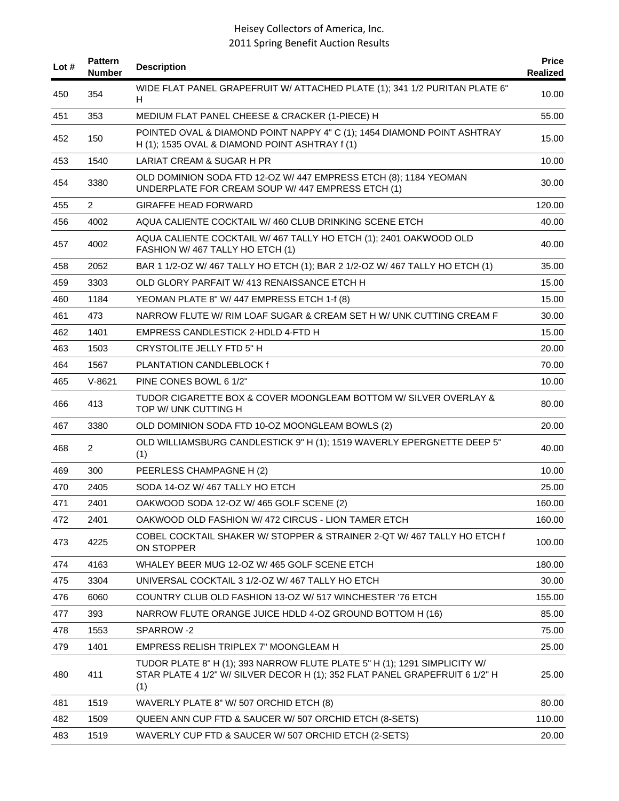| Lot # | <b>Pattern</b><br><b>Number</b> | <b>Description</b>                                                                                                                                              | <b>Price</b><br>Realized |
|-------|---------------------------------|-----------------------------------------------------------------------------------------------------------------------------------------------------------------|--------------------------|
| 450   | 354                             | WIDE FLAT PANEL GRAPEFRUIT W/ ATTACHED PLATE (1); 341 1/2 PURITAN PLATE 6"<br>H                                                                                 | 10.00                    |
| 451   | 353                             | MEDIUM FLAT PANEL CHEESE & CRACKER (1-PIECE) H                                                                                                                  | 55.00                    |
| 452   | 150                             | POINTED OVAL & DIAMOND POINT NAPPY 4" C (1); 1454 DIAMOND POINT ASHTRAY<br>H (1); 1535 OVAL & DIAMOND POINT ASHTRAY f (1)                                       | 15.00                    |
| 453   | 1540                            | LARIAT CREAM & SUGAR H PR                                                                                                                                       | 10.00                    |
| 454   | 3380                            | OLD DOMINION SODA FTD 12-OZ W/ 447 EMPRESS ETCH (8); 1184 YEOMAN<br>UNDERPLATE FOR CREAM SOUP W/ 447 EMPRESS ETCH (1)                                           | 30.00                    |
| 455   | $\overline{2}$                  | <b>GIRAFFE HEAD FORWARD</b>                                                                                                                                     | 120.00                   |
| 456   | 4002                            | AQUA CALIENTE COCKTAIL W/460 CLUB DRINKING SCENE ETCH                                                                                                           | 40.00                    |
| 457   | 4002                            | AQUA CALIENTE COCKTAIL W/ 467 TALLY HO ETCH (1); 2401 OAKWOOD OLD<br>FASHION W/467 TALLY HO ETCH (1)                                                            | 40.00                    |
| 458   | 2052                            | BAR 1 1/2-OZ W/ 467 TALLY HO ETCH (1); BAR 2 1/2-OZ W/ 467 TALLY HO ETCH (1)                                                                                    | 35.00                    |
| 459   | 3303                            | OLD GLORY PARFAIT W/413 RENAISSANCE ETCH H                                                                                                                      | 15.00                    |
| 460   | 1184                            | YEOMAN PLATE 8" W/ 447 EMPRESS ETCH 1-f (8)                                                                                                                     | 15.00                    |
| 461   | 473                             | NARROW FLUTE W/ RIM LOAF SUGAR & CREAM SET H W/ UNK CUTTING CREAM F                                                                                             | 30.00                    |
| 462   | 1401                            | EMPRESS CANDLESTICK 2-HDLD 4-FTD H                                                                                                                              | 15.00                    |
| 463   | 1503                            | <b>CRYSTOLITE JELLY FTD 5" H</b>                                                                                                                                | 20.00                    |
| 464   | 1567                            | PLANTATION CANDLEBLOCK f                                                                                                                                        | 70.00                    |
| 465   | $V-8621$                        | PINE CONES BOWL 6 1/2"                                                                                                                                          | 10.00                    |
| 466   | 413                             | TUDOR CIGARETTE BOX & COVER MOONGLEAM BOTTOM W/ SILVER OVERLAY &<br>TOP W/ UNK CUTTING H                                                                        | 80.00                    |
| 467   | 3380                            | OLD DOMINION SODA FTD 10-OZ MOONGLEAM BOWLS (2)                                                                                                                 | 20.00                    |
| 468   | $\overline{2}$                  | OLD WILLIAMSBURG CANDLESTICK 9" H (1); 1519 WAVERLY EPERGNETTE DEEP 5"<br>(1)                                                                                   | 40.00                    |
| 469   | 300                             | PEERLESS CHAMPAGNE H (2)                                                                                                                                        | 10.00                    |
| 470   | 2405                            | SODA 14-OZ W/467 TALLY HO ETCH                                                                                                                                  | 25.00                    |
| 471   | 2401                            | OAKWOOD SODA 12-OZ W/ 465 GOLF SCENE (2)                                                                                                                        | 160.00                   |
| 472   | 2401                            | OAKWOOD OLD FASHION W/472 CIRCUS - LION TAMER ETCH                                                                                                              | 160.00                   |
| 473   | 4225                            | COBEL COCKTAIL SHAKER W/ STOPPER & STRAINER 2-QT W/ 467 TALLY HO ETCH f<br>ON STOPPER                                                                           | 100.00                   |
| 474   | 4163                            | WHALEY BEER MUG 12-OZ W/ 465 GOLF SCENE ETCH                                                                                                                    | 180.00                   |
| 475   | 3304                            | UNIVERSAL COCKTAIL 3 1/2-OZ W/ 467 TALLY HO ETCH                                                                                                                | 30.00                    |
| 476   | 6060                            | COUNTRY CLUB OLD FASHION 13-OZ W/ 517 WINCHESTER '76 ETCH                                                                                                       | 155.00                   |
| 477   | 393                             | NARROW FLUTE ORANGE JUICE HDLD 4-OZ GROUND BOTTOM H (16)                                                                                                        | 85.00                    |
| 478   | 1553                            | SPARROW-2                                                                                                                                                       | 75.00                    |
| 479   | 1401                            | EMPRESS RELISH TRIPLEX 7" MOONGLEAM H                                                                                                                           | 25.00                    |
| 480   | 411                             | TUDOR PLATE 8" H (1); 393 NARROW FLUTE PLATE 5" H (1); 1291 SIMPLICITY W/<br>STAR PLATE 4 1/2" W/ SILVER DECOR H (1); 352 FLAT PANEL GRAPEFRUIT 6 1/2" H<br>(1) | 25.00                    |
| 481   | 1519                            | WAVERLY PLATE 8" W/ 507 ORCHID ETCH (8)                                                                                                                         | 80.00                    |
| 482   | 1509                            | QUEEN ANN CUP FTD & SAUCER W/ 507 ORCHID ETCH (8-SETS)                                                                                                          | 110.00                   |
| 483   | 1519                            | WAVERLY CUP FTD & SAUCER W/ 507 ORCHID ETCH (2-SETS)                                                                                                            | 20.00                    |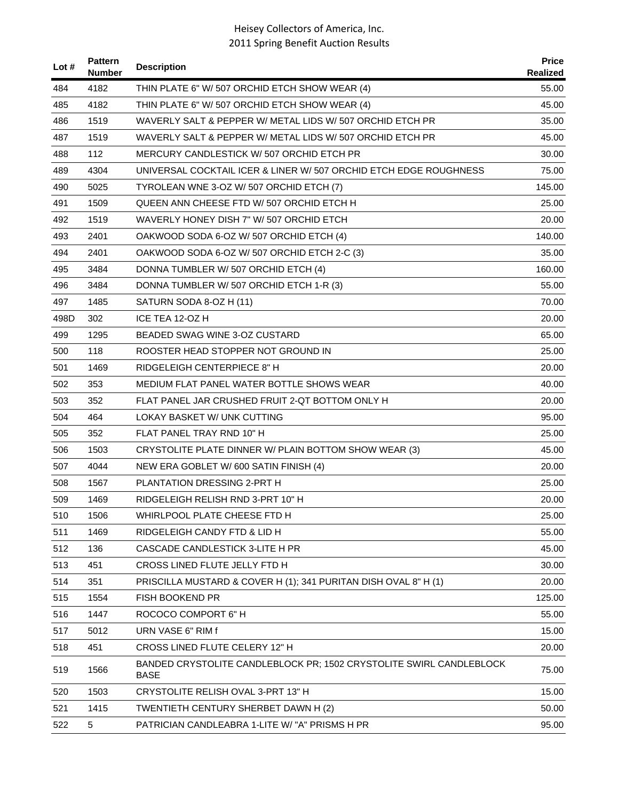| Lot $#$ | <b>Pattern</b><br><b>Number</b> | <b>Description</b>                                                                 | <b>Price</b><br>Realized |
|---------|---------------------------------|------------------------------------------------------------------------------------|--------------------------|
| 484     | 4182                            | THIN PLATE 6" W/ 507 ORCHID ETCH SHOW WEAR (4)                                     | 55.00                    |
| 485     | 4182                            | THIN PLATE 6" W/ 507 ORCHID ETCH SHOW WEAR (4)                                     | 45.00                    |
| 486     | 1519                            | WAVERLY SALT & PEPPER W/ METAL LIDS W/ 507 ORCHID ETCH PR                          | 35.00                    |
| 487     | 1519                            | WAVERLY SALT & PEPPER W/ METAL LIDS W/ 507 ORCHID ETCH PR                          | 45.00                    |
| 488     | 112                             | MERCURY CANDLESTICK W/507 ORCHID ETCH PR                                           | 30.00                    |
| 489     | 4304                            | UNIVERSAL COCKTAIL ICER & LINER W/ 507 ORCHID ETCH EDGE ROUGHNESS                  | 75.00                    |
| 490     | 5025                            | TYROLEAN WNE 3-OZ W/ 507 ORCHID ETCH (7)                                           | 145.00                   |
| 491     | 1509                            | QUEEN ANN CHEESE FTD W/507 ORCHID ETCH H                                           | 25.00                    |
| 492     | 1519                            | WAVERLY HONEY DISH 7" W/ 507 ORCHID ETCH                                           | 20.00                    |
| 493     | 2401                            | OAKWOOD SODA 6-OZ W/ 507 ORCHID ETCH (4)                                           | 140.00                   |
| 494     | 2401                            | OAKWOOD SODA 6-OZ W/ 507 ORCHID ETCH 2-C (3)                                       | 35.00                    |
| 495     | 3484                            | DONNA TUMBLER W/ 507 ORCHID ETCH (4)                                               | 160.00                   |
| 496     | 3484                            | DONNA TUMBLER W/ 507 ORCHID ETCH 1-R (3)                                           | 55.00                    |
| 497     | 1485                            | SATURN SODA 8-OZ H (11)                                                            | 70.00                    |
| 498D    | 302                             | ICE TEA 12-OZ H                                                                    | 20.00                    |
| 499     | 1295                            | BEADED SWAG WINE 3-OZ CUSTARD                                                      | 65.00                    |
| 500     | 118                             | ROOSTER HEAD STOPPER NOT GROUND IN                                                 | 25.00                    |
| 501     | 1469                            | RIDGELEIGH CENTERPIECE 8" H                                                        | 20.00                    |
| 502     | 353                             | MEDIUM FLAT PANEL WATER BOTTLE SHOWS WEAR                                          | 40.00                    |
| 503     | 352                             | FLAT PANEL JAR CRUSHED FRUIT 2-QT BOTTOM ONLY H                                    | 20.00                    |
| 504     | 464                             | LOKAY BASKET W/ UNK CUTTING                                                        | 95.00                    |
| 505     | 352                             | FLAT PANEL TRAY RND 10" H                                                          | 25.00                    |
| 506     | 1503                            | CRYSTOLITE PLATE DINNER W/ PLAIN BOTTOM SHOW WEAR (3)                              | 45.00                    |
| 507     | 4044                            | NEW ERA GOBLET W/ 600 SATIN FINISH (4)                                             | 20.00                    |
| 508     | 1567                            | PLANTATION DRESSING 2-PRT H                                                        | 25.00                    |
| 509     | 1469                            | RIDGELEIGH RELISH RND 3-PRT 10" H                                                  | 20.00                    |
| 510     | 1506                            | WHIRLPOOL PLATE CHEESE FTD H                                                       | 25.00                    |
| 511     | 1469                            | RIDGELEIGH CANDY FTD & LID H                                                       | 55.00                    |
| 512     | 136                             | CASCADE CANDLESTICK 3-LITE H PR                                                    | 45.00                    |
| 513     | 451                             | CROSS LINED FLUTE JELLY FTD H                                                      | 30.00                    |
| 514     | 351                             | PRISCILLA MUSTARD & COVER H (1); 341 PURITAN DISH OVAL 8" H (1)                    | 20.00                    |
| 515     | 1554                            | FISH BOOKEND PR                                                                    | 125.00                   |
| 516     | 1447                            | ROCOCO COMPORT 6" H                                                                | 55.00                    |
| 517     | 5012                            | URN VASE 6" RIM f                                                                  | 15.00                    |
| 518     | 451                             | CROSS LINED FLUTE CELERY 12" H                                                     | 20.00                    |
| 519     | 1566                            | BANDED CRYSTOLITE CANDLEBLOCK PR; 1502 CRYSTOLITE SWIRL CANDLEBLOCK<br><b>BASE</b> | 75.00                    |
| 520     | 1503                            | CRYSTOLITE RELISH OVAL 3-PRT 13" H                                                 | 15.00                    |
| 521     | 1415                            | TWENTIETH CENTURY SHERBET DAWN H (2)                                               | 50.00                    |
| 522     | 5                               | PATRICIAN CANDLEABRA 1-LITE W/ "A" PRISMS H PR                                     | 95.00                    |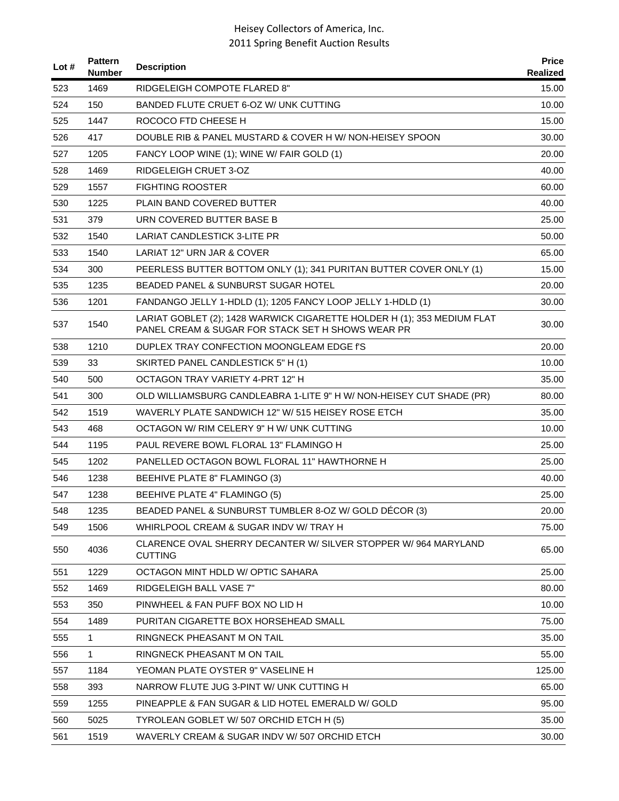| Lot $#$ | <b>Pattern</b><br><b>Number</b> | <b>Description</b>                                                                                                           | <b>Price</b><br>Realized |
|---------|---------------------------------|------------------------------------------------------------------------------------------------------------------------------|--------------------------|
| 523     | 1469                            | <b>RIDGELEIGH COMPOTE FLARED 8"</b>                                                                                          | 15.00                    |
| 524     | 150                             | BANDED FLUTE CRUET 6-OZ W/ UNK CUTTING                                                                                       | 10.00                    |
| 525     | 1447                            | ROCOCO FTD CHEESE H                                                                                                          | 15.00                    |
| 526     | 417                             | DOUBLE RIB & PANEL MUSTARD & COVER H W/ NON-HEISEY SPOON                                                                     | 30.00                    |
| 527     | 1205                            | FANCY LOOP WINE (1); WINE W/ FAIR GOLD (1)                                                                                   | 20.00                    |
| 528     | 1469                            | RIDGELEIGH CRUET 3-OZ                                                                                                        | 40.00                    |
| 529     | 1557                            | <b>FIGHTING ROOSTER</b>                                                                                                      | 60.00                    |
| 530     | 1225                            | PLAIN BAND COVERED BUTTER                                                                                                    | 40.00                    |
| 531     | 379                             | URN COVERED BUTTER BASE B                                                                                                    | 25.00                    |
| 532     | 1540                            | LARIAT CANDLESTICK 3-LITE PR                                                                                                 | 50.00                    |
| 533     | 1540                            | LARIAT 12" URN JAR & COVER                                                                                                   | 65.00                    |
| 534     | 300                             | PEERLESS BUTTER BOTTOM ONLY (1); 341 PURITAN BUTTER COVER ONLY (1)                                                           | 15.00                    |
| 535     | 1235                            | <b>BEADED PANEL &amp; SUNBURST SUGAR HOTEL</b>                                                                               | 20.00                    |
| 536     | 1201                            | FANDANGO JELLY 1-HDLD (1); 1205 FANCY LOOP JELLY 1-HDLD (1)                                                                  | 30.00                    |
| 537     | 1540                            | LARIAT GOBLET (2); 1428 WARWICK CIGARETTE HOLDER H (1); 353 MEDIUM FLAT<br>PANEL CREAM & SUGAR FOR STACK SET H SHOWS WEAR PR | 30.00                    |
| 538     | 1210                            | DUPLEX TRAY CONFECTION MOONGLEAM EDGE f'S                                                                                    | 20.00                    |
| 539     | 33                              | SKIRTED PANEL CANDLESTICK 5" H (1)                                                                                           | 10.00                    |
| 540     | 500                             | OCTAGON TRAY VARIETY 4-PRT 12" H                                                                                             | 35.00                    |
| 541     | 300                             | OLD WILLIAMSBURG CANDLEABRA 1-LITE 9" H W/ NON-HEISEY CUT SHADE (PR)                                                         | 80.00                    |
| 542     | 1519                            | WAVERLY PLATE SANDWICH 12" W/ 515 HEISEY ROSE ETCH                                                                           | 35.00                    |
| 543     | 468                             | OCTAGON W/ RIM CELERY 9" H W/ UNK CUTTING                                                                                    | 10.00                    |
| 544     | 1195                            | PAUL REVERE BOWL FLORAL 13" FLAMINGO H                                                                                       | 25.00                    |
| 545     | 1202                            | PANELLED OCTAGON BOWL FLORAL 11" HAWTHORNE H                                                                                 | 25.00                    |
| 546     | 1238                            | BEEHIVE PLATE 8" FLAMINGO (3)                                                                                                | 40.00                    |
| 547     | 1238                            | BEEHIVE PLATE 4" FLAMINGO (5)                                                                                                | 25.00                    |
| 548     | 1235                            | BEADED PANEL & SUNBURST TUMBLER 8-OZ W/ GOLD DÉCOR (3)                                                                       | 20.00                    |
| 549     | 1506                            | WHIRLPOOL CREAM & SUGAR INDV W/ TRAY H                                                                                       | 75.00                    |
| 550     | 4036                            | CLARENCE OVAL SHERRY DECANTER W/ SILVER STOPPER W/964 MARYLAND<br><b>CUTTING</b>                                             | 65.00                    |
| 551     | 1229                            | OCTAGON MINT HDLD W/ OPTIC SAHARA                                                                                            | 25.00                    |
| 552     | 1469                            | RIDGELEIGH BALL VASE 7"                                                                                                      | 80.00                    |
| 553     | 350                             | PINWHEEL & FAN PUFF BOX NO LID H                                                                                             | 10.00                    |
| 554     | 1489                            | PURITAN CIGARETTE BOX HORSEHEAD SMALL                                                                                        | 75.00                    |
| 555     | 1                               | RINGNECK PHEASANT M ON TAIL                                                                                                  | 35.00                    |
| 556     | 1                               | RINGNECK PHEASANT M ON TAIL                                                                                                  | 55.00                    |
| 557     | 1184                            | YEOMAN PLATE OYSTER 9" VASELINE H                                                                                            | 125.00                   |
| 558     | 393                             | NARROW FLUTE JUG 3-PINT W/ UNK CUTTING H                                                                                     | 65.00                    |
| 559     | 1255                            | PINEAPPLE & FAN SUGAR & LID HOTEL EMERALD W/ GOLD                                                                            | 95.00                    |
| 560     | 5025                            | TYROLEAN GOBLET W/ 507 ORCHID ETCH H (5)                                                                                     | 35.00                    |
| 561     | 1519                            | WAVERLY CREAM & SUGAR INDV W/ 507 ORCHID ETCH                                                                                | 30.00                    |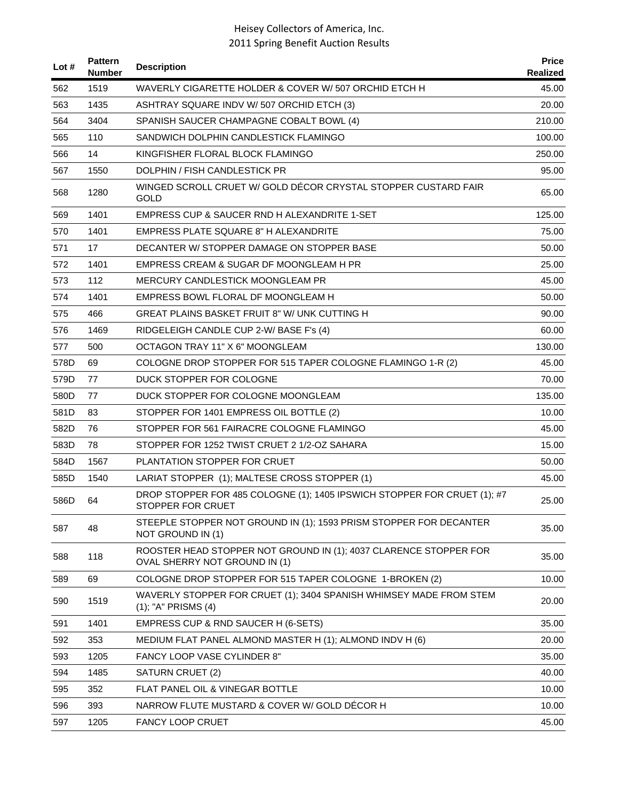| Lot # | <b>Pattern</b><br><b>Number</b> | <b>Description</b>                                                                                 | <b>Price</b><br>Realized |
|-------|---------------------------------|----------------------------------------------------------------------------------------------------|--------------------------|
| 562   | 1519                            | WAVERLY CIGARETTE HOLDER & COVER W/ 507 ORCHID ETCH H                                              | 45.00                    |
| 563   | 1435                            | ASHTRAY SQUARE INDV W/507 ORCHID ETCH (3)                                                          | 20.00                    |
| 564   | 3404                            | SPANISH SAUCER CHAMPAGNE COBALT BOWL (4)                                                           | 210.00                   |
| 565   | 110                             | SANDWICH DOLPHIN CANDLESTICK FLAMINGO                                                              | 100.00                   |
| 566   | 14                              | KINGFISHER FLORAL BLOCK FLAMINGO                                                                   | 250.00                   |
| 567   | 1550                            | DOLPHIN / FISH CANDLESTICK PR                                                                      | 95.00                    |
| 568   | 1280                            | WINGED SCROLL CRUET W/ GOLD DÉCOR CRYSTAL STOPPER CUSTARD FAIR<br><b>GOLD</b>                      | 65.00                    |
| 569   | 1401                            | EMPRESS CUP & SAUCER RND H ALEXANDRITE 1-SET                                                       | 125.00                   |
| 570   | 1401                            | <b>EMPRESS PLATE SQUARE 8" H ALEXANDRITE</b>                                                       | 75.00                    |
| 571   | 17                              | DECANTER W/ STOPPER DAMAGE ON STOPPER BASE                                                         | 50.00                    |
| 572   | 1401                            | EMPRESS CREAM & SUGAR DF MOONGLEAM H PR                                                            | 25.00                    |
| 573   | 112                             | MERCURY CANDLESTICK MOONGLEAM PR                                                                   | 45.00                    |
| 574   | 1401                            | EMPRESS BOWL FLORAL DF MOONGLEAM H                                                                 | 50.00                    |
| 575   | 466                             | GREAT PLAINS BASKET FRUIT 8" W/ UNK CUTTING H                                                      | 90.00                    |
| 576   | 1469                            | RIDGELEIGH CANDLE CUP 2-W/BASE F's (4)                                                             | 60.00                    |
| 577   | 500                             | OCTAGON TRAY 11" X 6" MOONGLEAM                                                                    | 130.00                   |
| 578D  | 69                              | COLOGNE DROP STOPPER FOR 515 TAPER COLOGNE FLAMINGO 1-R (2)                                        | 45.00                    |
| 579D  | 77                              | DUCK STOPPER FOR COLOGNE                                                                           | 70.00                    |
| 580D  | 77                              | DUCK STOPPER FOR COLOGNE MOONGLEAM                                                                 | 135.00                   |
| 581D  | 83                              | STOPPER FOR 1401 EMPRESS OIL BOTTLE (2)                                                            | 10.00                    |
| 582D  | 76                              | STOPPER FOR 561 FAIRACRE COLOGNE FLAMINGO                                                          | 45.00                    |
| 583D  | 78                              | STOPPER FOR 1252 TWIST CRUET 2 1/2-OZ SAHARA                                                       | 15.00                    |
| 584D  | 1567                            | PLANTATION STOPPER FOR CRUET                                                                       | 50.00                    |
| 585D  | 1540                            | LARIAT STOPPER (1); MALTESE CROSS STOPPER (1)                                                      | 45.00                    |
| 586D  | 64                              | DROP STOPPER FOR 485 COLOGNE (1); 1405 IPSWICH STOPPER FOR CRUET (1); #7<br>STOPPER FOR CRUET      | 25.00                    |
| 587   | 48                              | STEEPLE STOPPER NOT GROUND IN (1); 1593 PRISM STOPPER FOR DECANTER<br>NOT GROUND IN (1)            | 35.00                    |
| 588   | 118                             | ROOSTER HEAD STOPPER NOT GROUND IN (1); 4037 CLARENCE STOPPER FOR<br>OVAL SHERRY NOT GROUND IN (1) | 35.00                    |
| 589   | 69                              | COLOGNE DROP STOPPER FOR 515 TAPER COLOGNE 1-BROKEN (2)                                            | 10.00                    |
| 590   | 1519                            | WAVERLY STOPPER FOR CRUET (1); 3404 SPANISH WHIMSEY MADE FROM STEM<br>(1); "A" PRISMS (4)          | 20.00                    |
| 591   | 1401                            | EMPRESS CUP & RND SAUCER H (6-SETS)                                                                | 35.00                    |
| 592   | 353                             | MEDIUM FLAT PANEL ALMOND MASTER H (1); ALMOND INDV H (6)                                           | 20.00                    |
| 593   | 1205                            | <b>FANCY LOOP VASE CYLINDER 8"</b>                                                                 | 35.00                    |
| 594   | 1485                            | SATURN CRUET (2)                                                                                   | 40.00                    |
| 595   | 352                             | <b>FLAT PANEL OIL &amp; VINEGAR BOTTLE</b>                                                         | 10.00                    |
| 596   | 393                             | NARROW FLUTE MUSTARD & COVER W/ GOLD DECOR H                                                       | 10.00                    |
| 597   | 1205                            | <b>FANCY LOOP CRUET</b>                                                                            | 45.00                    |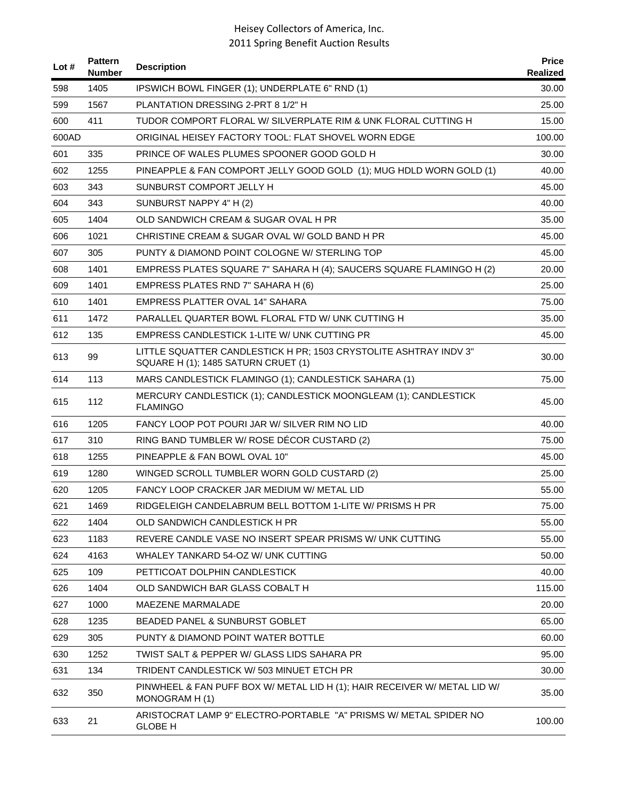| Lot # | <b>Pattern</b><br><b>Number</b> | <b>Description</b>                                                                                       | <b>Price</b><br>Realized |
|-------|---------------------------------|----------------------------------------------------------------------------------------------------------|--------------------------|
| 598   | 1405                            | IPSWICH BOWL FINGER (1); UNDERPLATE 6" RND (1)                                                           | 30.00                    |
| 599   | 1567                            | PLANTATION DRESSING 2-PRT 8 1/2" H                                                                       | 25.00                    |
| 600   | 411                             | TUDOR COMPORT FLORAL W/ SILVERPLATE RIM & UNK FLORAL CUTTING H                                           | 15.00                    |
| 600AD |                                 | ORIGINAL HEISEY FACTORY TOOL: FLAT SHOVEL WORN EDGE                                                      | 100.00                   |
| 601   | 335                             | PRINCE OF WALES PLUMES SPOONER GOOD GOLD H                                                               | 30.00                    |
| 602   | 1255                            | PINEAPPLE & FAN COMPORT JELLY GOOD GOLD (1); MUG HDLD WORN GOLD (1)                                      | 40.00                    |
| 603   | 343                             | SUNBURST COMPORT JELLY H                                                                                 | 45.00                    |
| 604   | 343                             | SUNBURST NAPPY 4" H (2)                                                                                  | 40.00                    |
| 605   | 1404                            | OLD SANDWICH CREAM & SUGAR OVAL H PR                                                                     | 35.00                    |
| 606   | 1021                            | CHRISTINE CREAM & SUGAR OVAL W/ GOLD BAND H PR                                                           | 45.00                    |
| 607   | 305                             | PUNTY & DIAMOND POINT COLOGNE W/ STERLING TOP                                                            | 45.00                    |
| 608   | 1401                            | EMPRESS PLATES SQUARE 7" SAHARA H (4); SAUCERS SQUARE FLAMINGO H (2)                                     | 20.00                    |
| 609   | 1401                            | EMPRESS PLATES RND 7" SAHARA H (6)                                                                       | 25.00                    |
| 610   | 1401                            | EMPRESS PLATTER OVAL 14" SAHARA                                                                          | 75.00                    |
| 611   | 1472                            | PARALLEL QUARTER BOWL FLORAL FTD W/ UNK CUTTING H                                                        | 35.00                    |
| 612   | 135                             | EMPRESS CANDLESTICK 1-LITE W/ UNK CUTTING PR                                                             | 45.00                    |
| 613   | 99                              | LITTLE SQUATTER CANDLESTICK H PR; 1503 CRYSTOLITE ASHTRAY INDV 3"<br>SQUARE H (1); 1485 SATURN CRUET (1) | 30.00                    |
| 614   | 113                             | MARS CANDLESTICK FLAMINGO (1); CANDLESTICK SAHARA (1)                                                    | 75.00                    |
| 615   | 112                             | MERCURY CANDLESTICK (1); CANDLESTICK MOONGLEAM (1); CANDLESTICK<br><b>FLAMINGO</b>                       | 45.00                    |
| 616   | 1205                            | FANCY LOOP POT POURI JAR W/ SILVER RIM NO LID                                                            | 40.00                    |
| 617   | 310                             | RING BAND TUMBLER W/ ROSE DÉCOR CUSTARD (2)                                                              | 75.00                    |
| 618   | 1255                            | PINEAPPLE & FAN BOWL OVAL 10"                                                                            | 45.00                    |
| 619   | 1280                            | WINGED SCROLL TUMBLER WORN GOLD CUSTARD (2)                                                              | 25.00                    |
| 620   | 1205                            | FANCY LOOP CRACKER JAR MEDIUM W/ METAL LID                                                               | 55.00                    |
| 621   | 1469                            | RIDGELEIGH CANDELABRUM BELL BOTTOM 1-LITE W/ PRISMS H PR                                                 | 75.00                    |
| 622   | 1404                            | OLD SANDWICH CANDLESTICK H PR                                                                            | 55.00                    |
| 623   | 1183                            | REVERE CANDLE VASE NO INSERT SPEAR PRISMS W/ UNK CUTTING                                                 | 55.00                    |
| 624   | 4163                            | WHALEY TANKARD 54-OZ W/ UNK CUTTING                                                                      | 50.00                    |
| 625   | 109                             | PETTICOAT DOLPHIN CANDLESTICK                                                                            | 40.00                    |
| 626   | 1404                            | OLD SANDWICH BAR GLASS COBALT H                                                                          | 115.00                   |
| 627   | 1000                            | MAEZENE MARMALADE                                                                                        | 20.00                    |
| 628   | 1235                            | BEADED PANEL & SUNBURST GOBLET                                                                           | 65.00                    |
| 629   | 305                             | PUNTY & DIAMOND POINT WATER BOTTLE                                                                       | 60.00                    |
| 630   | 1252                            | TWIST SALT & PEPPER W/ GLASS LIDS SAHARA PR                                                              | 95.00                    |
| 631   | 134                             | TRIDENT CANDLESTICK W/ 503 MINUET ETCH PR                                                                | 30.00                    |
| 632   | 350                             | PINWHEEL & FAN PUFF BOX W/ METAL LID H (1); HAIR RECEIVER W/ METAL LID W/<br>MONOGRAM H(1)               | 35.00                    |
| 633   | 21                              | ARISTOCRAT LAMP 9" ELECTRO-PORTABLE "A" PRISMS W/ METAL SPIDER NO<br><b>GLOBE H</b>                      | 100.00                   |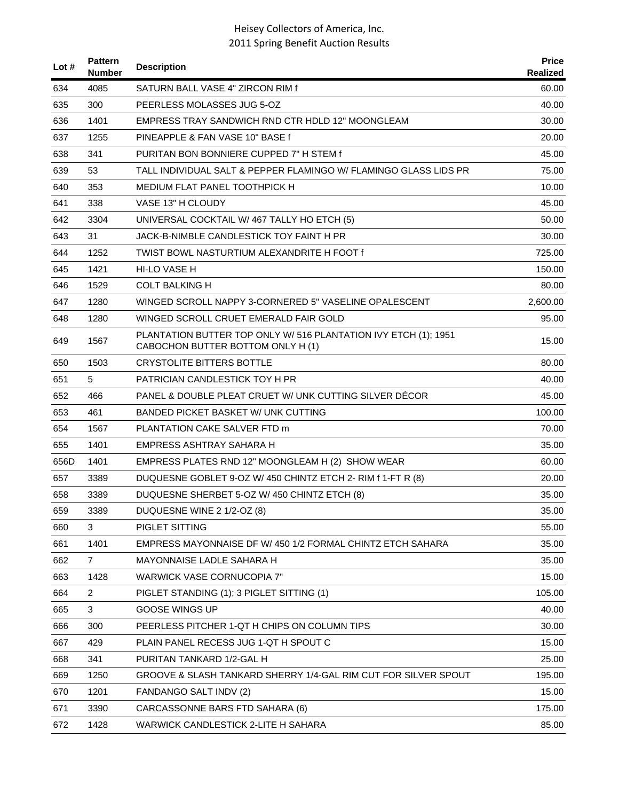| Lot $#$ | <b>Pattern</b><br><b>Number</b> | <b>Description</b>                                                                                   | <b>Price</b><br>Realized |
|---------|---------------------------------|------------------------------------------------------------------------------------------------------|--------------------------|
| 634     | 4085                            | SATURN BALL VASE 4" ZIRCON RIM f                                                                     | 60.00                    |
| 635     | 300                             | PEERLESS MOLASSES JUG 5-OZ                                                                           | 40.00                    |
| 636     | 1401                            | <b>EMPRESS TRAY SANDWICH RND CTR HDLD 12" MOONGLEAM</b>                                              | 30.00                    |
| 637     | 1255                            | PINEAPPLE & FAN VASE 10" BASE f                                                                      | 20.00                    |
| 638     | 341                             | PURITAN BON BONNIERE CUPPED 7" H STEM f                                                              | 45.00                    |
| 639     | 53                              | TALL INDIVIDUAL SALT & PEPPER FLAMINGO W/ FLAMINGO GLASS LIDS PR                                     | 75.00                    |
| 640     | 353                             | MEDIUM FLAT PANEL TOOTHPICK H                                                                        | 10.00                    |
| 641     | 338                             | VASE 13" H CLOUDY                                                                                    | 45.00                    |
| 642     | 3304                            | UNIVERSAL COCKTAIL W/467 TALLY HO ETCH (5)                                                           | 50.00                    |
| 643     | 31                              | JACK-B-NIMBLE CANDLESTICK TOY FAINT H PR                                                             | 30.00                    |
| 644     | 1252                            | TWIST BOWL NASTURTIUM ALEXANDRITE H FOOT f                                                           | 725.00                   |
| 645     | 1421                            | <b>HI-LO VASE H</b>                                                                                  | 150.00                   |
| 646     | 1529                            | <b>COLT BALKING H</b>                                                                                | 80.00                    |
| 647     | 1280                            | WINGED SCROLL NAPPY 3-CORNERED 5" VASELINE OPALESCENT                                                | 2,600.00                 |
| 648     | 1280                            | WINGED SCROLL CRUET EMERALD FAIR GOLD                                                                | 95.00                    |
| 649     | 1567                            | PLANTATION BUTTER TOP ONLY W/ 516 PLANTATION IVY ETCH (1); 1951<br>CABOCHON BUTTER BOTTOM ONLY H (1) | 15.00                    |
| 650     | 1503                            | <b>CRYSTOLITE BITTERS BOTTLE</b>                                                                     | 80.00                    |
| 651     | 5                               | PATRICIAN CANDLESTICK TOY H PR                                                                       | 40.00                    |
| 652     | 466                             | <b>PANEL &amp; DOUBLE PLEAT CRUET W/ UNK CUTTING SILVER DECOR</b>                                    | 45.00                    |
| 653     | 461                             | <b>BANDED PICKET BASKET W/ UNK CUTTING</b>                                                           | 100.00                   |
| 654     | 1567                            | PLANTATION CAKE SALVER FTD m                                                                         | 70.00                    |
| 655     | 1401                            | EMPRESS ASHTRAY SAHARA H                                                                             | 35.00                    |
| 656D    | 1401                            | EMPRESS PLATES RND 12" MOONGLEAM H (2) SHOW WEAR                                                     | 60.00                    |
| 657     | 3389                            | DUQUESNE GOBLET 9-OZ W/ 450 CHINTZ ETCH 2- RIM f 1-FT R (8)                                          | 20.00                    |
| 658     | 3389                            | DUQUESNE SHERBET 5-OZ W/ 450 CHINTZ ETCH (8)                                                         | 35.00                    |
| 659     | 3389                            | DUQUESNE WINE 2 1/2-OZ (8)                                                                           | 35.00                    |
| 660     | 3                               | PIGLET SITTING                                                                                       | 55.00                    |
| 661     | 1401                            | EMPRESS MAYONNAISE DF W/ 450 1/2 FORMAL CHINTZ ETCH SAHARA                                           | 35.00                    |
| 662     | $\overline{7}$                  | MAYONNAISE LADLE SAHARA H                                                                            | 35.00                    |
| 663     | 1428                            | WARWICK VASE CORNUCOPIA 7"                                                                           | 15.00                    |
| 664     | $\overline{2}$                  | PIGLET STANDING (1); 3 PIGLET SITTING (1)                                                            | 105.00                   |
| 665     | 3                               | <b>GOOSE WINGS UP</b>                                                                                | 40.00                    |
| 666     | 300                             | PEERLESS PITCHER 1-QT H CHIPS ON COLUMN TIPS                                                         | 30.00                    |
| 667     | 429                             | PLAIN PANEL RECESS JUG 1-QT H SPOUT C                                                                | 15.00                    |
| 668     | 341                             | PURITAN TANKARD 1/2-GAL H                                                                            | 25.00                    |
| 669     | 1250                            | GROOVE & SLASH TANKARD SHERRY 1/4-GAL RIM CUT FOR SILVER SPOUT                                       | 195.00                   |
| 670     | 1201                            | FANDANGO SALT INDV (2)                                                                               | 15.00                    |
| 671     | 3390                            | CARCASSONNE BARS FTD SAHARA (6)                                                                      | 175.00                   |
| 672     | 1428                            | WARWICK CANDLESTICK 2-LITE H SAHARA                                                                  | 85.00                    |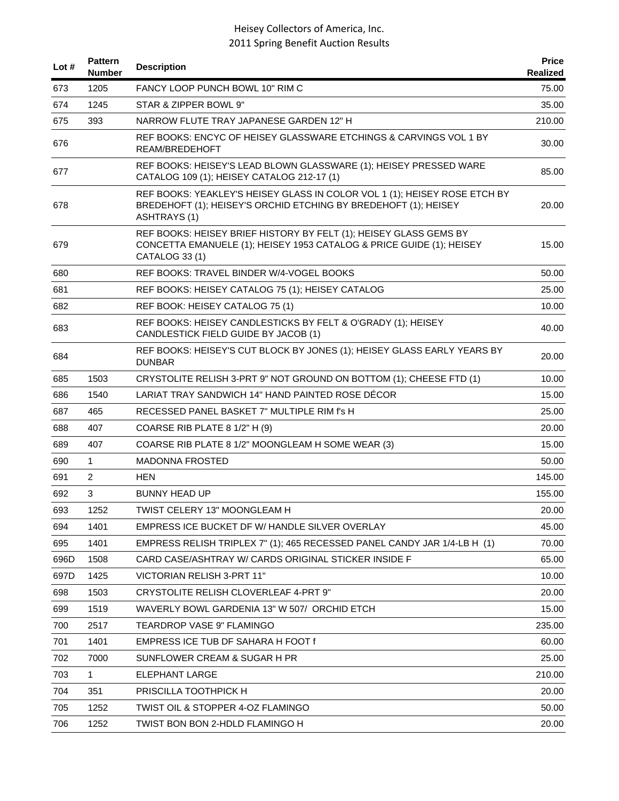| Lot $#$ | <b>Pattern</b><br><b>Number</b> | <b>Description</b>                                                                                                                                                  | <b>Price</b><br>Realized |
|---------|---------------------------------|---------------------------------------------------------------------------------------------------------------------------------------------------------------------|--------------------------|
| 673     | 1205                            | FANCY LOOP PUNCH BOWL 10" RIM C                                                                                                                                     | 75.00                    |
| 674     | 1245                            | STAR & ZIPPER BOWL 9"                                                                                                                                               | 35.00                    |
| 675     | 393                             | NARROW FLUTE TRAY JAPANESE GARDEN 12" H                                                                                                                             | 210.00                   |
| 676     |                                 | REF BOOKS: ENCYC OF HEISEY GLASSWARE ETCHINGS & CARVINGS VOL 1 BY<br>REAM/BREDEHOFT                                                                                 | 30.00                    |
| 677     |                                 | REF BOOKS: HEISEY'S LEAD BLOWN GLASSWARE (1); HEISEY PRESSED WARE<br>CATALOG 109 (1); HEISEY CATALOG 212-17 (1)                                                     | 85.00                    |
| 678     |                                 | REF BOOKS: YEAKLEY'S HEISEY GLASS IN COLOR VOL 1 (1); HEISEY ROSE ETCH BY<br>BREDEHOFT (1); HEISEY'S ORCHID ETCHING BY BREDEHOFT (1); HEISEY<br><b>ASHTRAYS (1)</b> | 20.00                    |
| 679     |                                 | REF BOOKS: HEISEY BRIEF HISTORY BY FELT (1); HEISEY GLASS GEMS BY<br>CONCETTA EMANUELE (1); HEISEY 1953 CATALOG & PRICE GUIDE (1); HEISEY<br>CATALOG 33 (1)         | 15.00                    |
| 680     |                                 | REF BOOKS: TRAVEL BINDER W/4-VOGEL BOOKS                                                                                                                            | 50.00                    |
| 681     |                                 | REF BOOKS: HEISEY CATALOG 75 (1); HEISEY CATALOG                                                                                                                    | 25.00                    |
| 682     |                                 | REF BOOK: HEISEY CATALOG 75 (1)                                                                                                                                     | 10.00                    |
| 683     |                                 | REF BOOKS: HEISEY CANDLESTICKS BY FELT & O'GRADY (1); HEISEY<br>CANDLESTICK FIELD GUIDE BY JACOB (1)                                                                | 40.00                    |
| 684     |                                 | REF BOOKS: HEISEY'S CUT BLOCK BY JONES (1); HEISEY GLASS EARLY YEARS BY<br><b>DUNBAR</b>                                                                            | 20.00                    |
| 685     | 1503                            | CRYSTOLITE RELISH 3-PRT 9" NOT GROUND ON BOTTOM (1); CHEESE FTD (1)                                                                                                 | 10.00                    |
| 686     | 1540                            | LARIAT TRAY SANDWICH 14" HAND PAINTED ROSE DÉCOR                                                                                                                    | 15.00                    |
| 687     | 465                             | RECESSED PANEL BASKET 7" MULTIPLE RIM f's H                                                                                                                         | 25.00                    |
| 688     | 407                             | COARSE RIB PLATE 8 1/2" H (9)                                                                                                                                       | 20.00                    |
| 689     | 407                             | COARSE RIB PLATE 8 1/2" MOONGLEAM H SOME WEAR (3)                                                                                                                   | 15.00                    |
| 690     | $\mathbf{1}$                    | <b>MADONNA FROSTED</b>                                                                                                                                              | 50.00                    |
| 691     | 2                               | HEN                                                                                                                                                                 | 145.00                   |
| 692     | 3                               | <b>BUNNY HEAD UP</b>                                                                                                                                                | 155.00                   |
| 693     | 1252                            | TWIST CELERY 13" MOONGLEAM H                                                                                                                                        | 20.00                    |
| 694     | 1401                            | EMPRESS ICE BUCKET DF W/ HANDLE SILVER OVERLAY                                                                                                                      | 45.00                    |
| 695     | 1401                            | EMPRESS RELISH TRIPLEX 7" (1); 465 RECESSED PANEL CANDY JAR 1/4-LB H (1)                                                                                            | 70.00                    |
| 696D    | 1508                            | CARD CASE/ASHTRAY W/ CARDS ORIGINAL STICKER INSIDE F                                                                                                                | 65.00                    |
| 697D    | 1425                            | VICTORIAN RELISH 3-PRT 11"                                                                                                                                          | 10.00                    |
| 698     | 1503                            | CRYSTOLITE RELISH CLOVERLEAF 4-PRT 9"                                                                                                                               | 20.00                    |
| 699     | 1519                            | WAVERLY BOWL GARDENIA 13" W 507/ ORCHID ETCH                                                                                                                        | 15.00                    |
| 700     | 2517                            | TEARDROP VASE 9" FLAMINGO                                                                                                                                           | 235.00                   |
| 701     | 1401                            | EMPRESS ICE TUB DF SAHARA H FOOT f                                                                                                                                  | 60.00                    |
| 702     | 7000                            | SUNFLOWER CREAM & SUGAR H PR                                                                                                                                        | 25.00                    |
| 703     | $\mathbf{1}$                    | ELEPHANT LARGE                                                                                                                                                      | 210.00                   |
| 704     | 351                             | PRISCILLA TOOTHPICK H                                                                                                                                               | 20.00                    |
| 705     | 1252                            | TWIST OIL & STOPPER 4-OZ FLAMINGO                                                                                                                                   | 50.00                    |
| 706     | 1252                            | TWIST BON BON 2-HDLD FLAMINGO H                                                                                                                                     | 20.00                    |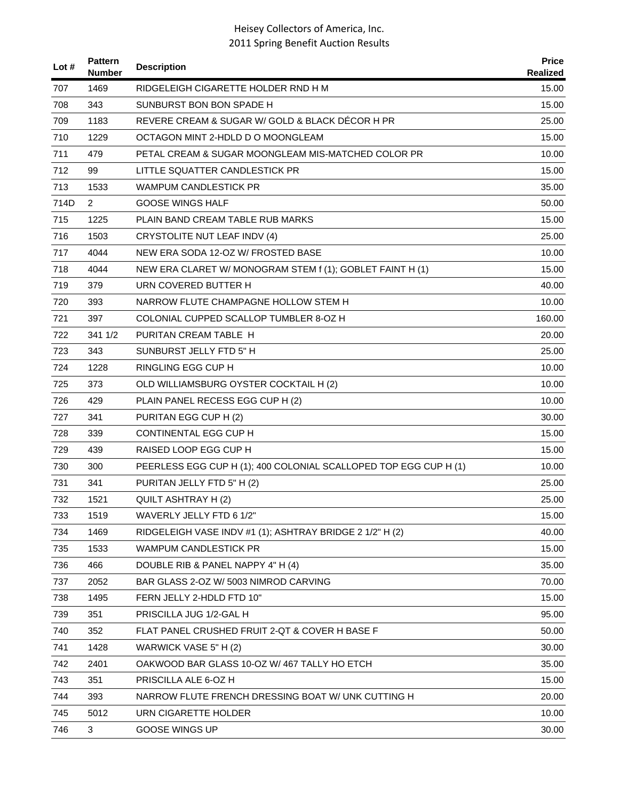| Lot # | <b>Pattern</b><br><b>Number</b> | <b>Description</b>                                               | <b>Price</b><br>Realized |
|-------|---------------------------------|------------------------------------------------------------------|--------------------------|
| 707   | 1469                            | RIDGELEIGH CIGARETTE HOLDER RND H M                              | 15.00                    |
| 708   | 343                             | SUNBURST BON BON SPADE H                                         | 15.00                    |
| 709   | 1183                            | REVERE CREAM & SUGAR W/ GOLD & BLACK DÉCOR H PR                  | 25.00                    |
| 710   | 1229                            | OCTAGON MINT 2-HDLD D O MOONGLEAM                                | 15.00                    |
| 711   | 479                             | PETAL CREAM & SUGAR MOONGLEAM MIS-MATCHED COLOR PR               | 10.00                    |
| 712   | 99                              | LITTLE SQUATTER CANDLESTICK PR                                   | 15.00                    |
| 713   | 1533                            | WAMPUM CANDLESTICK PR                                            | 35.00                    |
| 714D  | $\overline{2}$                  | <b>GOOSE WINGS HALF</b>                                          | 50.00                    |
| 715   | 1225                            | PLAIN BAND CREAM TABLE RUB MARKS                                 | 15.00                    |
| 716   | 1503                            | CRYSTOLITE NUT LEAF INDV (4)                                     | 25.00                    |
| 717   | 4044                            | NEW ERA SODA 12-OZ W/ FROSTED BASE                               | 10.00                    |
| 718   | 4044                            | NEW ERA CLARET W/ MONOGRAM STEM f (1); GOBLET FAINT H (1)        | 15.00                    |
| 719   | 379                             | URN COVERED BUTTER H                                             | 40.00                    |
| 720   | 393                             | NARROW FLUTE CHAMPAGNE HOLLOW STEM H                             | 10.00                    |
| 721   | 397                             | COLONIAL CUPPED SCALLOP TUMBLER 8-OZ H                           | 160.00                   |
| 722   | 341 1/2                         | PURITAN CREAM TABLE H                                            | 20.00                    |
| 723   | 343                             | SUNBURST JELLY FTD 5" H                                          | 25.00                    |
| 724   | 1228                            | <b>RINGLING EGG CUP H</b>                                        | 10.00                    |
| 725   | 373                             | OLD WILLIAMSBURG OYSTER COCKTAIL H (2)                           | 10.00                    |
| 726   | 429                             | PLAIN PANEL RECESS EGG CUP H (2)                                 | 10.00                    |
| 727   | 341                             | PURITAN EGG CUP H (2)                                            | 30.00                    |
| 728   | 339                             | <b>CONTINENTAL EGG CUP H</b>                                     | 15.00                    |
| 729   | 439                             | RAISED LOOP EGG CUP H                                            | 15.00                    |
| 730   | 300                             | PEERLESS EGG CUP H (1); 400 COLONIAL SCALLOPED TOP EGG CUP H (1) | 10.00                    |
| 731   | 341                             | PURITAN JELLY FTD 5" H (2)                                       | 25.00                    |
| 732   | 1521                            | <b>QUILT ASHTRAY H (2)</b>                                       | 25.00                    |
| 733   | 1519                            | WAVERLY JELLY FTD 6 1/2"                                         | 15.00                    |
| 734   | 1469                            | RIDGELEIGH VASE INDV #1 (1); ASHTRAY BRIDGE 2 1/2" H (2)         | 40.00                    |
| 735   | 1533                            | <b>WAMPUM CANDLESTICK PR</b>                                     | 15.00                    |
| 736   | 466                             | DOUBLE RIB & PANEL NAPPY 4" H (4)                                | 35.00                    |
| 737   | 2052                            | BAR GLASS 2-OZ W/ 5003 NIMROD CARVING                            | 70.00                    |
| 738   | 1495                            | FERN JELLY 2-HDLD FTD 10"                                        | 15.00                    |
| 739   | 351                             | PRISCILLA JUG 1/2-GAL H                                          | 95.00                    |
| 740   | 352                             | FLAT PANEL CRUSHED FRUIT 2-QT & COVER H BASE F                   | 50.00                    |
| 741   | 1428                            | WARWICK VASE 5" H (2)                                            | 30.00                    |
| 742   | 2401                            | OAKWOOD BAR GLASS 10-OZ W/467 TALLY HO ETCH                      | 35.00                    |
| 743   | 351                             | PRISCILLA ALE 6-OZ H                                             | 15.00                    |
| 744   | 393                             | NARROW FLUTE FRENCH DRESSING BOAT W/ UNK CUTTING H               | 20.00                    |
| 745   | 5012                            | URN CIGARETTE HOLDER                                             | 10.00                    |
| 746   | 3                               | GOOSE WINGS UP                                                   | 30.00                    |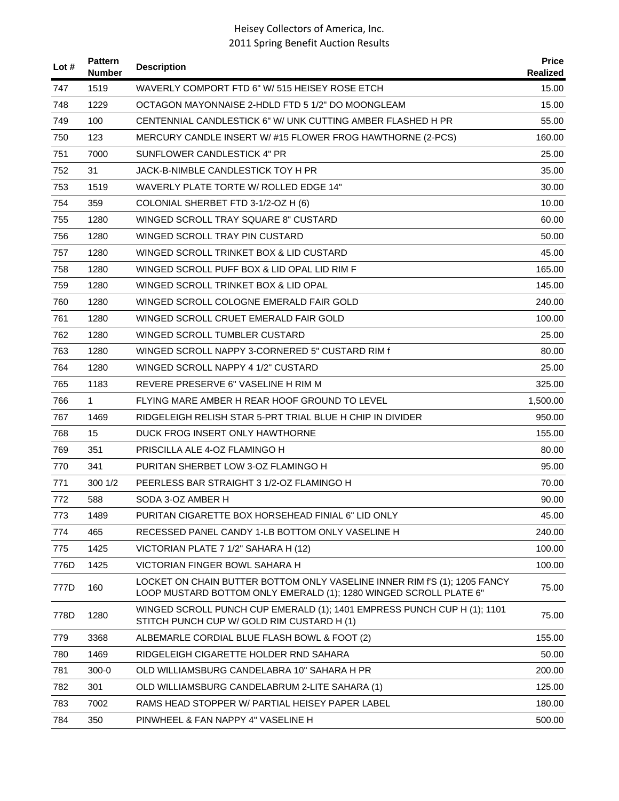| Lot $#$ | <b>Pattern</b><br><b>Number</b> | <b>Description</b>                                                                                                                             | <b>Price</b><br>Realized |
|---------|---------------------------------|------------------------------------------------------------------------------------------------------------------------------------------------|--------------------------|
| 747     | 1519                            | WAVERLY COMPORT FTD 6" W/ 515 HEISEY ROSE ETCH                                                                                                 | 15.00                    |
| 748     | 1229                            | OCTAGON MAYONNAISE 2-HDLD FTD 5 1/2" DO MOONGLEAM                                                                                              | 15.00                    |
| 749     | 100                             | CENTENNIAL CANDLESTICK 6" W/ UNK CUTTING AMBER FLASHED H PR                                                                                    | 55.00                    |
| 750     | 123                             | MERCURY CANDLE INSERT W/ #15 FLOWER FROG HAWTHORNE (2-PCS)                                                                                     | 160.00                   |
| 751     | 7000                            | SUNFLOWER CANDLESTICK 4" PR                                                                                                                    | 25.00                    |
| 752     | 31                              | JACK-B-NIMBLE CANDLESTICK TOY H PR                                                                                                             | 35.00                    |
| 753     | 1519                            | WAVERLY PLATE TORTE W/ ROLLED EDGE 14"                                                                                                         | 30.00                    |
| 754     | 359                             | COLONIAL SHERBET FTD 3-1/2-OZ H (6)                                                                                                            | 10.00                    |
| 755     | 1280                            | WINGED SCROLL TRAY SQUARE 8" CUSTARD                                                                                                           | 60.00                    |
| 756     | 1280                            | WINGED SCROLL TRAY PIN CUSTARD                                                                                                                 | 50.00                    |
| 757     | 1280                            | WINGED SCROLL TRINKET BOX & LID CUSTARD                                                                                                        | 45.00                    |
| 758     | 1280                            | WINGED SCROLL PUFF BOX & LID OPAL LID RIM F                                                                                                    | 165.00                   |
| 759     | 1280                            | WINGED SCROLL TRINKET BOX & LID OPAL                                                                                                           | 145.00                   |
| 760     | 1280                            | WINGED SCROLL COLOGNE EMERALD FAIR GOLD                                                                                                        | 240.00                   |
| 761     | 1280                            | WINGED SCROLL CRUET EMERALD FAIR GOLD                                                                                                          | 100.00                   |
| 762     | 1280                            | WINGED SCROLL TUMBLER CUSTARD                                                                                                                  | 25.00                    |
| 763     | 1280                            | WINGED SCROLL NAPPY 3-CORNERED 5" CUSTARD RIM f                                                                                                | 80.00                    |
| 764     | 1280                            | WINGED SCROLL NAPPY 4 1/2" CUSTARD                                                                                                             | 25.00                    |
| 765     | 1183                            | REVERE PRESERVE 6" VASELINE H RIM M                                                                                                            | 325.00                   |
| 766     | $\mathbf{1}$                    | FLYING MARE AMBER H REAR HOOF GROUND TO LEVEL                                                                                                  | 1,500.00                 |
| 767     | 1469                            | RIDGELEIGH RELISH STAR 5-PRT TRIAL BLUE H CHIP IN DIVIDER                                                                                      | 950.00                   |
| 768     | 15                              | DUCK FROG INSERT ONLY HAWTHORNE                                                                                                                | 155.00                   |
| 769     | 351                             | PRISCILLA ALE 4-OZ FLAMINGO H                                                                                                                  | 80.00                    |
| 770     | 341                             | PURITAN SHERBET LOW 3-OZ FLAMINGO H                                                                                                            | 95.00                    |
| 771     | 300 1/2                         | PEERLESS BAR STRAIGHT 3 1/2-OZ FLAMINGO H                                                                                                      | 70.00                    |
| 772     | 588                             | SODA 3-OZ AMBER H                                                                                                                              | 90.00                    |
| 773     | 1489                            | PURITAN CIGARETTE BOX HORSEHEAD FINIAL 6" LID ONLY                                                                                             | 45.00                    |
| 774     | 465                             | RECESSED PANEL CANDY 1-LB BOTTOM ONLY VASELINE H                                                                                               | 240.00                   |
| 775     | 1425                            | VICTORIAN PLATE 7 1/2" SAHARA H (12)                                                                                                           | 100.00                   |
| 776D    | 1425                            | VICTORIAN FINGER BOWL SAHARA H                                                                                                                 | 100.00                   |
| 777D    | 160                             | LOCKET ON CHAIN BUTTER BOTTOM ONLY VASELINE INNER RIM f'S (1); 1205 FANCY<br>LOOP MUSTARD BOTTOM ONLY EMERALD (1); 1280 WINGED SCROLL PLATE 6" | 75.00                    |
| 778D    | 1280                            | WINGED SCROLL PUNCH CUP EMERALD (1); 1401 EMPRESS PUNCH CUP H (1); 1101<br>STITCH PUNCH CUP W/ GOLD RIM CUSTARD H (1)                          | 75.00                    |
| 779     | 3368                            | ALBEMARLE CORDIAL BLUE FLASH BOWL & FOOT (2)                                                                                                   | 155.00                   |
| 780     | 1469                            | RIDGELEIGH CIGARETTE HOLDER RND SAHARA                                                                                                         | 50.00                    |
| 781     | $300 - 0$                       | OLD WILLIAMSBURG CANDELABRA 10" SAHARA H PR                                                                                                    | 200.00                   |
| 782     | 301                             | OLD WILLIAMSBURG CANDELABRUM 2-LITE SAHARA (1)                                                                                                 | 125.00                   |
| 783     | 7002                            | RAMS HEAD STOPPER W/ PARTIAL HEISEY PAPER LABEL                                                                                                | 180.00                   |
| 784     | 350                             | PINWHEEL & FAN NAPPY 4" VASELINE H                                                                                                             | 500.00                   |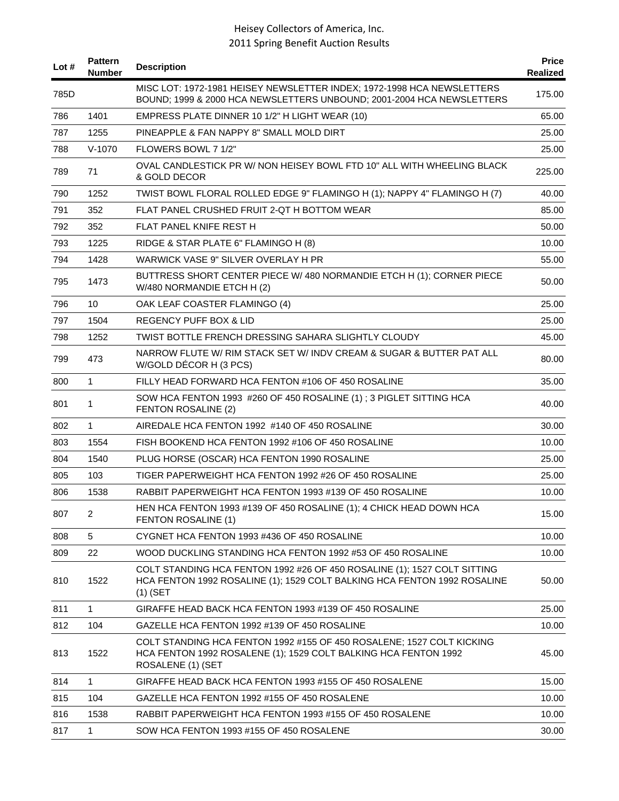| Lot # | <b>Pattern</b><br><b>Number</b> | <b>Description</b>                                                                                                                                                 | <b>Price</b><br><b>Realized</b> |
|-------|---------------------------------|--------------------------------------------------------------------------------------------------------------------------------------------------------------------|---------------------------------|
| 785D  |                                 | MISC LOT: 1972-1981 HEISEY NEWSLETTER INDEX; 1972-1998 HCA NEWSLETTERS<br>BOUND; 1999 & 2000 HCA NEWSLETTERS UNBOUND; 2001-2004 HCA NEWSLETTERS                    | 175.00                          |
| 786   | 1401                            | EMPRESS PLATE DINNER 10 1/2" H LIGHT WEAR (10)                                                                                                                     | 65.00                           |
| 787   | 1255                            | PINEAPPLE & FAN NAPPY 8" SMALL MOLD DIRT                                                                                                                           | 25.00                           |
| 788   | $V-1070$                        | FLOWERS BOWL 7 1/2"                                                                                                                                                | 25.00                           |
| 789   | 71                              | OVAL CANDLESTICK PR W/ NON HEISEY BOWL FTD 10" ALL WITH WHEELING BLACK<br>& GOLD DECOR                                                                             | 225.00                          |
| 790   | 1252                            | TWIST BOWL FLORAL ROLLED EDGE 9" FLAMINGO H (1); NAPPY 4" FLAMINGO H (7)                                                                                           | 40.00                           |
| 791   | 352                             | FLAT PANEL CRUSHED FRUIT 2-QT H BOTTOM WEAR                                                                                                                        | 85.00                           |
| 792   | 352                             | FLAT PANEL KNIFE REST H                                                                                                                                            | 50.00                           |
| 793   | 1225                            | RIDGE & STAR PLATE 6" FLAMINGO H (8)                                                                                                                               | 10.00                           |
| 794   | 1428                            | WARWICK VASE 9" SILVER OVERLAY H PR                                                                                                                                | 55.00                           |
| 795   | 1473                            | BUTTRESS SHORT CENTER PIECE W/ 480 NORMANDIE ETCH H (1); CORNER PIECE<br>W/480 NORMANDIE ETCH H (2)                                                                | 50.00                           |
| 796   | 10                              | OAK LEAF COASTER FLAMINGO (4)                                                                                                                                      | 25.00                           |
| 797   | 1504                            | REGENCY PUFF BOX & LID                                                                                                                                             | 25.00                           |
| 798   | 1252                            | TWIST BOTTLE FRENCH DRESSING SAHARA SLIGHTLY CLOUDY                                                                                                                | 45.00                           |
| 799   | 473                             | NARROW FLUTE W/ RIM STACK SET W/ INDV CREAM & SUGAR & BUTTER PAT ALL<br>W/GOLD DÉCOR H (3 PCS)                                                                     | 80.00                           |
| 800   | $\mathbf{1}$                    | FILLY HEAD FORWARD HCA FENTON #106 OF 450 ROSALINE                                                                                                                 | 35.00                           |
| 801   | 1                               | SOW HCA FENTON 1993 #260 OF 450 ROSALINE (1); 3 PIGLET SITTING HCA<br>FENTON ROSALINE (2)                                                                          | 40.00                           |
| 802   | 1                               | AIREDALE HCA FENTON 1992 #140 OF 450 ROSALINE                                                                                                                      | 30.00                           |
| 803   | 1554                            | FISH BOOKEND HCA FENTON 1992 #106 OF 450 ROSALINE                                                                                                                  | 10.00                           |
| 804   | 1540                            | PLUG HORSE (OSCAR) HCA FENTON 1990 ROSALINE                                                                                                                        | 25.00                           |
| 805   | 103                             | TIGER PAPERWEIGHT HCA FENTON 1992 #26 OF 450 ROSALINE                                                                                                              | 25.00                           |
| 806   | 1538                            | RABBIT PAPERWEIGHT HCA FENTON 1993 #139 OF 450 ROSALINE                                                                                                            | 10.00                           |
| 807   | $\overline{2}$                  | HEN HCA FENTON 1993 #139 OF 450 ROSALINE (1); 4 CHICK HEAD DOWN HCA<br>FENTON ROSALINE (1)                                                                         | 15.00                           |
| 808   | 5                               | CYGNET HCA FENTON 1993 #436 OF 450 ROSALINE                                                                                                                        | 10.00                           |
| 809   | 22                              | WOOD DUCKLING STANDING HCA FENTON 1992 #53 OF 450 ROSALINE                                                                                                         | 10.00                           |
| 810   | 1522                            | COLT STANDING HCA FENTON 1992 #26 OF 450 ROSALINE (1); 1527 COLT SITTING<br>HCA FENTON 1992 ROSALINE (1); 1529 COLT BALKING HCA FENTON 1992 ROSALINE<br>$(1)$ (SET | 50.00                           |
| 811   | $\mathbf{1}$                    | GIRAFFE HEAD BACK HCA FENTON 1993 #139 OF 450 ROSALINE                                                                                                             | 25.00                           |
| 812   | 104                             | GAZELLE HCA FENTON 1992 #139 OF 450 ROSALINE                                                                                                                       | 10.00                           |
| 813   | 1522                            | COLT STANDING HCA FENTON 1992 #155 OF 450 ROSALENE; 1527 COLT KICKING<br>HCA FENTON 1992 ROSALENE (1); 1529 COLT BALKING HCA FENTON 1992<br>ROSALENE (1) (SET      | 45.00                           |
| 814   | $\mathbf{1}$                    | GIRAFFE HEAD BACK HCA FENTON 1993 #155 OF 450 ROSALENE                                                                                                             | 15.00                           |
| 815   | 104                             | GAZELLE HCA FENTON 1992 #155 OF 450 ROSALENE                                                                                                                       | 10.00                           |
| 816   | 1538                            | RABBIT PAPERWEIGHT HCA FENTON 1993 #155 OF 450 ROSALENE                                                                                                            | 10.00                           |
| 817   | $\mathbf{1}$                    | SOW HCA FENTON 1993 #155 OF 450 ROSALENE                                                                                                                           | 30.00                           |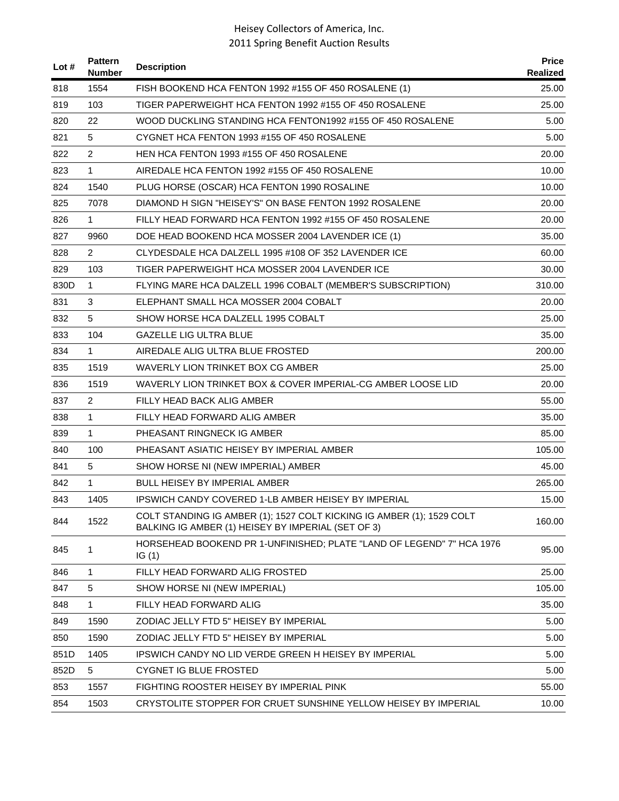| Lot $#$ | <b>Pattern</b><br><b>Number</b> | <b>Description</b>                                                                                                          | <b>Price</b><br>Realized |
|---------|---------------------------------|-----------------------------------------------------------------------------------------------------------------------------|--------------------------|
| 818     | 1554                            | FISH BOOKEND HCA FENTON 1992 #155 OF 450 ROSALENE (1)                                                                       | 25.00                    |
| 819     | 103                             | TIGER PAPERWEIGHT HCA FENTON 1992 #155 OF 450 ROSALENE                                                                      | 25.00                    |
| 820     | 22                              | WOOD DUCKLING STANDING HCA FENTON1992 #155 OF 450 ROSALENE                                                                  | 5.00                     |
| 821     | 5                               | CYGNET HCA FENTON 1993 #155 OF 450 ROSALENE                                                                                 | 5.00                     |
| 822     | 2                               | HEN HCA FENTON 1993 #155 OF 450 ROSALENE                                                                                    | 20.00                    |
| 823     | $\mathbf{1}$                    | AIREDALE HCA FENTON 1992 #155 OF 450 ROSALENE                                                                               | 10.00                    |
| 824     | 1540                            | PLUG HORSE (OSCAR) HCA FENTON 1990 ROSALINE                                                                                 | 10.00                    |
| 825     | 7078                            | DIAMOND H SIGN "HEISEY'S" ON BASE FENTON 1992 ROSALENE                                                                      | 20.00                    |
| 826     | $\mathbf{1}$                    | FILLY HEAD FORWARD HCA FENTON 1992 #155 OF 450 ROSALENE                                                                     | 20.00                    |
| 827     | 9960                            | DOE HEAD BOOKEND HCA MOSSER 2004 LAVENDER ICE (1)                                                                           | 35.00                    |
| 828     | $\overline{2}$                  | CLYDESDALE HCA DALZELL 1995 #108 OF 352 LAVENDER ICE                                                                        | 60.00                    |
| 829     | 103                             | TIGER PAPERWEIGHT HCA MOSSER 2004 LAVENDER ICE                                                                              | 30.00                    |
| 830D    | $\mathbf{1}$                    | FLYING MARE HCA DALZELL 1996 COBALT (MEMBER'S SUBSCRIPTION)                                                                 | 310.00                   |
| 831     | 3                               | ELEPHANT SMALL HCA MOSSER 2004 COBALT                                                                                       | 20.00                    |
| 832     | 5                               | SHOW HORSE HCA DALZELL 1995 COBALT                                                                                          | 25.00                    |
| 833     | 104                             | <b>GAZELLE LIG ULTRA BLUE</b>                                                                                               | 35.00                    |
| 834     | $\mathbf{1}$                    | AIREDALE ALIG ULTRA BLUE FROSTED                                                                                            | 200.00                   |
| 835     | 1519                            | WAVERLY LION TRINKET BOX CG AMBER                                                                                           | 25.00                    |
| 836     | 1519                            | WAVERLY LION TRINKET BOX & COVER IMPERIAL-CG AMBER LOOSE LID                                                                | 20.00                    |
| 837     | $\overline{2}$                  | FILLY HEAD BACK ALIG AMBER                                                                                                  | 55.00                    |
| 838     | $\mathbf{1}$                    | FILLY HEAD FORWARD ALIG AMBER                                                                                               | 35.00                    |
| 839     | $\mathbf{1}$                    | PHEASANT RINGNECK IG AMBER                                                                                                  | 85.00                    |
| 840     | 100                             | PHEASANT ASIATIC HEISEY BY IMPERIAL AMBER                                                                                   | 105.00                   |
| 841     | 5                               | SHOW HORSE NI (NEW IMPERIAL) AMBER                                                                                          | 45.00                    |
| 842     | $\mathbf{1}$                    | <b>BULL HEISEY BY IMPERIAL AMBER</b>                                                                                        | 265.00                   |
| 843     | 1405                            | IPSWICH CANDY COVERED 1-LB AMBER HEISEY BY IMPERIAL                                                                         | 15.00                    |
| 844     | 1522                            | COLT STANDING IG AMBER (1); 1527 COLT KICKING IG AMBER (1); 1529 COLT<br>BALKING IG AMBER (1) HEISEY BY IMPERIAL (SET OF 3) | 160.00                   |
| 845     | 1                               | HORSEHEAD BOOKEND PR 1-UNFINISHED; PLATE "LAND OF LEGEND" 7" HCA 1976<br>IG(1)                                              | 95.00                    |
| 846     | 1                               | FILLY HEAD FORWARD ALIG FROSTED                                                                                             | 25.00                    |
| 847     | 5                               | SHOW HORSE NI (NEW IMPERIAL)                                                                                                | 105.00                   |
| 848     | $\mathbf{1}$                    | FILLY HEAD FORWARD ALIG                                                                                                     | 35.00                    |
| 849     | 1590                            | ZODIAC JELLY FTD 5" HEISEY BY IMPERIAL                                                                                      | 5.00                     |
| 850     | 1590                            | ZODIAC JELLY FTD 5" HEISEY BY IMPERIAL                                                                                      | 5.00                     |
| 851D    | 1405                            | IPSWICH CANDY NO LID VERDE GREEN H HEISEY BY IMPERIAL                                                                       | 5.00                     |
| 852D    | 5                               | <b>CYGNET IG BLUE FROSTED</b>                                                                                               | 5.00                     |
| 853     | 1557                            | FIGHTING ROOSTER HEISEY BY IMPERIAL PINK                                                                                    | 55.00                    |
| 854     | 1503                            | CRYSTOLITE STOPPER FOR CRUET SUNSHINE YELLOW HEISEY BY IMPERIAL                                                             | 10.00                    |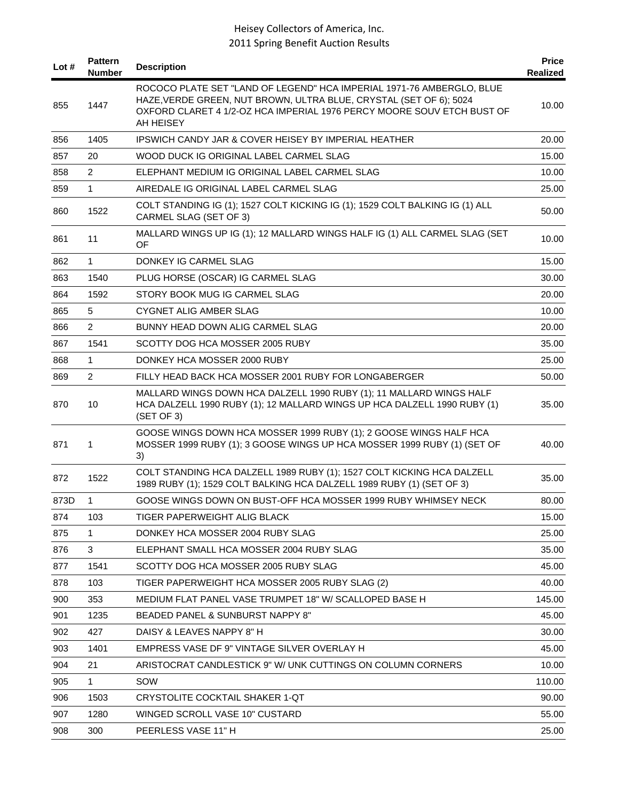| Lot $#$ | <b>Pattern</b><br>Number | <b>Description</b>                                                                                                                                                                                                                 | <b>Price</b><br>Realized |
|---------|--------------------------|------------------------------------------------------------------------------------------------------------------------------------------------------------------------------------------------------------------------------------|--------------------------|
| 855     | 1447                     | ROCOCO PLATE SET "LAND OF LEGEND" HCA IMPERIAL 1971-76 AMBERGLO, BLUE<br>HAZE, VERDE GREEN, NUT BROWN, ULTRA BLUE, CRYSTAL (SET OF 6); 5024<br>OXFORD CLARET 4 1/2-OZ HCA IMPERIAL 1976 PERCY MOORE SOUV ETCH BUST OF<br>AH HEISEY | 10.00                    |
| 856     | 1405                     | <b>IPSWICH CANDY JAR &amp; COVER HEISEY BY IMPERIAL HEATHER</b>                                                                                                                                                                    | 20.00                    |
| 857     | 20                       | WOOD DUCK IG ORIGINAL LABEL CARMEL SLAG                                                                                                                                                                                            | 15.00                    |
| 858     | $\overline{2}$           | ELEPHANT MEDIUM IG ORIGINAL LABEL CARMEL SLAG                                                                                                                                                                                      | 10.00                    |
| 859     | $\mathbf{1}$             | AIREDALE IG ORIGINAL LABEL CARMEL SLAG                                                                                                                                                                                             | 25.00                    |
| 860     | 1522                     | COLT STANDING IG (1); 1527 COLT KICKING IG (1); 1529 COLT BALKING IG (1) ALL<br>CARMEL SLAG (SET OF 3)                                                                                                                             | 50.00                    |
| 861     | 11                       | MALLARD WINGS UP IG (1); 12 MALLARD WINGS HALF IG (1) ALL CARMEL SLAG (SET<br>OF                                                                                                                                                   | 10.00                    |
| 862     | $\mathbf{1}$             | DONKEY IG CARMEL SLAG                                                                                                                                                                                                              | 15.00                    |
| 863     | 1540                     | PLUG HORSE (OSCAR) IG CARMEL SLAG                                                                                                                                                                                                  | 30.00                    |
| 864     | 1592                     | STORY BOOK MUG IG CARMEL SLAG                                                                                                                                                                                                      | 20.00                    |
| 865     | 5                        | CYGNET ALIG AMBER SLAG                                                                                                                                                                                                             | 10.00                    |
| 866     | $\overline{2}$           | BUNNY HEAD DOWN ALIG CARMEL SLAG                                                                                                                                                                                                   | 20.00                    |
| 867     | 1541                     | SCOTTY DOG HCA MOSSER 2005 RUBY                                                                                                                                                                                                    | 35.00                    |
| 868     | 1                        | DONKEY HCA MOSSER 2000 RUBY                                                                                                                                                                                                        | 25.00                    |
| 869     | 2                        | FILLY HEAD BACK HCA MOSSER 2001 RUBY FOR LONGABERGER                                                                                                                                                                               | 50.00                    |
| 870     | 10                       | MALLARD WINGS DOWN HCA DALZELL 1990 RUBY (1); 11 MALLARD WINGS HALF<br>HCA DALZELL 1990 RUBY (1); 12 MALLARD WINGS UP HCA DALZELL 1990 RUBY (1)<br>(SET OF 3)                                                                      | 35.00                    |
| 871     | 1                        | GOOSE WINGS DOWN HCA MOSSER 1999 RUBY (1); 2 GOOSE WINGS HALF HCA<br>MOSSER 1999 RUBY (1); 3 GOOSE WINGS UP HCA MOSSER 1999 RUBY (1) (SET OF<br>3)                                                                                 | 40.00                    |
| 872     | 1522                     | COLT STANDING HCA DALZELL 1989 RUBY (1); 1527 COLT KICKING HCA DALZELL<br>1989 RUBY (1); 1529 COLT BALKING HCA DALZELL 1989 RUBY (1) (SET OF 3)                                                                                    | 35.00                    |
| 873D    | $\mathbf{1}$             | GOOSE WINGS DOWN ON BUST-OFF HCA MOSSER 1999 RUBY WHIMSEY NECK                                                                                                                                                                     | 80.00                    |
| 874     | 103                      | TIGER PAPERWEIGHT ALIG BLACK                                                                                                                                                                                                       | 15.00                    |
| 875     | 1                        | DONKEY HCA MOSSER 2004 RUBY SLAG                                                                                                                                                                                                   | 25.00                    |
| 876     | 3                        | ELEPHANT SMALL HCA MOSSER 2004 RUBY SLAG                                                                                                                                                                                           | 35.00                    |
| 877     | 1541                     | SCOTTY DOG HCA MOSSER 2005 RUBY SLAG                                                                                                                                                                                               | 45.00                    |
| 878     | 103                      | TIGER PAPERWEIGHT HCA MOSSER 2005 RUBY SLAG (2)                                                                                                                                                                                    | 40.00                    |
| 900     | 353                      | MEDIUM FLAT PANEL VASE TRUMPET 18" W/ SCALLOPED BASE H                                                                                                                                                                             | 145.00                   |
| 901     | 1235                     | BEADED PANEL & SUNBURST NAPPY 8"                                                                                                                                                                                                   | 45.00                    |
| 902     | 427                      | DAISY & LEAVES NAPPY 8" H                                                                                                                                                                                                          | 30.00                    |
| 903     | 1401                     | EMPRESS VASE DF 9" VINTAGE SILVER OVERLAY H                                                                                                                                                                                        | 45.00                    |
| 904     | 21                       | ARISTOCRAT CANDLESTICK 9" W/ UNK CUTTINGS ON COLUMN CORNERS                                                                                                                                                                        | 10.00                    |
| 905     | 1                        | SOW                                                                                                                                                                                                                                | 110.00                   |
| 906     | 1503                     | CRYSTOLITE COCKTAIL SHAKER 1-QT                                                                                                                                                                                                    | 90.00                    |
| 907     | 1280                     | WINGED SCROLL VASE 10" CUSTARD                                                                                                                                                                                                     | 55.00                    |
| 908     | 300                      | PEERLESS VASE 11" H                                                                                                                                                                                                                | 25.00                    |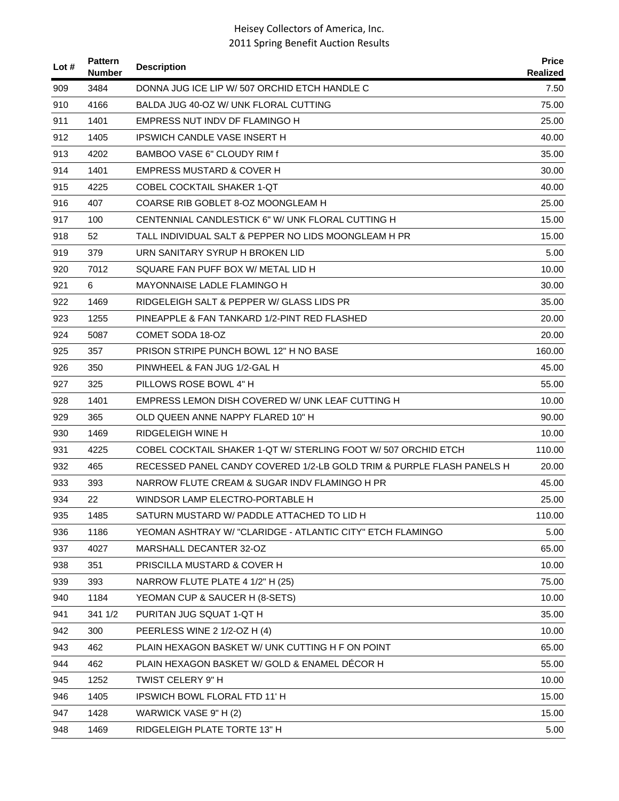| Lot# | <b>Pattern</b><br>Number | <b>Description</b>                                                    | <b>Price</b><br>Realized |
|------|--------------------------|-----------------------------------------------------------------------|--------------------------|
| 909  | 3484                     | DONNA JUG ICE LIP W/ 507 ORCHID ETCH HANDLE C                         | 7.50                     |
| 910  | 4166                     | BALDA JUG 40-OZ W/ UNK FLORAL CUTTING                                 | 75.00                    |
| 911  | 1401                     | EMPRESS NUT INDV DF FLAMINGO H                                        | 25.00                    |
| 912  | 1405                     | IPSWICH CANDLE VASE INSERT H                                          | 40.00                    |
| 913  | 4202                     | BAMBOO VASE 6" CLOUDY RIM f                                           | 35.00                    |
| 914  | 1401                     | EMPRESS MUSTARD & COVER H                                             | 30.00                    |
| 915  | 4225                     | COBEL COCKTAIL SHAKER 1-QT                                            | 40.00                    |
| 916  | 407                      | COARSE RIB GOBLET 8-OZ MOONGLEAM H                                    | 25.00                    |
| 917  | 100                      | CENTENNIAL CANDLESTICK 6" W/ UNK FLORAL CUTTING H                     | 15.00                    |
| 918  | 52                       | TALL INDIVIDUAL SALT & PEPPER NO LIDS MOONGLEAM H PR                  | 15.00                    |
| 919  | 379                      | URN SANITARY SYRUP H BROKEN LID                                       | 5.00                     |
| 920  | 7012                     | SQUARE FAN PUFF BOX W/ METAL LID H                                    | 10.00                    |
| 921  | 6                        | MAYONNAISE LADLE FLAMINGO H                                           | 30.00                    |
| 922  | 1469                     | RIDGELEIGH SALT & PEPPER W/ GLASS LIDS PR                             | 35.00                    |
| 923  | 1255                     | PINEAPPLE & FAN TANKARD 1/2-PINT RED FLASHED                          | 20.00                    |
| 924  | 5087                     | COMET SODA 18-OZ                                                      | 20.00                    |
| 925  | 357                      | PRISON STRIPE PUNCH BOWL 12" H NO BASE                                | 160.00                   |
| 926  | 350                      | PINWHEEL & FAN JUG 1/2-GAL H                                          | 45.00                    |
| 927  | 325                      | PILLOWS ROSE BOWL 4" H                                                | 55.00                    |
| 928  | 1401                     | EMPRESS LEMON DISH COVERED W/ UNK LEAF CUTTING H                      | 10.00                    |
| 929  | 365                      | OLD QUEEN ANNE NAPPY FLARED 10" H                                     | 90.00                    |
| 930  | 1469                     | RIDGELEIGH WINE H                                                     | 10.00                    |
| 931  | 4225                     | COBEL COCKTAIL SHAKER 1-QT W/ STERLING FOOT W/ 507 ORCHID ETCH        | 110.00                   |
| 932  | 465                      | RECESSED PANEL CANDY COVERED 1/2-LB GOLD TRIM & PURPLE FLASH PANELS H | 20.00                    |
| 933  | 393                      | NARROW FLUTE CREAM & SUGAR INDV FLAMINGO H PR                         | 45.00                    |
| 934  | 22                       | WINDSOR LAMP ELECTRO-PORTABLE H                                       | 25.00                    |
| 935  | 1485                     | SATURN MUSTARD W/ PADDLE ATTACHED TO LID H                            | 110.00                   |
| 936  | 1186                     | YEOMAN ASHTRAY W/ "CLARIDGE - ATLANTIC CITY" ETCH FLAMINGO            | 5.00                     |
| 937  | 4027                     | MARSHALL DECANTER 32-OZ                                               | 65.00                    |
| 938  | 351                      | PRISCILLA MUSTARD & COVER H                                           | 10.00                    |
| 939  | 393                      | NARROW FLUTE PLATE 4 1/2" H (25)                                      | 75.00                    |
| 940  | 1184                     | YEOMAN CUP & SAUCER H (8-SETS)                                        | 10.00                    |
| 941  | 341 1/2                  | PURITAN JUG SQUAT 1-QT H                                              | 35.00                    |
| 942  | 300                      | PEERLESS WINE 2 1/2-OZ H (4)                                          | 10.00                    |
| 943  | 462                      | PLAIN HEXAGON BASKET W/ UNK CUTTING H F ON POINT                      | 65.00                    |
| 944  | 462                      | PLAIN HEXAGON BASKET W/ GOLD & ENAMEL DECOR H                         | 55.00                    |
| 945  | 1252                     | TWIST CELERY 9" H                                                     | 10.00                    |
| 946  | 1405                     | IPSWICH BOWL FLORAL FTD 11' H                                         | 15.00                    |
| 947  | 1428                     | WARWICK VASE 9" H (2)                                                 | 15.00                    |
| 948  | 1469                     | RIDGELEIGH PLATE TORTE 13" H                                          | 5.00                     |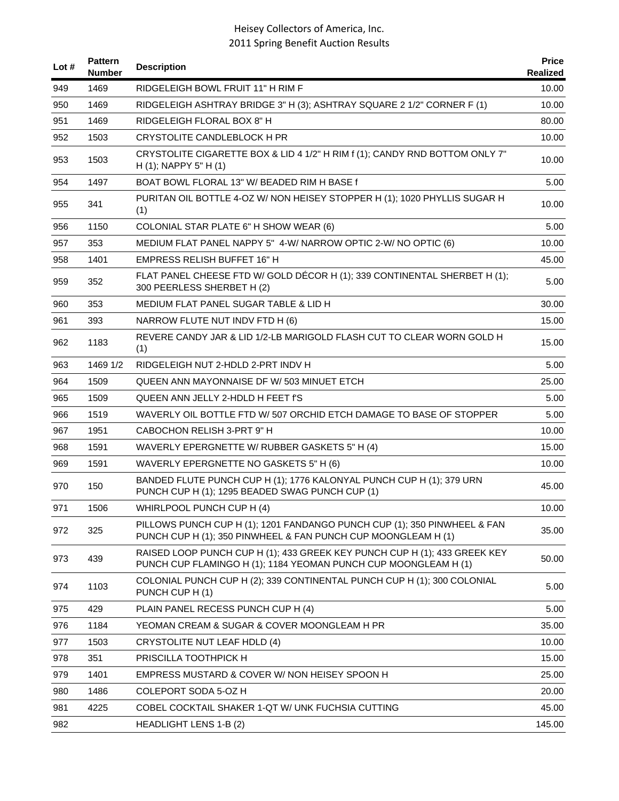| Lot $#$ | <b>Pattern</b><br><b>Number</b> | <b>Description</b>                                                                                                                           | <b>Price</b><br>Realized |
|---------|---------------------------------|----------------------------------------------------------------------------------------------------------------------------------------------|--------------------------|
| 949     | 1469                            | RIDGELEIGH BOWL FRUIT 11" H RIM F                                                                                                            | 10.00                    |
| 950     | 1469                            | RIDGELEIGH ASHTRAY BRIDGE 3" H (3); ASHTRAY SQUARE 2 1/2" CORNER F (1)                                                                       | 10.00                    |
| 951     | 1469                            | RIDGELEIGH FLORAL BOX 8" H                                                                                                                   | 80.00                    |
| 952     | 1503                            | CRYSTOLITE CANDLEBLOCK H PR                                                                                                                  | 10.00                    |
| 953     | 1503                            | CRYSTOLITE CIGARETTE BOX & LID 4 1/2" H RIM f (1); CANDY RND BOTTOM ONLY 7"<br>$H(1)$ ; NAPPY 5" H $(1)$                                     | 10.00                    |
| 954     | 1497                            | BOAT BOWL FLORAL 13" W/ BEADED RIM H BASE f                                                                                                  | 5.00                     |
| 955     | 341                             | PURITAN OIL BOTTLE 4-OZ W/ NON HEISEY STOPPER H (1); 1020 PHYLLIS SUGAR H<br>(1)                                                             | 10.00                    |
| 956     | 1150                            | COLONIAL STAR PLATE 6" H SHOW WEAR (6)                                                                                                       | 5.00                     |
| 957     | 353                             | MEDIUM FLAT PANEL NAPPY 5" 4-W/ NARROW OPTIC 2-W/ NO OPTIC (6)                                                                               | 10.00                    |
| 958     | 1401                            | <b>EMPRESS RELISH BUFFET 16" H</b>                                                                                                           | 45.00                    |
| 959     | 352                             | FLAT PANEL CHEESE FTD W/ GOLD DÉCOR H (1); 339 CONTINENTAL SHERBET H (1);<br>300 PEERLESS SHERBET H (2)                                      | 5.00                     |
| 960     | 353                             | <b>MEDIUM FLAT PANEL SUGAR TABLE &amp; LID H</b>                                                                                             | 30.00                    |
| 961     | 393                             | NARROW FLUTE NUT INDV FTD H (6)                                                                                                              | 15.00                    |
| 962     | 1183                            | REVERE CANDY JAR & LID 1/2-LB MARIGOLD FLASH CUT TO CLEAR WORN GOLD H<br>(1)                                                                 | 15.00                    |
| 963     | 1469 1/2                        | RIDGELEIGH NUT 2-HDLD 2-PRT INDV H                                                                                                           | 5.00                     |
| 964     | 1509                            | QUEEN ANN MAYONNAISE DF W/ 503 MINUET ETCH                                                                                                   | 25.00                    |
| 965     | 1509                            | QUEEN ANN JELLY 2-HDLD H FEET f'S                                                                                                            | 5.00                     |
| 966     | 1519                            | WAVERLY OIL BOTTLE FTD W/ 507 ORCHID ETCH DAMAGE TO BASE OF STOPPER                                                                          | 5.00                     |
| 967     | 1951                            | CABOCHON RELISH 3-PRT 9" H                                                                                                                   | 10.00                    |
| 968     | 1591                            | WAVERLY EPERGNETTE W/ RUBBER GASKETS 5" H (4)                                                                                                | 15.00                    |
| 969     | 1591                            | WAVERLY EPERGNETTE NO GASKETS 5" H (6)                                                                                                       | 10.00                    |
| 970     | 150                             | BANDED FLUTE PUNCH CUP H (1); 1776 KALONYAL PUNCH CUP H (1); 379 URN<br>PUNCH CUP H (1); 1295 BEADED SWAG PUNCH CUP (1)                      | 45.00                    |
| 971     | 1506                            | WHIRLPOOL PUNCH CUP H (4)                                                                                                                    | 10.00                    |
| 972     | 325                             | PILLOWS PUNCH CUP H (1); 1201 FANDANGO PUNCH CUP (1); 350 PINWHEEL & FAN<br>PUNCH CUP H (1); 350 PINWHEEL & FAN PUNCH CUP MOONGLEAM H (1)    | 35.00                    |
| 973     | 439                             | RAISED LOOP PUNCH CUP H (1); 433 GREEK KEY PUNCH CUP H (1); 433 GREEK KEY<br>PUNCH CUP FLAMINGO H (1); 1184 YEOMAN PUNCH CUP MOONGLEAM H (1) | 50.00                    |
| 974     | 1103                            | COLONIAL PUNCH CUP H (2); 339 CONTINENTAL PUNCH CUP H (1); 300 COLONIAL<br>PUNCH CUP H (1)                                                   | 5.00                     |
| 975     | 429                             | PLAIN PANEL RECESS PUNCH CUP H (4)                                                                                                           | 5.00                     |
| 976     | 1184                            | YEOMAN CREAM & SUGAR & COVER MOONGLEAM H PR                                                                                                  | 35.00                    |
| 977     | 1503                            | CRYSTOLITE NUT LEAF HDLD (4)                                                                                                                 | 10.00                    |
| 978     | 351                             | PRISCILLA TOOTHPICK H                                                                                                                        | 15.00                    |
| 979     | 1401                            | EMPRESS MUSTARD & COVER W/ NON HEISEY SPOON H                                                                                                | 25.00                    |
| 980     | 1486                            | COLEPORT SODA 5-OZ H                                                                                                                         | 20.00                    |
| 981     | 4225                            | COBEL COCKTAIL SHAKER 1-QT W/ UNK FUCHSIA CUTTING                                                                                            | 45.00                    |
| 982     |                                 | <b>HEADLIGHT LENS 1-B (2)</b>                                                                                                                | 145.00                   |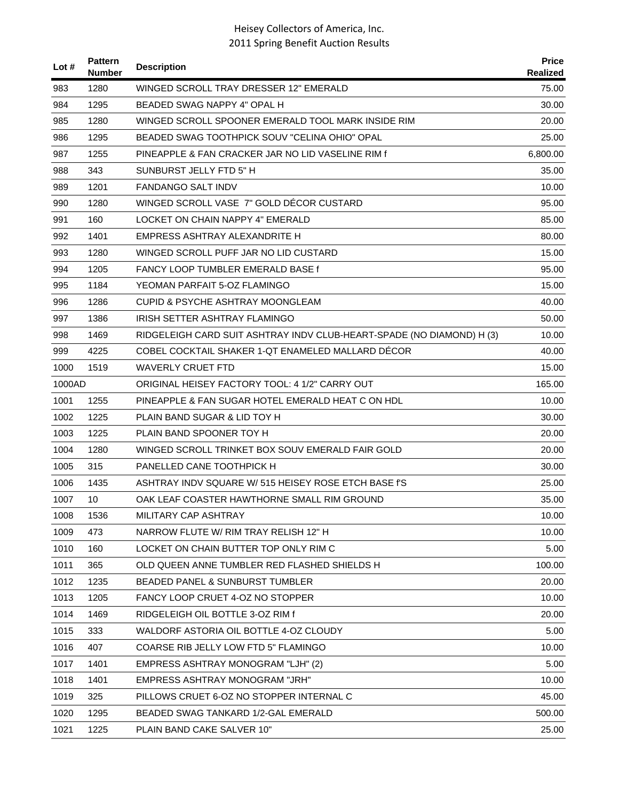| Lot #  | <b>Pattern</b><br><b>Number</b> | <b>Description</b>                                                    | <b>Price</b><br>Realized |
|--------|---------------------------------|-----------------------------------------------------------------------|--------------------------|
| 983    | 1280                            | WINGED SCROLL TRAY DRESSER 12" EMERALD                                | 75.00                    |
| 984    | 1295                            | BEADED SWAG NAPPY 4" OPAL H                                           | 30.00                    |
| 985    | 1280                            | WINGED SCROLL SPOONER EMERALD TOOL MARK INSIDE RIM                    | 20.00                    |
| 986    | 1295                            | BEADED SWAG TOOTHPICK SOUV "CELINA OHIO" OPAL                         | 25.00                    |
| 987    | 1255                            | PINEAPPLE & FAN CRACKER JAR NO LID VASELINE RIM f                     | 6,800.00                 |
| 988    | 343                             | SUNBURST JELLY FTD 5" H                                               | 35.00                    |
| 989    | 1201                            | <b>FANDANGO SALT INDV</b>                                             | 10.00                    |
| 990    | 1280                            | WINGED SCROLL VASE 7" GOLD DECOR CUSTARD                              | 95.00                    |
| 991    | 160                             | LOCKET ON CHAIN NAPPY 4" EMERALD                                      | 85.00                    |
| 992    | 1401                            | EMPRESS ASHTRAY ALEXANDRITE H                                         | 80.00                    |
| 993    | 1280                            | WINGED SCROLL PUFF JAR NO LID CUSTARD                                 | 15.00                    |
| 994    | 1205                            | <b>FANCY LOOP TUMBLER EMERALD BASE f</b>                              | 95.00                    |
| 995    | 1184                            | YEOMAN PARFAIT 5-OZ FLAMINGO                                          | 15.00                    |
| 996    | 1286                            | <b>CUPID &amp; PSYCHE ASHTRAY MOONGLEAM</b>                           | 40.00                    |
| 997    | 1386                            | IRISH SETTER ASHTRAY FLAMINGO                                         | 50.00                    |
| 998    | 1469                            | RIDGELEIGH CARD SUIT ASHTRAY INDV CLUB-HEART-SPADE (NO DIAMOND) H (3) | 10.00                    |
| 999    | 4225                            | COBEL COCKTAIL SHAKER 1-QT ENAMELED MALLARD DÉCOR                     | 40.00                    |
| 1000   | 1519                            | <b>WAVERLY CRUET FTD</b>                                              | 15.00                    |
| 1000AD |                                 | ORIGINAL HEISEY FACTORY TOOL: 4 1/2" CARRY OUT                        | 165.00                   |
| 1001   | 1255                            | PINEAPPLE & FAN SUGAR HOTEL EMERALD HEAT CON HDL                      | 10.00                    |
| 1002   | 1225                            | PLAIN BAND SUGAR & LID TOY H                                          | 30.00                    |
| 1003   | 1225                            | PLAIN BAND SPOONER TOY H                                              | 20.00                    |
| 1004   | 1280                            | WINGED SCROLL TRINKET BOX SOUV EMERALD FAIR GOLD                      | 20.00                    |
| 1005   | 315                             | PANELLED CANE TOOTHPICK H                                             | 30.00                    |
| 1006   | 1435                            | ASHTRAY INDV SQUARE W/ 515 HEISEY ROSE ETCH BASE I'S                  | 25.00                    |
| 1007   | 10                              | OAK LEAF COASTER HAWTHORNE SMALL RIM GROUND                           | 35.00                    |
| 1008   | 1536                            | MILITARY CAP ASHTRAY                                                  | 10.00                    |
| 1009   | 473                             | NARROW FLUTE W/ RIM TRAY RELISH 12" H                                 | 10.00                    |
| 1010   | 160                             | LOCKET ON CHAIN BUTTER TOP ONLY RIM C                                 | 5.00                     |
| 1011   | 365                             | OLD QUEEN ANNE TUMBLER RED FLASHED SHIELDS H                          | 100.00                   |
| 1012   | 1235                            | <b>BEADED PANEL &amp; SUNBURST TUMBLER</b>                            | 20.00                    |
| 1013   | 1205                            | FANCY LOOP CRUET 4-0Z NO STOPPER                                      | 10.00                    |
| 1014   | 1469                            | RIDGELEIGH OIL BOTTLE 3-OZ RIM f                                      | 20.00                    |
| 1015   | 333                             | WALDORF ASTORIA OIL BOTTLE 4-OZ CLOUDY                                | 5.00                     |
| 1016   | 407                             | COARSE RIB JELLY LOW FTD 5" FLAMINGO                                  | 10.00                    |
| 1017   | 1401                            | EMPRESS ASHTRAY MONOGRAM "LJH" (2)                                    | 5.00                     |
| 1018   | 1401                            | EMPRESS ASHTRAY MONOGRAM "JRH"                                        | 10.00                    |
| 1019   | 325                             | PILLOWS CRUET 6-OZ NO STOPPER INTERNAL C                              | 45.00                    |
| 1020   | 1295                            | BEADED SWAG TANKARD 1/2-GAL EMERALD                                   | 500.00                   |
| 1021   | 1225                            | PLAIN BAND CAKE SALVER 10"                                            | 25.00                    |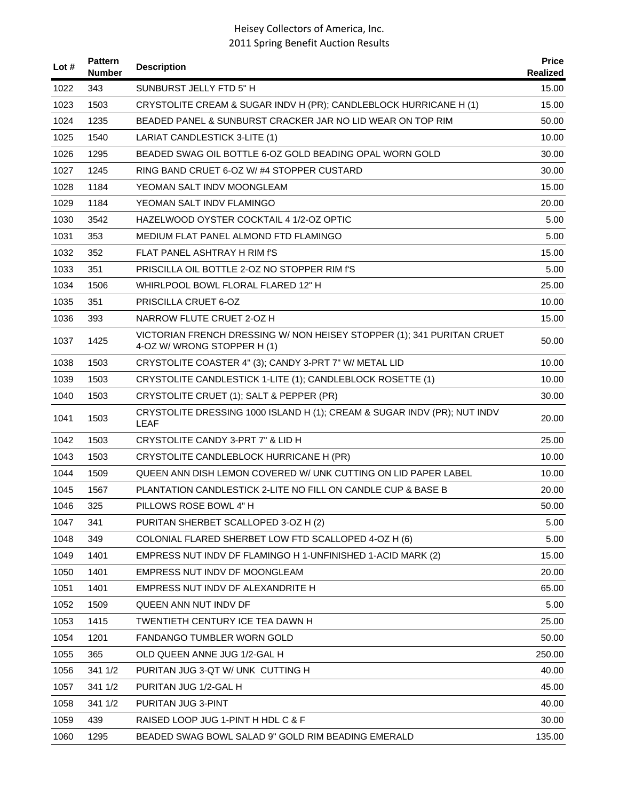| Lot $#$ | <b>Pattern</b><br><b>Number</b> | <b>Description</b>                                                                                    | <b>Price</b><br>Realized |
|---------|---------------------------------|-------------------------------------------------------------------------------------------------------|--------------------------|
| 1022    | 343                             | SUNBURST JELLY FTD 5" H                                                                               | 15.00                    |
| 1023    | 1503                            | CRYSTOLITE CREAM & SUGAR INDV H (PR); CANDLEBLOCK HURRICANE H (1)                                     | 15.00                    |
| 1024    | 1235                            | BEADED PANEL & SUNBURST CRACKER JAR NO LID WEAR ON TOP RIM                                            | 50.00                    |
| 1025    | 1540                            | LARIAT CANDLESTICK 3-LITE (1)                                                                         | 10.00                    |
| 1026    | 1295                            | BEADED SWAG OIL BOTTLE 6-OZ GOLD BEADING OPAL WORN GOLD                                               | 30.00                    |
| 1027    | 1245                            | RING BAND CRUET 6-OZ W/#4 STOPPER CUSTARD                                                             | 30.00                    |
| 1028    | 1184                            | YEOMAN SALT INDV MOONGLEAM                                                                            | 15.00                    |
| 1029    | 1184                            | YEOMAN SALT INDV FLAMINGO                                                                             | 20.00                    |
| 1030    | 3542                            | HAZELWOOD OYSTER COCKTAIL 4 1/2-OZ OPTIC                                                              | 5.00                     |
| 1031    | 353                             | MEDIUM FLAT PANEL ALMOND FTD FLAMINGO                                                                 | 5.00                     |
| 1032    | 352                             | FLAT PANEL ASHTRAY H RIM f'S                                                                          | 15.00                    |
| 1033    | 351                             | PRISCILLA OIL BOTTLE 2-OZ NO STOPPER RIM f'S                                                          | 5.00                     |
| 1034    | 1506                            | WHIRLPOOL BOWL FLORAL FLARED 12" H                                                                    | 25.00                    |
| 1035    | 351                             | PRISCILLA CRUET 6-OZ                                                                                  | 10.00                    |
| 1036    | 393                             | NARROW FLUTE CRUET 2-OZ H                                                                             | 15.00                    |
| 1037    | 1425                            | VICTORIAN FRENCH DRESSING W/ NON HEISEY STOPPER (1); 341 PURITAN CRUET<br>4-OZ W/ WRONG STOPPER H (1) | 50.00                    |
| 1038    | 1503                            | CRYSTOLITE COASTER 4" (3); CANDY 3-PRT 7" W/ METAL LID                                                | 10.00                    |
| 1039    | 1503                            | CRYSTOLITE CANDLESTICK 1-LITE (1); CANDLEBLOCK ROSETTE (1)                                            | 10.00                    |
| 1040    | 1503                            | CRYSTOLITE CRUET (1); SALT & PEPPER (PR)                                                              | 30.00                    |
| 1041    | 1503                            | CRYSTOLITE DRESSING 1000 ISLAND H (1); CREAM & SUGAR INDV (PR); NUT INDV<br><b>LEAF</b>               | 20.00                    |
| 1042    | 1503                            | CRYSTOLITE CANDY 3-PRT 7" & LID H                                                                     | 25.00                    |
| 1043    | 1503                            | CRYSTOLITE CANDLEBLOCK HURRICANE H (PR)                                                               | 10.00                    |
| 1044    | 1509                            | QUEEN ANN DISH LEMON COVERED W/ UNK CUTTING ON LID PAPER LABEL                                        | 10.00                    |
| 1045    | 1567                            | <b>PLANTATION CANDLESTICK 2-LITE NO FILL ON CANDLE CUP &amp; BASE B</b>                               | 20.00                    |
| 1046    | 325                             | PILLOWS ROSE BOWL 4" H                                                                                | 50.00                    |
| 1047    | 341                             | PURITAN SHERBET SCALLOPED 3-OZ H (2)                                                                  | 5.00                     |
| 1048    | 349                             | COLONIAL FLARED SHERBET LOW FTD SCALLOPED 4-OZ H (6)                                                  | 5.00                     |
| 1049    | 1401                            | EMPRESS NUT INDV DF FLAMINGO H 1-UNFINISHED 1-ACID MARK (2)                                           | 15.00                    |
| 1050    | 1401                            | EMPRESS NUT INDV DF MOONGLEAM                                                                         | 20.00                    |
| 1051    | 1401                            | EMPRESS NUT INDV DF ALEXANDRITE H                                                                     | 65.00                    |
| 1052    | 1509                            | QUEEN ANN NUT INDV DF                                                                                 | 5.00                     |
| 1053    | 1415                            | TWENTIETH CENTURY ICE TEA DAWN H                                                                      | 25.00                    |
| 1054    | 1201                            | FANDANGO TUMBLER WORN GOLD                                                                            | 50.00                    |
| 1055    | 365                             | OLD QUEEN ANNE JUG 1/2-GAL H                                                                          | 250.00                   |
| 1056    | 341 1/2                         | PURITAN JUG 3-QT W/ UNK CUTTING H                                                                     | 40.00                    |
| 1057    | 341 1/2                         | PURITAN JUG 1/2-GAL H                                                                                 | 45.00                    |
| 1058    | 341 1/2                         | PURITAN JUG 3-PINT                                                                                    | 40.00                    |
| 1059    | 439                             | RAISED LOOP JUG 1-PINT H HDL C & F                                                                    | 30.00                    |
| 1060    | 1295                            | BEADED SWAG BOWL SALAD 9" GOLD RIM BEADING EMERALD                                                    | 135.00                   |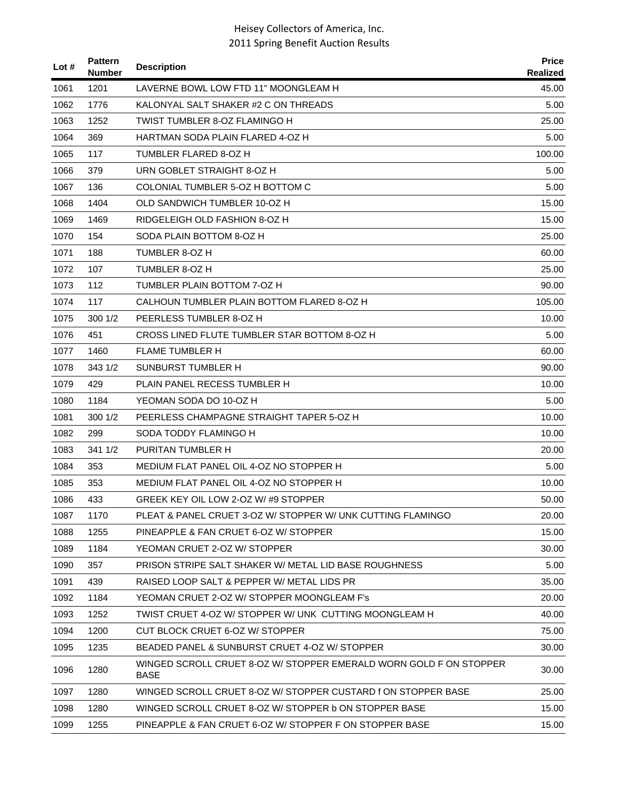| Lot $#$ | <b>Pattern</b><br><b>Number</b> | <b>Description</b>                                                                | <b>Price</b><br><b>Realized</b> |
|---------|---------------------------------|-----------------------------------------------------------------------------------|---------------------------------|
| 1061    | 1201                            | LAVERNE BOWL LOW FTD 11" MOONGLEAM H                                              | 45.00                           |
| 1062    | 1776                            | KALONYAL SALT SHAKER #2 C ON THREADS                                              | 5.00                            |
| 1063    | 1252                            | TWIST TUMBLER 8-OZ FLAMINGO H                                                     | 25.00                           |
| 1064    | 369                             | HARTMAN SODA PLAIN FLARED 4-OZ H                                                  | 5.00                            |
| 1065    | 117                             | TUMBLER FLARED 8-OZ H                                                             | 100.00                          |
| 1066    | 379                             | URN GOBLET STRAIGHT 8-OZ H                                                        | 5.00                            |
| 1067    | 136                             | COLONIAL TUMBLER 5-OZ H BOTTOM C                                                  | 5.00                            |
| 1068    | 1404                            | OLD SANDWICH TUMBLER 10-OZ H                                                      | 15.00                           |
| 1069    | 1469                            | RIDGELEIGH OLD FASHION 8-OZ H                                                     | 15.00                           |
| 1070    | 154                             | SODA PLAIN BOTTOM 8-OZ H                                                          | 25.00                           |
| 1071    | 188                             | TUMBLER 8-OZ H                                                                    | 60.00                           |
| 1072    | 107                             | TUMBLER 8-OZ H                                                                    | 25.00                           |
| 1073    | 112                             | TUMBLER PLAIN BOTTOM 7-OZ H                                                       | 90.00                           |
| 1074    | 117                             | CALHOUN TUMBLER PLAIN BOTTOM FLARED 8-OZ H                                        | 105.00                          |
| 1075    | 300 1/2                         | PEERLESS TUMBLER 8-OZ H                                                           | 10.00                           |
| 1076    | 451                             | CROSS LINED FLUTE TUMBLER STAR BOTTOM 8-OZ H                                      | 5.00                            |
| 1077    | 1460                            | <b>FLAME TUMBLER H</b>                                                            | 60.00                           |
| 1078    | 343 1/2                         | SUNBURST TUMBLER H                                                                | 90.00                           |
| 1079    | 429                             | PLAIN PANEL RECESS TUMBLER H                                                      | 10.00                           |
| 1080    | 1184                            | YEOMAN SODA DO 10-OZ H                                                            | 5.00                            |
| 1081    | 300 1/2                         | PEERLESS CHAMPAGNE STRAIGHT TAPER 5-OZ H                                          | 10.00                           |
| 1082    | 299                             | SODA TODDY FLAMINGO H                                                             | 10.00                           |
| 1083    | 341 1/2                         | PURITAN TUMBLER H                                                                 | 20.00                           |
| 1084    | 353                             | MEDIUM FLAT PANEL OIL 4-OZ NO STOPPER H                                           | 5.00                            |
| 1085    | 353                             | MEDIUM FLAT PANEL OIL 4-OZ NO STOPPER H                                           | 10.00                           |
| 1086    | 433                             | GREEK KEY OIL LOW 2-OZ W/#9 STOPPER                                               | 50.00                           |
| 1087    | 1170                            | PLEAT & PANEL CRUET 3-OZ W/ STOPPER W/ UNK CUTTING FLAMINGO                       | 20.00                           |
| 1088    | 1255                            | PINEAPPLE & FAN CRUET 6-OZ W/ STOPPER                                             | 15.00                           |
| 1089    | 1184                            | YEOMAN CRUET 2-OZ W/ STOPPER                                                      | 30.00                           |
| 1090    | 357                             | PRISON STRIPE SALT SHAKER W/ METAL LID BASE ROUGHNESS                             | 5.00                            |
| 1091    | 439                             | RAISED LOOP SALT & PEPPER W/ METAL LIDS PR                                        | 35.00                           |
| 1092    | 1184                            | YEOMAN CRUET 2-OZ W/ STOPPER MOONGLEAM F's                                        | 20.00                           |
| 1093    | 1252                            | TWIST CRUET 4-OZ W/ STOPPER W/ UNK_CUTTING MOONGLEAM H_                           | 40.00                           |
| 1094    | 1200                            | CUT BLOCK CRUET 6-OZ W/ STOPPER                                                   | 75.00                           |
| 1095    | 1235                            | BEADED PANEL & SUNBURST CRUET 4-OZ W/ STOPPER                                     | 30.00                           |
| 1096    | 1280                            | WINGED SCROLL CRUET 8-OZ W/ STOPPER EMERALD WORN GOLD F ON STOPPER<br><b>BASE</b> | 30.00                           |
| 1097    | 1280                            | WINGED SCROLL CRUET 8-OZ W/ STOPPER CUSTARD f ON STOPPER BASE                     | 25.00                           |
| 1098    | 1280                            | WINGED SCROLL CRUET 8-OZ W/ STOPPER b ON STOPPER BASE                             | 15.00                           |
| 1099    | 1255                            | PINEAPPLE & FAN CRUET 6-OZ W/ STOPPER F ON STOPPER BASE                           | 15.00                           |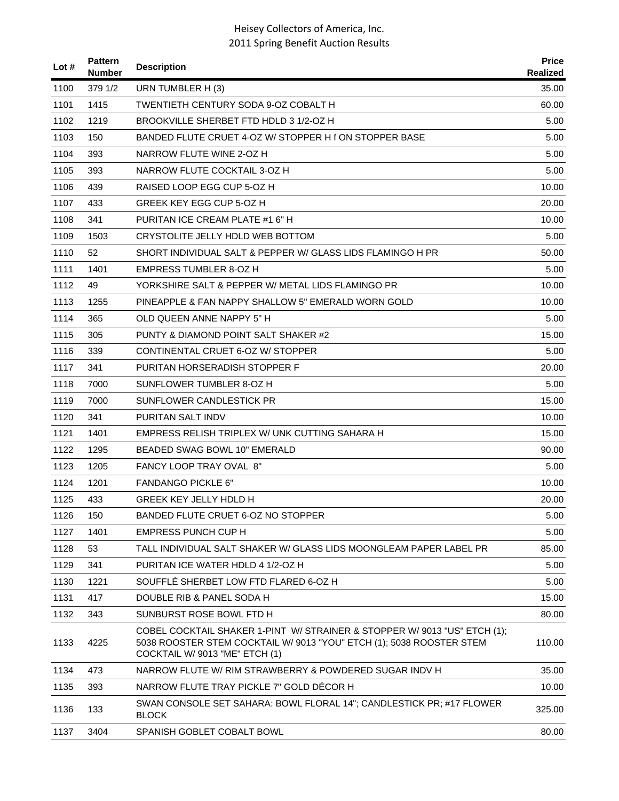| Lot $#$ | <b>Pattern</b><br><b>Number</b> | <b>Description</b>                                                                                                                                                                  | <b>Price</b><br>Realized |
|---------|---------------------------------|-------------------------------------------------------------------------------------------------------------------------------------------------------------------------------------|--------------------------|
| 1100    | 379 1/2                         | URN TUMBLER H (3)                                                                                                                                                                   | 35.00                    |
| 1101    | 1415                            | TWENTIETH CENTURY SODA 9-OZ COBALT H                                                                                                                                                | 60.00                    |
| 1102    | 1219                            | BROOKVILLE SHERBET FTD HDLD 3 1/2-OZ H                                                                                                                                              | 5.00                     |
| 1103    | 150                             | BANDED FLUTE CRUET 4-OZ W/ STOPPER H f ON STOPPER BASE                                                                                                                              | 5.00                     |
| 1104    | 393                             | NARROW FLUTE WINE 2-OZ H                                                                                                                                                            | 5.00                     |
| 1105    | 393                             | NARROW FLUTE COCKTAIL 3-OZ H                                                                                                                                                        | 5.00                     |
| 1106    | 439                             | RAISED LOOP EGG CUP 5-OZ H                                                                                                                                                          | 10.00                    |
| 1107    | 433                             | GREEK KEY EGG CUP 5-OZ H                                                                                                                                                            | 20.00                    |
| 1108    | 341                             | PURITAN ICE CREAM PLATE #1 6" H                                                                                                                                                     | 10.00                    |
| 1109    | 1503                            | CRYSTOLITE JELLY HDLD WEB BOTTOM                                                                                                                                                    | 5.00                     |
| 1110    | 52                              | SHORT INDIVIDUAL SALT & PEPPER W/ GLASS LIDS FLAMINGO H PR                                                                                                                          | 50.00                    |
| 1111    | 1401                            | <b>EMPRESS TUMBLER 8-OZ H</b>                                                                                                                                                       | 5.00                     |
| 1112    | 49                              | YORKSHIRE SALT & PEPPER W/ METAL LIDS FLAMINGO PR                                                                                                                                   | 10.00                    |
| 1113    | 1255                            | PINEAPPLE & FAN NAPPY SHALLOW 5" EMERALD WORN GOLD                                                                                                                                  | 10.00                    |
| 1114    | 365                             | OLD QUEEN ANNE NAPPY 5" H                                                                                                                                                           | 5.00                     |
| 1115    | 305                             | PUNTY & DIAMOND POINT SALT SHAKER #2                                                                                                                                                | 15.00                    |
| 1116    | 339                             | CONTINENTAL CRUET 6-OZ W/ STOPPER                                                                                                                                                   | 5.00                     |
| 1117    | 341                             | PURITAN HORSERADISH STOPPER F                                                                                                                                                       | 20.00                    |
| 1118    | 7000                            | SUNFLOWER TUMBLER 8-OZ H                                                                                                                                                            | 5.00                     |
| 1119    | 7000                            | SUNFLOWER CANDLESTICK PR                                                                                                                                                            | 15.00                    |
| 1120    | 341                             | PURITAN SALT INDV                                                                                                                                                                   | 10.00                    |
| 1121    | 1401                            | EMPRESS RELISH TRIPLEX W/ UNK CUTTING SAHARA H                                                                                                                                      | 15.00                    |
| 1122    | 1295                            | <b>BEADED SWAG BOWL 10" EMERALD</b>                                                                                                                                                 | 90.00                    |
| 1123    | 1205                            | FANCY LOOP TRAY OVAL 8"                                                                                                                                                             | 5.00                     |
| 1124    | 1201                            | <b>FANDANGO PICKLE 6"</b>                                                                                                                                                           | 10.00                    |
| 1125    | 433                             | <b>GREEK KEY JELLY HDLD H</b>                                                                                                                                                       | 20.00                    |
| 1126    | 150                             | BANDED FLUTE CRUET 6-OZ NO STOPPER                                                                                                                                                  | 5.00                     |
| 1127    | 1401                            | <b>EMPRESS PUNCH CUP H</b>                                                                                                                                                          | 5.00                     |
| 1128    | 53                              | TALL INDIVIDUAL SALT SHAKER W/ GLASS LIDS MOONGLEAM PAPER LABEL PR                                                                                                                  | 85.00                    |
| 1129    | 341                             | PURITAN ICE WATER HDLD 4 1/2-OZ H                                                                                                                                                   | 5.00                     |
| 1130    | 1221                            | SOUFFLÉ SHERBET LOW FTD FLARED 6-OZ H                                                                                                                                               | 5.00                     |
| 1131    | 417                             | DOUBLE RIB & PANEL SODA H                                                                                                                                                           | 15.00                    |
| 1132    | 343                             | SUNBURST ROSE BOWL FTD H                                                                                                                                                            | 80.00                    |
| 1133    | 4225                            | COBEL COCKTAIL SHAKER 1-PINT W/ STRAINER & STOPPER W/ 9013 "US" ETCH (1);<br>5038 ROOSTER STEM COCKTAIL W/ 9013 "YOU" ETCH (1); 5038 ROOSTER STEM<br>COCKTAIL W/ 9013 "ME" ETCH (1) | 110.00                   |
| 1134    | 473                             | NARROW FLUTE W/ RIM STRAWBERRY & POWDERED SUGAR INDV H                                                                                                                              | 35.00                    |
| 1135    | 393                             | NARROW FLUTE TRAY PICKLE 7" GOLD DECOR H                                                                                                                                            | 10.00                    |
| 1136    | 133                             | SWAN CONSOLE SET SAHARA: BOWL FLORAL 14"; CANDLESTICK PR; #17 FLOWER<br><b>BLOCK</b>                                                                                                | 325.00                   |
| 1137    | 3404                            | SPANISH GOBLET COBALT BOWL                                                                                                                                                          | 80.00                    |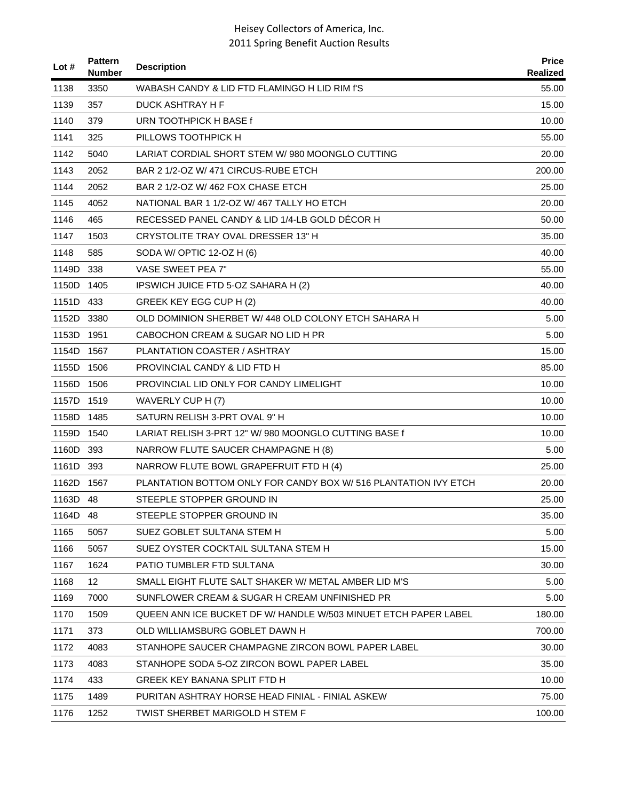| Lot $#$    | <b>Pattern</b><br><b>Number</b> | <b>Description</b>                                              | <b>Price</b><br><b>Realized</b> |
|------------|---------------------------------|-----------------------------------------------------------------|---------------------------------|
| 1138       | 3350                            | WABASH CANDY & LID FTD FLAMINGO H LID RIM f'S                   | 55.00                           |
| 1139       | 357                             | DUCK ASHTRAY H F                                                | 15.00                           |
| 1140       | 379                             | URN TOOTHPICK H BASE f                                          | 10.00                           |
| 1141       | 325                             | PILLOWS TOOTHPICK H                                             | 55.00                           |
| 1142       | 5040                            | LARIAT CORDIAL SHORT STEM W/980 MOONGLO CUTTING                 | 20.00                           |
| 1143       | 2052                            | BAR 2 1/2-OZ W/ 471 CIRCUS-RUBE ETCH                            | 200.00                          |
| 1144       | 2052                            | BAR 2 1/2-OZ W/ 462 FOX CHASE ETCH                              | 25.00                           |
| 1145       | 4052                            | NATIONAL BAR 1 1/2-OZ W/ 467 TALLY HO ETCH                      | 20.00                           |
| 1146       | 465                             | RECESSED PANEL CANDY & LID 1/4-LB GOLD DECOR H                  | 50.00                           |
| 1147       | 1503                            | CRYSTOLITE TRAY OVAL DRESSER 13" H                              | 35.00                           |
| 1148       | 585                             | SODA W/ OPTIC 12-OZ H (6)                                       | 40.00                           |
| 1149D      | 338                             | VASE SWEET PEA 7"                                               | 55.00                           |
| 1150D      | 1405                            | IPSWICH JUICE FTD 5-OZ SAHARA H (2)                             | 40.00                           |
| 1151D 433  |                                 | GREEK KEY EGG CUP H (2)                                         | 40.00                           |
| 1152D      | 3380                            | OLD DOMINION SHERBET W/ 448 OLD COLONY ETCH SAHARA H            | 5.00                            |
| 1153D      | 1951                            | CABOCHON CREAM & SUGAR NO LID H PR                              | 5.00                            |
| 1154D 1567 |                                 | PLANTATION COASTER / ASHTRAY                                    | 15.00                           |
| 1155D      | 1506                            | PROVINCIAL CANDY & LID FTD H                                    | 85.00                           |
| 1156D      | 1506                            | PROVINCIAL LID ONLY FOR CANDY LIMELIGHT                         | 10.00                           |
| 1157D      | 1519                            | WAVERLY CUP H (7)                                               | 10.00                           |
| 1158D      | 1485                            | SATURN RELISH 3-PRT OVAL 9" H                                   | 10.00                           |
| 1159D      | 1540                            | LARIAT RELISH 3-PRT 12" W/980 MOONGLO CUTTING BASE f            | 10.00                           |
| 1160D 393  |                                 | NARROW FLUTE SAUCER CHAMPAGNE H (8)                             | 5.00                            |
| 1161D      | 393                             | NARROW FLUTE BOWL GRAPEFRUIT FTD H (4)                          | 25.00                           |
| 1162D      | 1567                            | PLANTATION BOTTOM ONLY FOR CANDY BOX W/ 516 PLANTATION IVY ETCH | 20.00                           |
| 1163D 48   |                                 | STEEPLE STOPPER GROUND IN                                       | 25.00                           |
| 1164D      | 48                              | STEEPLE STOPPER GROUND IN                                       | 35.00                           |
| 1165       | 5057                            | SUEZ GOBLET SULTANA STEM H                                      | 5.00                            |
| 1166       | 5057                            | SUEZ OYSTER COCKTAIL SULTANA STEM H                             | 15.00                           |
| 1167       | 1624                            | PATIO TUMBLER FTD SULTANA                                       | 30.00                           |
| 1168       | 12                              | SMALL EIGHT FLUTE SALT SHAKER W/ METAL AMBER LID M'S            | 5.00                            |
| 1169       | 7000                            | SUNFLOWER CREAM & SUGAR H CREAM UNFINISHED PR                   | 5.00                            |
| 1170       | 1509                            | QUEEN ANN ICE BUCKET DF W/ HANDLE W/503 MINUET ETCH PAPER LABEL | 180.00                          |
| 1171       | 373                             | OLD WILLIAMSBURG GOBLET DAWN H                                  | 700.00                          |
| 1172       | 4083                            | STANHOPE SAUCER CHAMPAGNE ZIRCON BOWL PAPER LABEL               | 30.00                           |
| 1173       | 4083                            | STANHOPE SODA 5-OZ ZIRCON BOWL PAPER LABEL                      | 35.00                           |
| 1174       | 433                             | GREEK KEY BANANA SPLIT FTD H                                    | 10.00                           |
| 1175       | 1489                            | PURITAN ASHTRAY HORSE HEAD FINIAL - FINIAL ASKEW                | 75.00                           |
| 1176       | 1252                            | TWIST SHERBET MARIGOLD H STEM F                                 | 100.00                          |